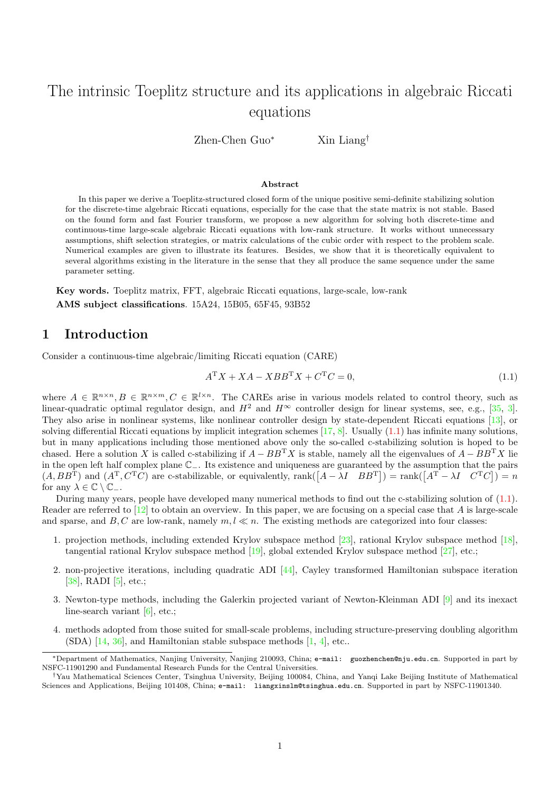# The intrinsic Toeplitz structure and its applications in algebraic Riccati equations

Zhen-Chen Guo<sup>∗</sup> Xin Liang†

#### Abstract

In this paper we derive a Toeplitz-structured closed form of the unique positive semi-definite stabilizing solution for the discrete-time algebraic Riccati equations, especially for the case that the state matrix is not stable. Based on the found form and fast Fourier transform, we propose a new algorithm for solving both discrete-time and continuous-time large-scale algebraic Riccati equations with low-rank structure. It works without unnecessary assumptions, shift selection strategies, or matrix calculations of the cubic order with respect to the problem scale. Numerical examples are given to illustrate its features. Besides, we show that it is theoretically equivalent to several algorithms existing in the literature in the sense that they all produce the same sequence under the same parameter setting.

Key words. Toeplitz matrix, FFT, algebraic Riccati equations, large-scale, low-rank AMS subject classifications. 15A24, 15B05, 65F45, 93B52

# 1 Introduction

Consider a continuous-time algebraic/limiting Riccati equation (CARE)

<span id="page-0-0"></span>
$$
A^{\mathrm{T}}X + XA - XBB^{\mathrm{T}}X + C^{\mathrm{T}}C = 0,\tag{1.1}
$$

where  $A \in \mathbb{R}^{n \times n}, B \in \mathbb{R}^{n \times m}, C \in \mathbb{R}^{l \times n}$ . The CAREs arise in various models related to control theory, such as linear-quadratic optimal regulator design, and  $H^2$  and  $H^{\infty}$  controller design for linear systems, see, e.g., [\[35,](#page-26-0) [3\]](#page-25-0). They also arise in nonlinear systems, like nonlinear controller design by state-dependent Riccati equations [\[13\]](#page-26-1), or solving differential Riccati equations by implicit integration schemes  $[17, 8]$  $[17, 8]$  $[17, 8]$ . Usually  $(1.1)$  has infinite many solutions, but in many applications including those mentioned above only the so-called c-stabilizing solution is hoped to be chased. Here a solution X is called c-stabilizing if  $A - BB^{T}X$  is stable, namely all the eigenvalues of  $A - BB^{T}X$  lie in the open left half complex plane C−. Its existence and uniqueness are guaranteed by the assumption that the pairs  $(A, BB^{\mathrm{T}})$  and  $(A^{\mathrm{T}}, C^{\mathrm{T}}C)$  are c-stabilizable, or equivalently, rank $([A - \lambda I \quad BB^{\mathrm{T}}]) = \text{rank}([A^{\mathrm{T}} - \lambda I \quad C^{\mathrm{T}}C]) = n$ for any  $\lambda \in \mathbb{C} \setminus \mathbb{C}_-.$ 

During many years, people have developed many numerical methods to find out the c-stabilizing solution of [\(1.1\)](#page-0-0). Reader are referred to  $[12]$  to obtain an overview. In this paper, we are focusing on a special case that A is large-scale and sparse, and B, C are low-rank, namely  $m, l \ll n$ . The existing methods are categorized into four classes:

- 1. projection methods, including extended Krylov subspace method [\[23\]](#page-26-4), rational Krylov subspace method [\[18\]](#page-26-5), tangential rational Krylov subspace method [\[19\]](#page-26-6), global extended Krylov subspace method [\[27\]](#page-26-7), etc.;
- 2. non-projective iterations, including quadratic ADI [\[44\]](#page-27-0), Cayley transformed Hamiltonian subspace iteration [\[38\]](#page-26-8), RADI [\[5\]](#page-25-2), etc.;
- 3. Newton-type methods, including the Galerkin projected variant of Newton-Kleinman ADI [\[9\]](#page-25-3) and its inexact line-search variant [\[6\]](#page-25-4), etc.;
- 4. methods adopted from those suited for small-scale problems, including structure-preserving doubling algorithm  $(SDA)$  [\[14,](#page-26-9) [36\]](#page-26-10), and Hamiltonian stable subspace methods [\[1,](#page-25-5) [4\]](#page-25-6), etc...

<sup>∗</sup>Department of Mathematics, Nanjing University, Nanjing 210093, China; e-mail: guozhenchen@nju.edu.cn. Supported in part by NSFC-11901290 and Fundamental Research Funds for the Central Universities.

<sup>†</sup>Yau Mathematical Sciences Center, Tsinghua University, Beijing 100084, China, and Yanqi Lake Beijing Institute of Mathematical Sciences and Applications, Beijing 101408, China; e-mail: liangxinslm@tsinghua.edu.cn. Supported in part by NSFC-11901340.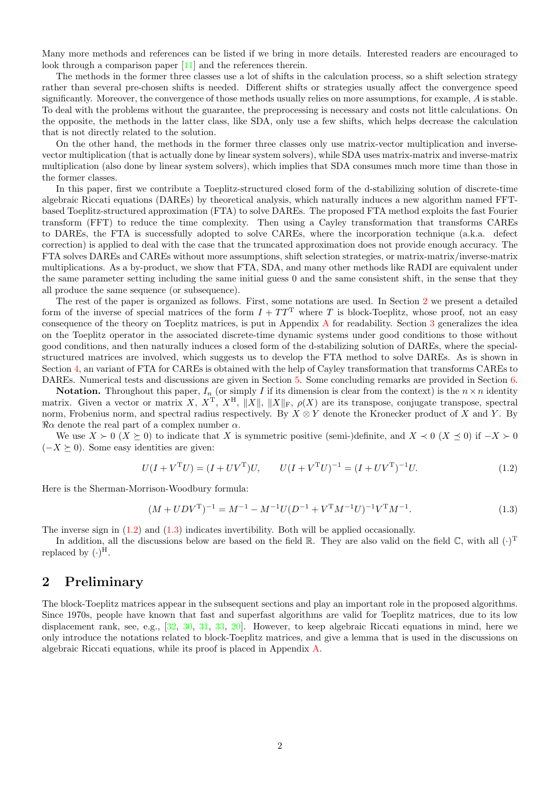Many more methods and references can be listed if we bring in more details. Interested readers are encouraged to look through a comparison paper [\[11\]](#page-26-11) and the references therein.

The methods in the former three classes use a lot of shifts in the calculation process, so a shift selection strategy rather than several pre-chosen shifts is needed. Different shifts or strategies usually affect the convergence speed significantly. Moreover, the convergence of those methods usually relies on more assumptions, for example, A is stable. To deal with the problems without the guarantee, the preprocessing is necessary and costs not little calculations. On the opposite, the methods in the latter class, like SDA, only use a few shifts, which helps decrease the calculation that is not directly related to the solution.

On the other hand, the methods in the former three classes only use matrix-vector multiplication and inversevector multiplication (that is actually done by linear system solvers), while SDA uses matrix-matrix and inverse-matrix multiplication (also done by linear system solvers), which implies that SDA consumes much more time than those in the former classes.

In this paper, first we contribute a Toeplitz-structured closed form of the d-stabilizing solution of discrete-time algebraic Riccati equations (DAREs) by theoretical analysis, which naturally induces a new algorithm named FFTbased Toeplitz-structured approximation (FTA) to solve DAREs. The proposed FTA method exploits the fast Fourier transform (FFT) to reduce the time complexity. Then using a Cayley transformation that transforms CAREs to DAREs, the FTA is successfully adopted to solve CAREs, where the incorporation technique (a.k.a. defect correction) is applied to deal with the case that the truncated approximation does not provide enough accuracy. The FTA solves DAREs and CAREs without more assumptions, shift selection strategies, or matrix-matrix/inverse-matrix multiplications. As a by-product, we show that FTA, SDA, and many other methods like RADI are equivalent under the same parameter setting including the same initial guess 0 and the same consistent shift, in the sense that they all produce the same sequence (or subsequence).

The rest of the paper is organized as follows. First, some notations are used. In Section [2](#page-1-0) we present a detailed form of the inverse of special matrices of the form  $I + TT<sup>T</sup>$  where T is block-Toeplitz, whose proof, not an easy consequence of the theory on Toeplitz matrices, is put in Appendix [A](#page-19-0) for readability. Section [3](#page-3-0) generalizes the idea on the Toeplitz operator in the associated discrete-time dynamic systems under good conditions to those without good conditions, and then naturally induces a closed form of the d-stabilizing solution of DAREs, where the specialstructured matrices are involved, which suggests us to develop the FTA method to solve DAREs. As is shown in Section [4,](#page-11-0) an variant of FTA for CAREs is obtained with the help of Cayley transformation that transforms CAREs to DAREs. Numerical tests and discussions are given in Section [5.](#page-17-0) Some concluding remarks are provided in Section [6.](#page-19-1)

**Notation.** Throughout this paper,  $I_n$  (or simply I if its dimension is clear from the context) is the  $n \times n$  identity matrix. Given a vector or matrix X,  $X^T$ ,  $X^H$ ,  $||X||_F$ ,  $||X||_F$ ,  $\rho(X)$  are its transpose, conjugate transpose, spectral norm, Frobenius norm, and spectral radius respectively. By  $X \otimes Y$  denote the Kronecker product of X and Y. By  $\Re \alpha$  denote the real part of a complex number  $\alpha$ .

We use  $X \succ 0$  ( $X \succeq 0$ ) to indicate that X is symmetric positive (semi-)definite, and  $X \prec 0$  ( $X \preceq 0$ ) if  $-X \succ 0$  $(-X \succeq 0)$ . Some easy identities are given:

<span id="page-1-1"></span>
$$
U(I + VTU) = (I + UVT)U, \qquad U(I + VTU)-1 = (I + UVT)-1U.
$$
\n(1.2)

Here is the Sherman-Morrison-Woodbury formula:

<span id="page-1-2"></span>
$$
(M + UDV^{\mathrm{T}})^{-1} = M^{-1} - M^{-1}U(D^{-1} + V^{\mathrm{T}}M^{-1}U)^{-1}V^{\mathrm{T}}M^{-1}.
$$
\n(1.3)

The inverse sign in [\(1.2\)](#page-1-1) and [\(1.3\)](#page-1-2) indicates invertibility. Both will be applied occasionally.

In addition, all the discussions below are based on the field  $\mathbb R$ . They are also valid on the field  $\mathbb C$ , with all  $(\cdot)^T$ replaced by  $(\cdot)^{H}$ .

# <span id="page-1-0"></span>2 Preliminary

The block-Toeplitz matrices appear in the subsequent sections and play an important role in the proposed algorithms. Since 1970s, people have known that fast and superfast algorithms are valid for Toeplitz matrices, due to its low displacement rank, see, e.g., [\[32,](#page-26-12) [30,](#page-26-13) [31,](#page-26-14) [33,](#page-26-15) [20\]](#page-26-16). However, to keep algebraic Riccati equations in mind, here we only introduce the notations related to block-Toeplitz matrices, and give a lemma that is used in the discussions on algebraic Riccati equations, while its proof is placed in Appendix [A.](#page-19-0)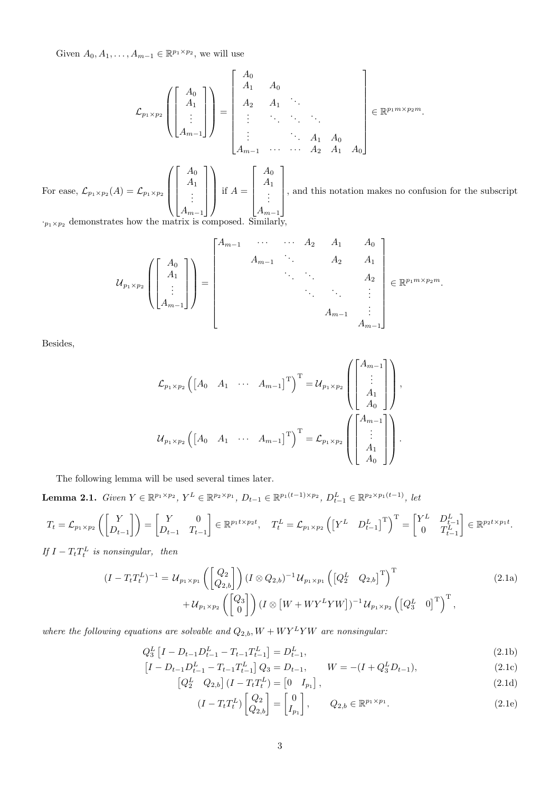Given  $A_0, A_1, \ldots, A_{m-1} \in \mathbb{R}^{p_1 \times p_2}$ , we will use

$$
\mathcal{L}_{p_1 \times p_2} \left( \begin{bmatrix} A_0 \\ A_1 \\ \vdots \\ A_{m-1} \end{bmatrix} \right) = \begin{bmatrix} A_0 \\ A_1 & A_0 \\ \vdots & \ddots & \ddots \\ \vdots & \ddots & \ddots & \vdots \\ A_{m-1} & \cdots & \cdots & A_2 & A_1 & A_0 \end{bmatrix} \in \mathbb{R}^{p_1 m \times p_2 m}.
$$

For ease,  $\mathcal{L}_{p_1 \times p_2}(A) = \mathcal{L}_{p_1 \times p_2}$  $\sqrt{ }$  $\overline{\phantom{a}}$  $\lceil$   $A_0$  $A_1$ . . .  $A_{m-1}$ 1  $\setminus$  $\int$  if  $A =$  $\sqrt{ }$   $A_0$  $A_1$ . . .  $A_{m-1}$ 1 , and this notation makes no confusion for the subscript

 $\cdot_{p_1 \times p_2}$  demonstrates how the matrix is composed. Similarly,

$$
u_{p_1 \times p_2} \left( \begin{bmatrix} A_0 \\ A_1 \\ \vdots \\ A_{m-1} \end{bmatrix} \right) = \begin{bmatrix} A_{m-1} & \cdots & \cdots & A_2 & A_1 & A_0 \\ & A_{m-1} & \ddots & A_2 & A_1 \\ & & \ddots & \ddots & A_2 & A_2 \\ & & & \ddots & \ddots & \vdots \\ & & & & A_{m-1} & \vdots \\ & & & & A_{m-1} & \vdots \\ & & & & & A_{m-1} \end{bmatrix} \in \mathbb{R}^{p_1 m \times p_2 m}.
$$

Besides,

$$
\mathcal{L}_{p_1 \times p_2} \left( \begin{bmatrix} A_0 & A_1 & \cdots & A_{m-1} \end{bmatrix}^{\mathrm{T}} \right)^{\mathrm{T}} = \mathcal{U}_{p_1 \times p_2} \left( \begin{bmatrix} A_{m-1} \\ \vdots \\ A_1 \\ A_0 \end{bmatrix} \right),
$$
  

$$
\mathcal{U}_{p_1 \times p_2} \left( \begin{bmatrix} A_0 & A_1 & \cdots & A_{m-1} \end{bmatrix}^{\mathrm{T}} \right)^{\mathrm{T}} = \mathcal{L}_{p_1 \times p_2} \left( \begin{bmatrix} A_{m-1} \\ \vdots \\ A_1 \\ A_0 \end{bmatrix} \right).
$$

The following lemma will be used several times later.

<span id="page-2-0"></span>**Lemma 2.1.** Given  $Y \in \mathbb{R}^{p_1 \times p_2}$ ,  $Y^L \in \mathbb{R}^{p_2 \times p_1}$ ,  $D_{t-1} \in \mathbb{R}^{p_1(t-1) \times p_2}$ ,  $D_{t-1}^L \in \mathbb{R}^{p_2 \times p_1(t-1)}$ , let

$$
T_t = \mathcal{L}_{p_1 \times p_2} \left( \begin{bmatrix} Y \\ D_{t-1} \end{bmatrix} \right) = \begin{bmatrix} Y & 0 \\ D_{t-1} & T_{t-1} \end{bmatrix} \in \mathbb{R}^{p_1 t \times p_2 t}, \quad T_t^L = \mathcal{L}_{p_1 \times p_2} \left( \begin{bmatrix} Y^L & D_{t-1}^L \end{bmatrix}^T \right)^T = \begin{bmatrix} Y^L & D_{t-1}^L \\ 0 & T_{t-1}^L \end{bmatrix} \in \mathbb{R}^{p_2 t \times p_1 t}.
$$

If  $I - T_t T_t^L$  is nonsingular, then

<span id="page-2-1"></span>
$$
(I - T_t T_t^L)^{-1} = U_{p_1 \times p_1} \left( \begin{bmatrix} Q_2 \\ Q_{2,b} \end{bmatrix} \right) (I \otimes Q_{2,b})^{-1} U_{p_1 \times p_1} \left( \begin{bmatrix} Q_2^L & Q_{2,b} \end{bmatrix}^T \right)^T + U_{p_1 \times p_2} \left( \begin{bmatrix} Q_3 \\ 0 \end{bmatrix} \right) (I \otimes [W + W Y^L Y W])^{-1} U_{p_1 \times p_2} \left( \begin{bmatrix} Q_3^L & 0 \end{bmatrix}^T \right)^T,
$$
\n
$$
(2.1a)
$$

where the following equations are solvable and  $Q_{2,b}, W + W Y^L Y W$  are nonsingular:

$$
Q_3^L \left[ I - D_{t-1} D_{t-1}^L - T_{t-1} T_{t-1}^L \right] = D_{t-1}^L,
$$
\n(2.1b)

$$
\left[I - D_{t-1}D_{t-1}^{L} - T_{t-1}T_{t-1}^{L}\right]Q_{3} = D_{t-1}, \qquad W = -(I + Q_{3}^{L}D_{t-1}), \tag{2.1c}
$$

$$
\begin{bmatrix} Q_2^L & Q_{2,b} \end{bmatrix} \begin{bmatrix} I - T_t T_t^L \end{bmatrix} = \begin{bmatrix} 0 & I_{p_1} \end{bmatrix},\tag{2.1d}
$$

$$
(I - T_t T_t^L) \begin{bmatrix} Q_2 \\ Q_{2,b} \end{bmatrix} = \begin{bmatrix} 0 \\ I_{p_1} \end{bmatrix}, \qquad Q_{2,b} \in \mathbb{R}^{p_1 \times p_1}.
$$
 (2.1e)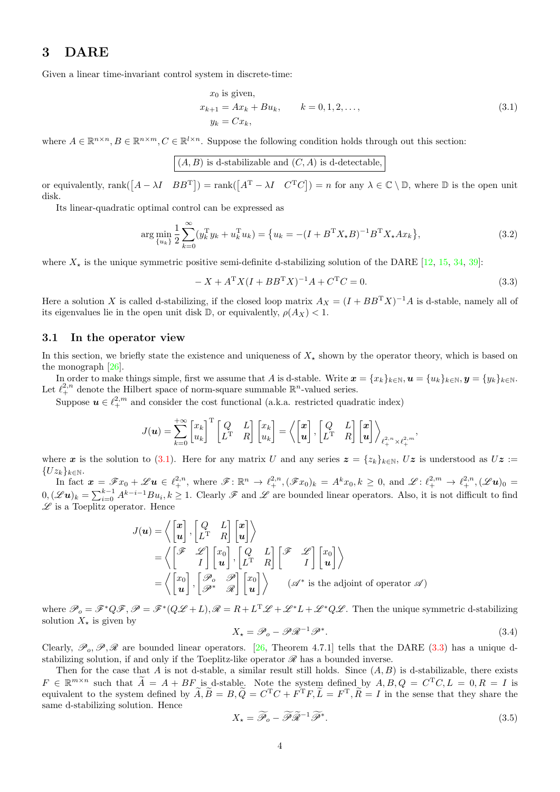# <span id="page-3-0"></span>3 DARE

Given a linear time-invariant control system in discrete-time:

<span id="page-3-1"></span>
$$
x_0
$$
 is given,  
\n $x_{k+1} = Ax_k + Bu_k$ ,  $k = 0, 1, 2, ...,$   
\n $y_k = Cx_k$ , (3.1)

where  $A \in \mathbb{R}^{n \times n}, B \in \mathbb{R}^{n \times m}, C \in \mathbb{R}^{l \times n}$ . Suppose the following condition holds through out this section:

$$
({\cal A},{\cal B})
$$
 is d-stabilizable and  $({\cal C},{\cal A})$  is d-detectable,

or equivalently, rank $([A - \lambda I \ B B^T]) = \text{rank}([A^T - \lambda I \ C^T C]) = n$  for any  $\lambda \in \mathbb{C} \setminus \mathbb{D}$ , where  $\mathbb D$  is the open unit disk.

Its linear-quadratic optimal control can be expressed as

<span id="page-3-6"></span>
$$
\arg\min_{\{u_k\}} \frac{1}{2} \sum_{k=0}^{\infty} (y_k^{\mathrm{T}} y_k + u_k^{\mathrm{T}} u_k) = \{u_k = -(I + B^{\mathrm{T}} X_\star B)^{-1} B^{\mathrm{T}} X_\star A x_k\},\tag{3.2}
$$

where  $X_{\star}$  is the unique symmetric positive semi-definite d-stabilizing solution of the DARE [\[12,](#page-26-3) [15,](#page-26-17) [34,](#page-26-18) [39\]](#page-26-19):

<span id="page-3-2"></span>
$$
-X + A^{T}X(I + BB^{T}X)^{-1}A + C^{T}C = 0.
$$
\n(3.3)

Here a solution X is called d-stabilizing, if the closed loop matrix  $A_X = (I + BB^T X)^{-1}A$  is d-stable, namely all of its eigenvalues lie in the open unit disk  $\mathbb{D}$ , or equivalently,  $\rho(A_X) < 1$ .

#### <span id="page-3-5"></span>3.1 In the operator view

In this section, we briefly state the existence and uniqueness of  $X_{\star}$  shown by the operator theory, which is based on the monograph [\[26\]](#page-26-20).

In order to make things simple, first we assume that A is d-stable. Write  $\mathbf{x} = \{x_k\}_{k\in\mathbb{N}}$ ,  $\mathbf{u} = \{u_k\}_{k\in\mathbb{N}}$ ,  $\mathbf{y} = \{y_k\}_{k\in\mathbb{N}}$ . Let  $\ell^{2,n}_+$  denote the Hilbert space of norm-square summable  $\mathbb{R}^n$ -valued series.

Suppose  $u \in \ell_{+}^{2,m}$  and consider the cost functional (a.k.a. restricted quadratic index)

$$
J(\boldsymbol{u}) = \sum_{k=0}^{+\infty} \begin{bmatrix} x_k \\ u_k \end{bmatrix}^{\mathrm{T}} \begin{bmatrix} Q & L \\ L^{\mathrm{T}} & R \end{bmatrix} \begin{bmatrix} x_k \\ u_k \end{bmatrix} = \left\langle \begin{bmatrix} \boldsymbol{x} \\ \boldsymbol{u} \end{bmatrix}, \begin{bmatrix} Q & L \\ L^{\mathrm{T}} & R \end{bmatrix} \begin{bmatrix} \boldsymbol{x} \\ \boldsymbol{u} \end{bmatrix} \right\rangle_{\ell^{2,n}_+, \times \ell^{2,m}_+},
$$

where x is the solution to [\(3.1\)](#page-3-1). Here for any matrix U and any series  $z = \{z_k\}_{k\in\mathbb{N}}$ ,  $Uz$  is understood as  $Uz :=$  ${Uz_k}_{k\in\mathbb{N}}$ .

In fact  $\mathbf{x} = \mathscr{F}x_0 + \mathscr{L}\mathbf{u} \in \ell^{2,n}_+,$  where  $\mathscr{F} \colon \mathbb{R}^n \to \ell^{2,n}_+, (\mathscr{F}x_0)_k = A^k x_0, k \geq 0$ , and  $\mathscr{L} \colon \ell^{2,m}_+ \to \ell^{2,n}_+, (\mathscr{L}\mathbf{u})_0 =$  $0,(\mathscr{L}u)_k=\sum_{i=0}^{k-1}A^{k-i-1}Bu_i,k\geq 1.$  Clearly  $\mathscr{F}$  and  $\mathscr{L}$  are bounded linear operators. Also, it is not difficult to find  $\mathscr L$  is a Toeplitz operator. Hence

$$
J(\mathbf{u}) = \left\langle \begin{bmatrix} x \\ \mathbf{u} \end{bmatrix}, \begin{bmatrix} Q & L \\ L^T & R \end{bmatrix} \begin{bmatrix} x \\ \mathbf{u} \end{bmatrix} \right\rangle
$$
  
= 
$$
\left\langle \begin{bmatrix} \mathcal{F} & \mathcal{L} \\ I \end{bmatrix} \begin{bmatrix} x_0 \\ \mathbf{u} \end{bmatrix}, \begin{bmatrix} Q & L \\ L^T & R \end{bmatrix} \begin{bmatrix} \mathcal{F} & \mathcal{L} \\ I \end{bmatrix} \begin{bmatrix} x_0 \\ \mathbf{u} \end{bmatrix} \right\rangle
$$
  
= 
$$
\left\langle \begin{bmatrix} x_0 \\ \mathbf{u} \end{bmatrix}, \begin{bmatrix} \mathcal{P}_o & \mathcal{P} \\ \mathcal{P}^* & \mathcal{R} \end{bmatrix} \begin{bmatrix} x_0 \\ \mathbf{u} \end{bmatrix} \right\rangle \qquad (\mathcal{A}^*)
$$
 is the adjoint of operator  $\mathcal{A}$ )

where  $\mathscr{P}_o = \mathscr{F}^*Q\mathscr{F}, \mathscr{P} = \mathscr{F}^*(Q\mathscr{L}+L), \mathscr{R} = R + L^T\mathscr{L} + \mathscr{L}^*L + \mathscr{L}^*Q\mathscr{L}$ . Then the unique symmetric d-stabilizing solution  $X_{\star}$  is given by

<span id="page-3-3"></span>
$$
X_{\star} = \mathcal{P}_o - \mathcal{P}\mathcal{R}^{-1}\mathcal{P}^*.
$$
\n(3.4)

Clearly,  $\mathscr{P}_0, \mathscr{P}, \mathscr{R}$  are bounded linear operators. [\[26,](#page-26-20) Theorem 4.7.1] tells that the DARE [\(3.3\)](#page-3-2) has a unique dstabilizing solution, if and only if the Toeplitz-like operator  $\mathscr R$  has a bounded inverse.

Then for the case that A is not d-stable, a similar result still holds. Since  $(A, B)$  is d-stabilizable, there exists  $F \in \mathbb{R}^{m \times n}$  such that  $\widetilde{A} = A + BF$  is d-stable. Note the system defined by  $A, B, Q = C<sup>T</sup>C, L = 0, R = I$  is equivalent to the system defined by  $\tilde{A}, \tilde{B} = B, \tilde{Q} = C^{T}C + F^{T}F, \tilde{L} = F^{T}, \tilde{R} = I$  in the sense that they share the same d-stabilizing solution. Hence

<span id="page-3-4"></span>
$$
X_{\star} = \widetilde{\mathcal{P}}_{o} - \widetilde{\mathcal{P}} \widetilde{\mathcal{R}}^{-1} \widetilde{\mathcal{P}}^{*}.
$$
\n
$$
(3.5)
$$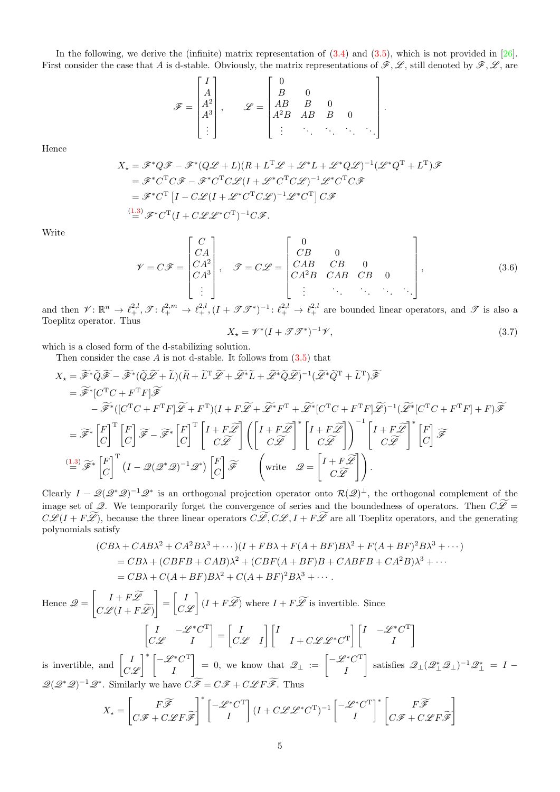In the following, we derive the (infinite) matrix representation of [\(3.4\)](#page-3-3) and [\(3.5\)](#page-3-4), which is not provided in [\[26\]](#page-26-20). First consider the case that A is d-stable. Obviously, the matrix representations of  $\mathscr{F}, \mathscr{L}$ , still denoted by  $\mathscr{F}, \mathscr{L}$ , are

$$
\mathscr{F} = \begin{bmatrix} I \\ A \\ A^2 \\ A^3 \\ \vdots \end{bmatrix}, \qquad \mathscr{L} = \begin{bmatrix} 0 \\ B & 0 \\ AB & B & 0 \\ A^2B & AB & B & 0 \\ \vdots & \vdots & \ddots & \ddots & \ddots \end{bmatrix}
$$

Hence

$$
X_{\star} = \mathscr{F}^*Q\mathscr{F} - \mathscr{F}^*(Q\mathscr{L} + L)(R + L^T\mathscr{L} + \mathscr{L}^*L + \mathscr{L}^*Q\mathscr{L})^{-1}(\mathscr{L}^*Q^T + L^T)\mathscr{F}
$$
  
\n
$$
= \mathscr{F}^*C^T C\mathscr{F} - \mathscr{F}^*C^T C\mathscr{L}(I + \mathscr{L}^*C^T C\mathscr{L})^{-1}\mathscr{L}^*C^T C\mathscr{F}
$$
  
\n
$$
= \mathscr{F}^*C^T [I - C\mathscr{L}(I + \mathscr{L}^*C^T C\mathscr{L})^{-1}\mathscr{L}^*C^T] C\mathscr{F}
$$
  
\n
$$
\stackrel{(1.3)}{=} \mathscr{F}^*C^T (I + C\mathscr{L}\mathscr{L}^*C^T)^{-1} C\mathscr{F}.
$$

Write

<span id="page-4-0"></span>
$$
\mathcal{V} = C\mathcal{F} = \begin{bmatrix} C \\ CA \\ CA^2 \\ CA^3 \\ \vdots \end{bmatrix}, \quad \mathcal{F} = C\mathcal{L} = \begin{bmatrix} 0 \\ CB & 0 \\ CAB & CB & 0 \\ CA^2B & CAB & CB & 0 \\ \vdots & \vdots & \ddots & \ddots & \ddots \end{bmatrix}, \tag{3.6}
$$

and then  $\mathscr{V} \colon \mathbb{R}^n \to \ell^{2,l}_+$ ,  $\mathscr{T} \colon \ell^{2,m}_+ \to \ell^{2,l}_+$ ,  $(I + \mathscr{T} \mathscr{T}^*)^{-1} \colon \ell^{2,l}_+ \to \ell^{2,l}_+$  are bounded linear operators, and  $\mathscr{T}$  is also a Toeplitz operator. Thus<br> $X = \mathcal{X}^*$ 

<span id="page-4-1"></span>
$$
X_{\star} = \mathscr{V}^*(I + \mathscr{T}\mathscr{T}^*)^{-1}\mathscr{V},\tag{3.7}
$$

.

which is a closed form of the d-stabilizing solution.

Then consider the case  $A$  is not d-stable. It follows from  $(3.5)$  that

$$
X_{\star} = \widetilde{\mathscr{F}}^{\ast} \widetilde{Q} \widetilde{\mathscr{F}} - \widetilde{\mathscr{F}}^{\ast} (\widetilde{Q} \widetilde{\mathscr{L}} + \widetilde{L})(\widetilde{R} + \widetilde{L}^{T} \widetilde{\mathscr{L}} + \widetilde{\mathscr{L}}^{\ast} \widetilde{L} + \widetilde{\mathscr{L}}^{\ast} \widetilde{Q} \widetilde{\mathscr{L}})^{-1} (\widetilde{\mathscr{L}}^{\ast} \widetilde{Q}^{T} + \widetilde{L}^{T}) \widetilde{\mathscr{F}}
$$
  
\n
$$
= \widetilde{\mathscr{F}}^{\ast} [C^{T}C + F^{T}F] \widetilde{\mathscr{F}}
$$
  
\n
$$
- \widetilde{\mathscr{F}}^{\ast} ([C^{T}C + F^{T}F] \widetilde{\mathscr{L}} + F^{T}) (I + F \widetilde{\mathscr{L}} + \widetilde{\mathscr{L}}^{\ast} F^{T} + \widetilde{\mathscr{L}}^{\ast} [C^{T}C + F^{T}F] \widetilde{\mathscr{L}})]^{-1} (\widetilde{\mathscr{L}}^{\ast} [C^{T}C + F^{T}F] + F) \widetilde{\mathscr{F}}
$$
  
\n
$$
= \widetilde{\mathscr{F}}^{\ast} \begin{bmatrix} F \\ C \end{bmatrix}^{T} \begin{bmatrix} F \\ C \end{bmatrix} \widetilde{\mathscr{F}} - \widetilde{\mathscr{F}}^{\ast} \begin{bmatrix} F \\ C \end{bmatrix}^{T} \begin{bmatrix} I + F \widetilde{\mathscr{L}} \\ C \widetilde{\mathscr{L}} \end{bmatrix} \left( \begin{bmatrix} I + F \widetilde{\mathscr{L}} \\ C \widetilde{\mathscr{L}} \end{bmatrix}^{\ast} \begin{bmatrix} I + F \widetilde{\mathscr{L}} \\ C \widetilde{\mathscr{L}} \end{bmatrix} \right)^{-1} \begin{bmatrix} I + F \widetilde{\mathscr{L}} \\ C \widetilde{\mathscr{L}} \end{bmatrix}^{\ast} \begin{bmatrix} F \\ C \end{bmatrix} \widetilde{\mathscr{F}}
$$
  
\n
$$
\stackrel{(1.3)}{=} \widetilde{\mathscr{F}}^{\ast} \begin{bmatrix} F
$$

Clearly  $I - \mathcal{Q}(\mathcal{Q}^*\mathcal{Q})^{-1}\mathcal{Q}^*$  is an orthogonal projection operator onto  $\mathcal{R}(\mathcal{Q})^{\perp}$ , the orthogonal complement of the image set of Q. We temporarily forget the convergence of series and the boundedness of operators. Then  $C\widetilde{\mathscr{L}}=$  $C\mathscr{L}(I + F\widetilde{\mathscr{L}})$ , because the three linear operators  $C\widetilde{\mathscr{L}}, C\mathscr{L}, I + F\widetilde{\mathscr{L}}$  are all Toeplitz operators, and the generating polynomials satisfy

$$
(CB\lambda + CAB\lambda^2 + CA^2B\lambda^3 + \cdots)(I + FB\lambda + F(A + BF)B\lambda^2 + F(A + BF)^2B\lambda^3 + \cdots)
$$
  
= CB\lambda + (CBFB + CAB)\lambda^2 + (CBF(A + BF)B + CABFB + CA^2B)\lambda^3 + \cdots  
= CB\lambda + C(A + BF)B\lambda^2 + C(A + BF)^2B\lambda^3 + \cdots.

Hence  $\mathscr{Q} =$  $\begin{bmatrix} I + F \widetilde{\mathscr{L}} \end{bmatrix}$  $C\mathscr{L}(I + F\mathscr{L})$ 1  $=\begin{bmatrix} I \\ O \end{bmatrix}$  $C2$  $\left( I + F \widetilde{\mathscr{L}} \right)$  where  $I + F \widetilde{\mathscr{L}}$  is invertible. Since  $\begin{bmatrix} I & -\mathscr{L}^*C^T \end{bmatrix}$  $C\mathscr{L}$  *I*  $\Big] = \Big[ \begin{matrix} I \\ \alpha \end{matrix}$  $C\mathscr{L}$  *I*  $\lceil$   $\lceil$  I  $I + C\mathscr{L}\mathscr{L}^*C^{\mathrm{T}} \begin{bmatrix} I & -\mathscr{L}^*C^{\mathrm{T}} & I \end{bmatrix}$ I 1 is invertible, and  $\begin{bmatrix} I \\ O \end{bmatrix}$  $C2$  $\big]$ <sup>\*</sup>  $\big[ -\mathscr{L}^* C^T$ I  $\Big] = 0$ , we know that  $\mathscr{Q}_{\perp} := \Big[ \begin{matrix} -\mathscr{L}^* C^{\mathrm{T}} & \mathscr{L} \end{matrix} \Big]$ I satisfies  $\mathscr{Q}_{\perp}(\mathscr{Q}_{\perp}^*\mathscr{Q}_{\perp})^{-1}\mathscr{Q}_{\perp}^*=I-1$ 

 $\mathscr{Q}(\mathscr{Q}^*\mathscr{Q})^{-1}\mathscr{Q}^*$ . Similarly we have  $C\widetilde{\mathscr{F}}= C\mathscr{F}+ C\mathscr{L}F\widetilde{\mathscr{F}}$ . Thus

$$
X_{\star} = \begin{bmatrix} F\widetilde{\mathcal{F}} \\ C\mathcal{F} + C\mathcal{L}F\widetilde{\mathcal{F}} \end{bmatrix}^* \begin{bmatrix} -\mathcal{L}^*C^{\mathrm{T}} \\ I \end{bmatrix} (I + C\mathcal{L}\mathcal{L}^*C^{\mathrm{T}})^{-1} \begin{bmatrix} -\mathcal{L}^*C^{\mathrm{T}} \\ I \end{bmatrix}^* \begin{bmatrix} F\widetilde{\mathcal{F}} \\ C\mathcal{F} + C\mathcal{L}F\widetilde{\mathcal{F}} \end{bmatrix}
$$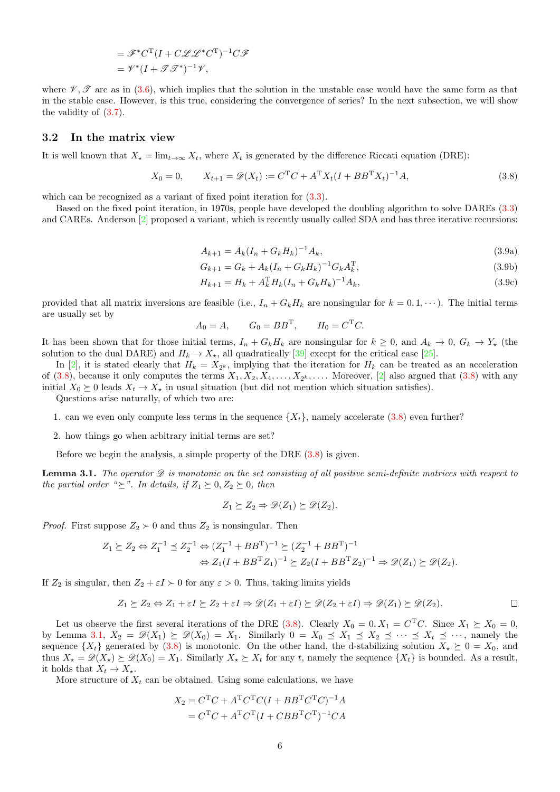$$
= \mathcal{F}^* C^{\mathrm{T}} (I + C \mathcal{L} \mathcal{L}^* C^{\mathrm{T}})^{-1} C \mathcal{F}
$$
  
=  $\mathcal{V}^* (I + \mathcal{F} \mathcal{F}^*)^{-1} \mathcal{V},$ 

where  $\mathscr{V}, \mathscr{T}$  are as in [\(3.6\)](#page-4-0), which implies that the solution in the unstable case would have the same form as that in the stable case. However, is this true, considering the convergence of series? In the next subsection, we will show the validity of [\(3.7\)](#page-4-1).

#### <span id="page-5-4"></span>3.2 In the matrix view

It is well known that  $X_{\star} = \lim_{t \to \infty} X_t$ , where  $X_t$  is generated by the difference Riccati equation (DRE):

<span id="page-5-0"></span>
$$
X_0 = 0, \qquad X_{t+1} = \mathcal{D}(X_t) := C^{T}C + A^{T}X_t(I + BB^{T}X_t)^{-1}A,
$$
\n(3.8)

which can be recognized as a variant of fixed point iteration for  $(3.3)$ .

<span id="page-5-3"></span>Based on the fixed point iteration, in 1970s, people have developed the doubling algorithm to solve DAREs [\(3.3\)](#page-3-2) and CAREs. Anderson [\[2\]](#page-25-7) proposed a variant, which is recently usually called SDA and has three iterative recursions:

<span id="page-5-2"></span>
$$
A_{k+1} = A_k (I_n + G_k H_k)^{-1} A_k, \tag{3.9a}
$$

$$
G_{k+1} = G_k + A_k (I_n + G_k H_k)^{-1} G_k A_k^{\mathrm{T}}, \tag{3.9b}
$$

$$
H_{k+1} = H_k + A_k^{\mathrm{T}} H_k (I_n + G_k H_k)^{-1} A_k, \tag{3.9c}
$$

provided that all matrix inversions are feasible (i.e.,  $I_n + G_k H_k$  are nonsingular for  $k = 0, 1, \dots$ ). The initial terms are usually set by

$$
A_0 = A, \qquad G_0 = BB^{\mathrm{T}}, \qquad H_0 = C^{\mathrm{T}}C.
$$

It has been shown that for those initial terms,  $I_n + G_k H_k$  are nonsingular for  $k \geq 0$ , and  $A_k \to 0$ ,  $G_k \to Y_*$  (the solution to the dual DARE) and  $H_k \to X_{\star}$ , all quadratically [\[39\]](#page-26-19) except for the critical case [\[25\]](#page-26-21).

In [\[2\]](#page-25-7), it is stated clearly that  $H_k = X_{2^k}$ , implying that the iteration for  $H_k$  can be treated as an acceleration of  $(3.8)$ , because it only computes the terms  $X_1, X_2, X_4, \ldots, X_{2^k}, \ldots$ . Moreover,  $[2]$  also argued that  $(3.8)$  with any initial  $X_0 \succeq 0$  leads  $X_t \to X_*$  in usual situation (but did not mention which situation satisfies).

Questions arise naturally, of which two are:

- 1. can we even only compute less terms in the sequence  $\{X_t\}$ , namely accelerate [\(3.8\)](#page-5-0) even further?
- 2. how things go when arbitrary initial terms are set?

Before we begin the analysis, a simple property of the DRE  $(3.8)$  is given.

<span id="page-5-1"></span>**Lemma 3.1.** The operator  $\mathscr D$  is monotonic on the set consisting of all positive semi-definite matrices with respect to the partial order " $\succeq$ ". In details, if  $Z_1 \succeq 0, Z_2 \succeq 0$ , then

$$
Z_1 \succeq Z_2 \Rightarrow \mathscr{D}(Z_1) \succeq \mathscr{D}(Z_2).
$$

*Proof.* First suppose  $Z_2 \succ 0$  and thus  $Z_2$  is nonsingular. Then

$$
Z_1 \succeq Z_2 \Leftrightarrow Z_1^{-1} \preceq Z_2^{-1} \Leftrightarrow (Z_1^{-1} + BB^{\mathrm{T}})^{-1} \succeq (Z_2^{-1} + BB^{\mathrm{T}})^{-1}
$$

$$
\Leftrightarrow Z_1(I + BB^{\mathrm{T}} Z_1)^{-1} \succeq Z_2(I + BB^{\mathrm{T}} Z_2)^{-1} \Rightarrow \mathscr{D}(Z_1) \succeq \mathscr{D}(Z_2).
$$

If  $Z_2$  is singular, then  $Z_2 + \varepsilon I \succ 0$  for any  $\varepsilon > 0$ . Thus, taking limits yields

$$
Z_1 \succeq Z_2 \Leftrightarrow Z_1 + \varepsilon I \succeq Z_2 + \varepsilon I \Rightarrow \mathscr{D}(Z_1 + \varepsilon I) \succeq \mathscr{D}(Z_2 + \varepsilon I) \Rightarrow \mathscr{D}(Z_1) \succeq \mathscr{D}(Z_2).
$$

Let us observe the first several iterations of the DRE [\(3.8\)](#page-5-0). Clearly  $X_0 = 0, X_1 = C^{\mathrm{T}}C$ . Since  $X_1 \succeq X_0 = 0$ , by Lemma [3.1,](#page-5-1)  $X_2 = \mathcal{D}(X_1) \succeq \mathcal{D}(X_0) = X_1$ . Similarly  $0 = X_0 \preceq X_1 \preceq X_2 \preceq \cdots \preceq X_t \preceq \cdots$ , namely the sequence  $\{X_t\}$  generated by [\(3.8\)](#page-5-0) is monotonic. On the other hand, the d-stabilizing solution  $X_{\star} \succeq 0 = X_0$ , and thus  $X_{\star} = \mathscr{D}(X_{\star}) \succeq \mathscr{D}(X_0) = X_1$ . Similarly  $X_{\star} \succeq X_t$  for any t, namely the sequence  $\{X_t\}$  is bounded. As a result, it holds that  $X_t \to X_*$ .

More structure of  $X_t$  can be obtained. Using some calculations, we have

$$
X_2 = CTC + ATCTC(I + BBTCTC)-1A
$$
  
= C<sup>T</sup>C + A<sup>T</sup>C<sup>T</sup>(I + CBB<sup>T</sup>C<sup>T</sup>)<sup>-1</sup>CA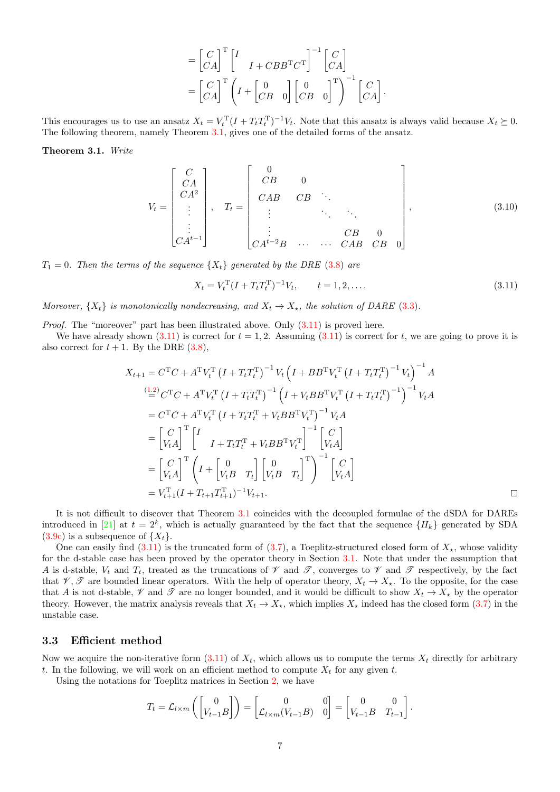$$
= \begin{bmatrix} C \\ CA \end{bmatrix}^{\mathrm{T}} \begin{bmatrix} I & & \\ & I + CBB^{\mathrm{T}}C^{\mathrm{T}} \end{bmatrix}^{-1} \begin{bmatrix} C \\ CA \end{bmatrix}
$$

$$
= \begin{bmatrix} C \\ CA \end{bmatrix}^{\mathrm{T}} \begin{bmatrix} I + \begin{bmatrix} 0 & \\ CB & 0 \end{bmatrix} \begin{bmatrix} 0 & \\ CB & 0 \end{bmatrix}^{\mathrm{T}} \begin{bmatrix} 0 \\ CB & 0 \end{bmatrix}^{-1} \begin{bmatrix} C \\ CA \end{bmatrix}.
$$

This encourages us to use an ansatz  $X_t = V_t^{\mathrm{T}} (I + T_t T_t^{\mathrm{T}})^{-1} V_t$ . Note that this ansatz is always valid because  $X_t \succeq 0$ . The following theorem, namely Theorem [3.1,](#page-6-0) gives one of the detailed forms of the ansatz.

<span id="page-6-0"></span>Theorem 3.1. Write

<span id="page-6-2"></span>
$$
V_{t} = \begin{bmatrix} C \\ CA \\ CA^{2} \\ \vdots \\ CA^{t-1} \end{bmatrix}, \quad T_{t} = \begin{bmatrix} 0 \\ CB & 0 \\ CAB & CB & \ddots \\ \vdots & \ddots & \ddots \\ CA^{t-2}B & \cdots & CAB & CB & 0 \end{bmatrix}, \quad (3.10)
$$

 $T_1 = 0$ . Then the terms of the sequence  $\{X_t\}$  generated by the DRE [\(3.8\)](#page-5-0) are

<span id="page-6-1"></span>
$$
X_t = V_t^{\mathrm{T}} (I + T_t T_t^{\mathrm{T}})^{-1} V_t, \qquad t = 1, 2, \dots.
$$
 (3.11)

Moreover,  $\{X_t\}$  is monotonically nondecreasing, and  $X_t \to X_*$ , the solution of DARE [\(3.3\)](#page-3-2).

*Proof.* The "moreover" part has been illustrated above. Only  $(3.11)$  is proved here.

We have already shown [\(3.11\)](#page-6-1) is correct for  $t = 1, 2$ . Assuming (3.11) is correct for t, we are going to prove it is also correct for  $t + 1$ . By the DRE  $(3.8)$ ,

$$
X_{t+1} = C^{T}C + A^{T}V_{t}^{T} (I + T_{t}T_{t}^{T})^{-1} V_{t} (I + BB^{T}V_{t}^{T} (I + T_{t}T_{t}^{T})^{-1} V_{t})^{-1} A
$$
  
\n
$$
\stackrel{(1.2)}{=} C^{T}C + A^{T}V_{t}^{T} (I + T_{t}T_{t}^{T})^{-1} (I + V_{t}BB^{T}V_{t}^{T} (I + T_{t}T_{t}^{T})^{-1})^{-1} V_{t}A
$$
  
\n
$$
= C^{T}C + A^{T}V_{t}^{T} (I + T_{t}T_{t}^{T} + V_{t}BB^{T}V_{t}^{T})^{-1} V_{t}A
$$
  
\n
$$
= \begin{bmatrix} C \\ V_{t}A \end{bmatrix}^{T} \begin{bmatrix} I \\ I + T_{t}T_{t}^{T} + V_{t}BB^{T}V_{t}^{T} \end{bmatrix}^{-1} \begin{bmatrix} C \\ V_{t}A \end{bmatrix}
$$
  
\n
$$
= \begin{bmatrix} C \\ V_{t}A \end{bmatrix}^{T} \begin{bmatrix} I + \begin{bmatrix} 0 \\ V_{t}B & T_{t} \end{bmatrix} \begin{bmatrix} 0 \\ V_{t}B & T_{t} \end{bmatrix}^{-1} \begin{bmatrix} C \\ V_{t}A \end{bmatrix}
$$
  
\n
$$
= V_{t+1}^{T} (I + T_{t+1}T_{t+1}^{T})^{-1} V_{t+1}.
$$

It is not difficult to discover that Theorem [3.1](#page-6-0) coincides with the decoupled formulae of the dSDA for DAREs introduced in [\[21\]](#page-26-22) at  $t = 2^k$ , which is actually guaranteed by the fact that the sequence  $\{H_k\}$  generated by SDA  $(3.9c)$  is a subsequence of  $\{X_t\}.$ 

One can easily find  $(3.11)$  is the truncated form of  $(3.7)$ , a Toeplitz-structured closed form of  $X_{\star}$ , whose validity for the d-stable case has been proved by the operator theory in Section [3.1.](#page-3-5) Note that under the assumption that A is d-stable,  $V_t$  and  $T_t$ , treated as the truncations of  $\mathcal V$  and  $\mathcal T$ , converges to  $\mathcal V$  and  $\mathcal T$  respectively, by the fact that  $\mathscr{V}, \mathscr{T}$  are bounded linear operators. With the help of operator theory,  $X_t \to X_{\star}$ . To the opposite, for the case that A is not d-stable,  $\mathscr V$  and  $\mathscr T$  are no longer bounded, and it would be difficult to show  $X_t \to X_{\star}$  by the operator theory. However, the matrix analysis reveals that  $X_t \to X_{\star}$ , which implies  $X_{\star}$  indeed has the closed form [\(3.7\)](#page-4-1) in the unstable case.

#### <span id="page-6-3"></span>3.3 Efficient method

Now we acquire the non-iterative form [\(3.11\)](#page-6-1) of  $X_t$ , which allows us to compute the terms  $X_t$  directly for arbitrary t. In the following, we will work on an efficient method to compute  $X_t$  for any given t.

Using the notations for Toeplitz matrices in Section [2,](#page-1-0) we have

$$
T_t = \mathcal{L}_{l \times m} \left( \begin{bmatrix} 0 \\ V_{t-1} B \end{bmatrix} \right) = \begin{bmatrix} 0 & 0 \\ \mathcal{L}_{l \times m} (V_{t-1} B) & 0 \end{bmatrix} = \begin{bmatrix} 0 & 0 \\ V_{t-1} B & T_{t-1} \end{bmatrix}.
$$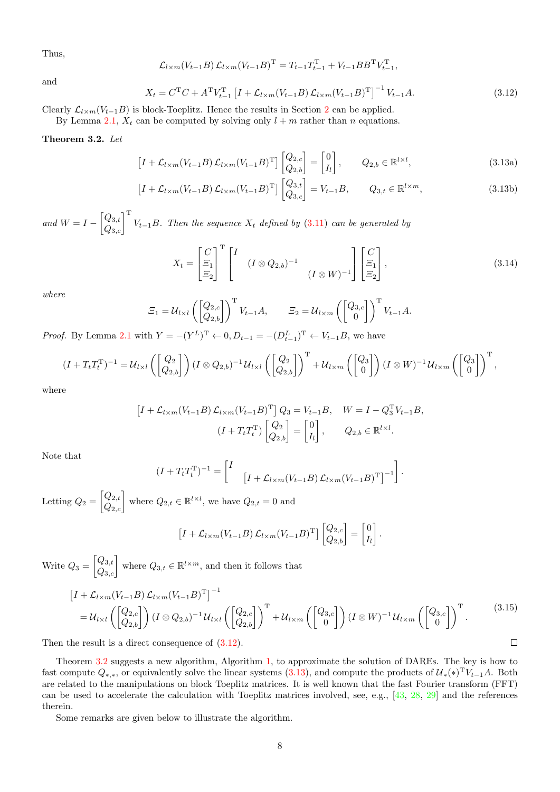Thus,

$$
\mathcal{L}_{l \times m}(V_{t-1}B) \mathcal{L}_{l \times m}(V_{t-1}B)^{\mathrm{T}} = T_{t-1}T_{t-1}^{\mathrm{T}} + V_{t-1}BB^{\mathrm{T}}V_{t-1}^{\mathrm{T}},
$$

and

<span id="page-7-0"></span>
$$
X_t = C^{\mathrm{T}}C + A^{\mathrm{T}}V_{t-1}^{\mathrm{T}} \left[ I + \mathcal{L}_{l \times m}(V_{t-1}B) \mathcal{L}_{l \times m}(V_{t-1}B)^{\mathrm{T}} \right]^{-1} V_{t-1}A. \tag{3.12}
$$

Clearly  $\mathcal{L}_{l \times m}(V_{t-1}B)$  is block-Toeplitz. Hence the results in Section [2](#page-1-0) can be applied.

By Lemma [2.1,](#page-2-0)  $X_t$  can be computed by solving only  $l + m$  rather than n equations.

#### <span id="page-7-1"></span>Theorem 3.2. Let

<span id="page-7-2"></span>
$$
\left[I + \mathcal{L}_{l \times m}(V_{t-1}B) \mathcal{L}_{l \times m}(V_{t-1}B)^{\mathrm{T}}\right] \begin{bmatrix} Q_{2,c} \\ Q_{2,b} \end{bmatrix} = \begin{bmatrix} 0 \\ I_l \end{bmatrix}, \qquad Q_{2,b} \in \mathbb{R}^{l \times l}, \tag{3.13a}
$$

$$
\left[I + \mathcal{L}_{l \times m}(V_{t-1}B) \mathcal{L}_{l \times m}(V_{t-1}B)^{\mathrm{T}}\right] \begin{bmatrix} Q_{3,t} \\ Q_{3,c} \end{bmatrix} = V_{t-1}B, \qquad Q_{3,t} \in \mathbb{R}^{l \times m},\tag{3.13b}
$$

and  $W = I - \begin{bmatrix} Q_{3,t} \\ Q_{3,c} \end{bmatrix}^{\mathrm{T}} V_{t-1}B$ . Then the sequence  $X_t$  defined by  $(3.11)$  can be generated by

<span id="page-7-3"></span>
$$
X_t = \begin{bmatrix} C \\ \Xi_1 \\ \Xi_2 \end{bmatrix}^{\mathrm{T}} \begin{bmatrix} I & (I \otimes Q_{2,b})^{-1} \\ & (I \otimes W)^{-1} \end{bmatrix} \begin{bmatrix} C \\ \Xi_1 \\ \Xi_2 \end{bmatrix},\tag{3.14}
$$

where

$$
\Xi_1 = \mathcal{U}_{l \times l} \left( \begin{bmatrix} Q_{2,c} \\ Q_{2,b} \end{bmatrix} \right)^{\mathrm{T}} V_{t-1} A, \qquad \Xi_2 = \mathcal{U}_{l \times m} \left( \begin{bmatrix} Q_{3,c} \\ 0 \end{bmatrix} \right)^{\mathrm{T}} V_{t-1} A.
$$

*Proof.* By Lemma [2.1](#page-2-0) with  $Y = -(Y^L)^T \leftarrow 0, D_{t-1} = -(D_{t-1}^L)^T \leftarrow V_{t-1}B$ , we have

$$
(I+T_tT_t^{\mathrm{T}})^{-1}=\mathcal{U}_{l\times l}\left(\begin{bmatrix}Q_2\\Q_{2,b}\end{bmatrix}\right)(I\otimes Q_{2,b})^{-1}\mathcal{U}_{l\times l}\left(\begin{bmatrix}Q_2\\Q_{2,b}\end{bmatrix}\right)^{\mathrm{T}}+\mathcal{U}_{l\times m}\left(\begin{bmatrix}Q_3\\0\end{bmatrix}\right)(I\otimes W)^{-1}\mathcal{U}_{l\times m}\left(\begin{bmatrix}Q_3\\0\end{bmatrix}\right)^{\mathrm{T}},
$$

where

$$
\begin{aligned}\n\left[I + \mathcal{L}_{l \times m}(V_{t-1}B) \mathcal{L}_{l \times m}(V_{t-1}B)^{\mathrm{T}}\right] Q_3 &= V_{t-1}B, \quad W = I - Q_3^{\mathrm{T}} V_{t-1}B, \\
\left(I + T_t T_t^{\mathrm{T}}\right) \begin{bmatrix} Q_2 \\ Q_{2,b} \end{bmatrix} &= \begin{bmatrix} 0 \\ I_l \end{bmatrix}, \qquad Q_{2,b} \in \mathbb{R}^{l \times l}.\n\end{aligned}
$$

Note that

$$
(I + T_t T_t^{\mathrm{T}})^{-1} = \begin{bmatrix} I & \left[ I + \mathcal{L}_{l \times m}(V_{t-1} B) \mathcal{L}_{l \times m}(V_{t-1} B)^{\mathrm{T}} \right]^{-1} \end{bmatrix}.
$$

Letting  $Q_2 = \begin{bmatrix} Q_{2,t} \\ Q_{2,c} \end{bmatrix}$  where  $Q_{2,t} \in \mathbb{R}^{l \times l}$ , we have  $Q_{2,t} = 0$  and

 $[I + \mathcal{L}_{l \times m}(V_{t-1}B) \mathcal{L}_{l \times m}(V_{t-1}B)^{\mathrm{T}}]$  $\begin{bmatrix} Q_{2,c} \\ Q_{2,b} \end{bmatrix} = \begin{bmatrix} 0 \\ I_{l} \end{bmatrix}$  $I_l$ .

Write  $Q_3 = \begin{bmatrix} Q_{3,t} \\ Q_{3,c} \end{bmatrix}$  where  $Q_{3,t} \in \mathbb{R}^{l \times m}$ , and then it follows that

<span id="page-7-4"></span>
$$
\begin{split}\n\left[I + \mathcal{L}_{l \times m}(V_{t-1}B) \mathcal{L}_{l \times m}(V_{t-1}B)^{\mathrm{T}}\right]^{-1} \\
= & \mathcal{U}_{l \times l}\left(\begin{bmatrix} Q_{2,c} \\ Q_{2,b} \end{bmatrix}\right) (I \otimes Q_{2,b})^{-1} \mathcal{U}_{l \times l}\left(\begin{bmatrix} Q_{2,c} \\ Q_{2,b} \end{bmatrix}\right)^{\mathrm{T}} + \mathcal{U}_{l \times m}\left(\begin{bmatrix} Q_{3,c} \\ 0 \end{bmatrix}\right) (I \otimes W)^{-1} \mathcal{U}_{l \times m}\left(\begin{bmatrix} Q_{3,c} \\ 0 \end{bmatrix}\right)^{\mathrm{T}}.\n\end{split} \text{the result is a direct consequence of (3.12). }\n\Box
$$

Then the result is a direct consequence of  $(3.12)$ .

Theorem [3.2](#page-7-1) suggests a new algorithm, Algorithm [1,](#page-8-0) to approximate the solution of DAREs. The key is how to fast compute  $Q_{*,*}$ , or equivalently solve the linear systems  $(3.13)$ , and compute the products of  $\mathcal{U}_*(*)^T V_{t-1}A$ . Both are related to the manipulations on block Toeplitz matrices. It is well known that the fast Fourier transform (FFT) can be used to accelerate the calculation with Toeplitz matrices involved, see, e.g., [\[43,](#page-27-1) [28,](#page-26-23) [29\]](#page-26-24) and the references therein.

Some remarks are given below to illustrate the algorithm.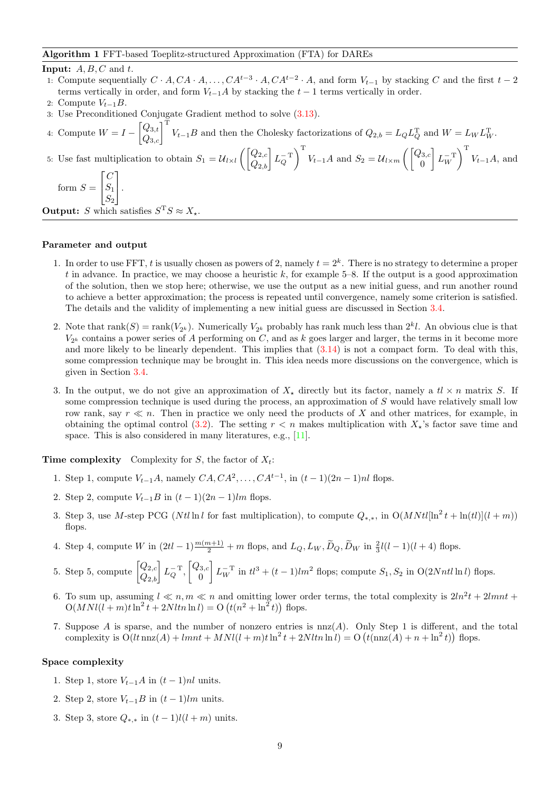#### <span id="page-8-0"></span>Algorithm 1 FFT-based Toeplitz-structured Approximation (FTA) for DAREs

#### **Input:**  $A, B, C$  and  $t$ .

- 1: Compute sequentially  $C \cdot A, CA \cdot A, \ldots, CA^{t-3} \cdot A, CA^{t-2} \cdot A$ , and form  $V_{t-1}$  by stacking C and the first  $t-2$ terms vertically in order, and form  $V_{t-1}A$  by stacking the  $t-1$  terms vertically in order.
- 2: Compute  $V_{t-1}B$ .
- 3: Use Preconditioned Conjugate Gradient method to solve [\(3.13\)](#page-7-2).
- 4: Compute  $W = I \begin{bmatrix} Q_{3,t} \\ Q_{3,c} \end{bmatrix}^T V_{t-1}B$  and then the Cholesky factorizations of  $Q_{2,b} = L_Q L_Q^T$  and  $W = L_W L_W^T$ .

5: Use fast multiplication to obtain  $S_1 = \mathcal{U}_{l \times l} \left( \begin{bmatrix} Q_{2,c} \\ Q_{2,b} \end{bmatrix} L_Q^{-T} \right)$  $\int_{0}^{T} V_{t-1}A$  and  $S_2 = U_{l \times m} \left( \begin{bmatrix} Q_{3,c} \\ 0 \end{bmatrix} \right)$  $\theta$  $L_W^{-T}$  $\bigg\}_{\,}^{\rm T}$   $V_{t-1}A$ , and  $\lceil C \rceil$ 

form 
$$
S = \begin{bmatrix} 0 \\ S_1 \\ S_2 \end{bmatrix}
$$
.

**Output:** S which satisfies  $S^T S \approx X_*$ .

#### Parameter and output

- 1. In order to use FFT, t is usually chosen as powers of 2, namely  $t = 2<sup>k</sup>$ . There is no strategy to determine a proper t in advance. In practice, we may choose a heuristic k, for example  $5-8$ . If the output is a good approximation of the solution, then we stop here; otherwise, we use the output as a new initial guess, and run another round to achieve a better approximation; the process is repeated until convergence, namely some criterion is satisfied. The details and the validity of implementing a new initial guess are discussed in Section [3.4.](#page-9-0)
- 2. Note that  $rank(S) = rank(V_{2^k})$ . Numerically  $V_{2^k}$  probably has rank much less than  $2^k l$ . An obvious clue is that  $V_{2^k}$  contains a power series of A performing on C, and as k goes larger and larger, the terms in it become more and more likely to be linearly dependent. This implies that [\(3.14\)](#page-7-3) is not a compact form. To deal with this, some compression technique may be brought in. This idea needs more discussions on the convergence, which is given in Section [3.4.](#page-9-0)
- 3. In the output, we do not give an approximation of  $X<sub>+</sub>$  directly but its factor, namely a  $t \times n$  matrix S. If some compression technique is used during the process, an approximation of S would have relatively small low row rank, say  $r \ll n$ . Then in practice we only need the products of X and other matrices, for example, in obtaining the optimal control [\(3.2\)](#page-3-6). The setting  $r < n$  makes multiplication with  $X<sub>*</sub>$ 's factor save time and space. This is also considered in many literatures, e.g., [\[11\]](#page-26-11).

**Time complexity** Complexity for S, the factor of  $X_t$ :

- 1. Step 1, compute  $V_{t-1}A$ , namely  $CA, CA^2, ..., CA^{t-1}$ , in  $(t-1)(2n-1)nl$  flops.
- 2. Step 2, compute  $V_{t-1}B$  in  $(t-1)(2n-1)lm$  flops.
- 3. Step 3, use M-step PCG (Ntl ln l for fast multiplication), to compute  $Q_{*,*}$ , in  $O(MNtl[\ln^2 t + \ln(t)](l+m))$ flops.
- 4. Step 4, compute W in  $(2tl 1)\frac{m(m+1)}{2} + m$  flops, and  $L_Q, L_W, \widetilde{D}_Q, \widetilde{D}_W$  in  $\frac{2}{3}l(l-1)(l+4)$  flops.
- 5. Step 5, compute  $\begin{bmatrix} Q_{2,c} \\ Q_{2,b} \end{bmatrix} L_Q^{-T}, \begin{bmatrix} Q_{3,c} \\ 0 \end{bmatrix}$  $\overline{0}$  $\left[ L_W^{-T} \text{ in } t l^3 + (t-1) l m^2 \text{ flops}; \text{ compute } S_1, S_2 \text{ in } O(2Nntl \ln l) \text{ flops}. \right]$
- 6. To sum up, assuming  $l \ll n, m \ll n$  and omitting lower order terms, the total complexity is  $2ln^2 t + 2lmnt$  $O(MNl(l+m)t\ln^{2} t + 2Nltn \ln l) = O(t(n^{2} + \ln^{2} t))$  flops.
- 7. Suppose A is sparse, and the number of nonzero entries is  $n(z)$ . Only Step 1 is different, and the total complexity is  $O(lt \text{ nnz}(A) + lmt + MNl(l+m)t \ln^2 t + 2Nltn \ln l) = O(t(\text{nnz}(A) + n + \ln^2 t))$  flops.

#### Space complexity

- 1. Step 1, store  $V_{t-1}A$  in  $(t-1)nl$  units.
- 2. Step 2, store  $V_{t-1}B$  in  $(t-1)lm$  units.
- 3. Step 3, store  $Q_{*,*}$  in  $(t-1)l(l+m)$  units.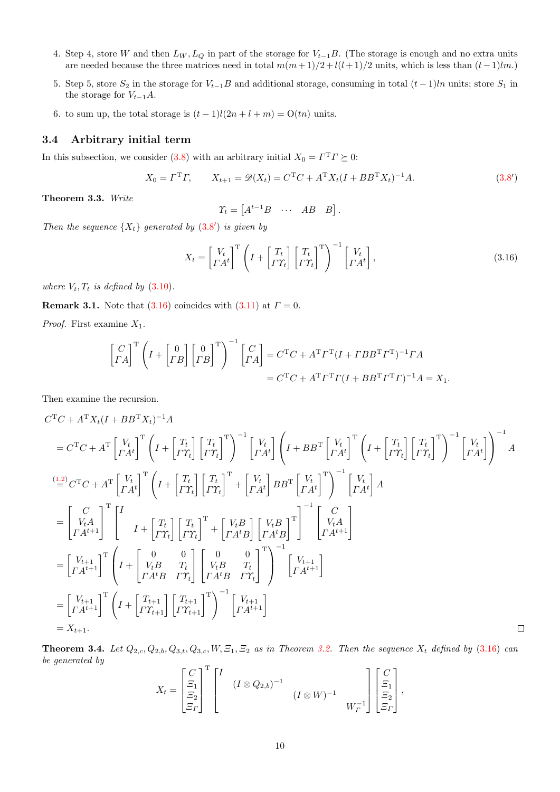- 4. Step 4, store W and then  $L_W$ ,  $L_Q$  in part of the storage for  $V_{t-1}B$ . (The storage is enough and no extra units are needed because the three matrices need in total  $m(m+1)/2 + l(l+1)/2$  units, which is less than  $(t-1)lm$ .)
- 5. Step 5, store  $S_2$  in the storage for  $V_{t-1}B$  and additional storage, consuming in total  $(t-1)ln$  units; store  $S_1$  in the storage for  $V_{t-1}A$ .
- 6. to sum up, the total storage is  $(t-1)l(2n+l+m) = O(tn)$  units.

#### <span id="page-9-0"></span>3.4 Arbitrary initial term

In this subsection, we consider [\(3.8\)](#page-5-0) with an arbitrary initial  $X_0 = \Gamma^T \Gamma \succeq 0$ :

<span id="page-9-2"></span>
$$
X_0 = \Gamma^{\mathrm{T}} \Gamma, \qquad X_{t+1} = \mathcal{D}(X_t) = C^{\mathrm{T}} C + A^{\mathrm{T}} X_t (I + BB^{\mathrm{T}} X_t)^{-1} A. \tag{3.8'}
$$

Theorem 3.3. Write

<span id="page-9-1"></span> $\varUpsilon_t = \begin{bmatrix} A^{t-1}B & \cdots & AB & B \end{bmatrix}.$ 

Then the sequence  $\{X_t\}$  generated by  $(3.8')$  $(3.8')$  is given by

$$
X_t = \begin{bmatrix} V_t \\ \Gamma A^t \end{bmatrix}^{\mathrm{T}} \left( I + \begin{bmatrix} T_t \\ \Gamma \gamma_t \end{bmatrix} \begin{bmatrix} T_t \\ \Gamma \gamma_t \end{bmatrix}^{\mathrm{T}} \right)^{-1} \begin{bmatrix} V_t \\ \Gamma A^t \end{bmatrix},\tag{3.16}
$$

where  $V_t, T_t$  is defined by  $(3.10)$ .

**Remark 3.1.** Note that [\(3.16\)](#page-9-2) coincides with [\(3.11\)](#page-6-1) at  $\Gamma = 0$ .

*Proof.* First examine  $X_1$ .

$$
\begin{bmatrix} C \\ \Gamma A \end{bmatrix}^{\mathrm{T}} \left( I + \begin{bmatrix} 0 \\ \Gamma B \end{bmatrix} \begin{bmatrix} 0 \\ \Gamma B \end{bmatrix}^{\mathrm{T}} \right)^{-1} \begin{bmatrix} C \\ \Gamma A \end{bmatrix} = C^{\mathrm{T}}C + A^{\mathrm{T}}\Gamma^{\mathrm{T}}(I + TBB^{\mathrm{T}}\Gamma)^{-1}\Gamma A
$$

$$
= C^{\mathrm{T}}C + A^{\mathrm{T}}\Gamma^{\mathrm{T}}\Gamma(I + BB^{\mathrm{T}}\Gamma^{\mathrm{T}}\Gamma)^{-1}A = X_1.
$$

Then examine the recursion.

$$
C^{T}C + A^{T}X_{t}(I + BB^{T}X_{t})^{-1}A
$$
\n
$$
= C^{T}C + A^{T}\begin{bmatrix} V_{t} \\ I^{H} \end{bmatrix}^{T}\begin{bmatrix} I + \begin{bmatrix} T_{t} \\ I^{H} \end{bmatrix} \begin{bmatrix} T_{t} \\ I^{H} \end{bmatrix}^{T}\end{bmatrix}^{-1}\begin{bmatrix} V_{t} \\ I^{H} \end{bmatrix}^{T}\begin{bmatrix} V_{t} \\ I^{H} \end{bmatrix}^{T}\begin{bmatrix} I + BB^{T}\begin{bmatrix} V_{t} \\ I^{H} \end{bmatrix}^{T}\begin{bmatrix} T_{t} \\ I^{H} \end{bmatrix}^{T}\end{bmatrix}^{-1}\begin{bmatrix} V_{t} \\ I^{H} \end{bmatrix}
$$
\n
$$
= C^{T}C + A^{T}\begin{bmatrix} V_{t} \\ I^{H} \end{bmatrix}^{T}\begin{bmatrix} I + \begin{bmatrix} T_{t} \\ I^{H} \end{bmatrix} \begin{bmatrix} T_{t} \\ I^{H} \end{bmatrix}^{T} + \begin{bmatrix} V_{t} \\ I^{H} \end{bmatrix} BB^{T}\begin{bmatrix} V_{t} \\ I^{H} \end{bmatrix}^{T}\end{bmatrix}^{-1}\begin{bmatrix} V_{t} \\ I^{H} \end{bmatrix}A
$$
\n
$$
= \begin{bmatrix} C \\ V_{t}A \\ I^{H+1} \end{bmatrix}^{T}\begin{bmatrix} I \\ I + \begin{bmatrix} T_{t} \\ I^{H} \end{bmatrix} \begin{bmatrix} T_{t} \\ I^{H} \end{bmatrix}^{T} + \begin{bmatrix} V_{t}B \\ I^{H}B \end{bmatrix} \begin{bmatrix} V_{t}B \\ I^{H}B \end{bmatrix}^{T}\end{bmatrix}^{-1}\begin{bmatrix} C \\ I^{H}A^{t} \end{bmatrix}
$$
\n
$$
= \begin{bmatrix} V_{t+1} \\ I^{H+1} \end{bmatrix}^{T}\begin{bmatrix} I + \begin{bmatrix} 0 & 0 \\ V_{t}B & T_{t} \\ I^{H}B & I^{H} \end{bmatrix} \begin{bmatrix} 0 & 0 \\ I^{H}B & I^{H} \end{bmatrix}^{T}\end{bmatrix}^{-1}\begin{bmatrix} V_{t+1} \\ I^{H+1} \end{bmatrix}
$$
\n

**Theorem 3.4.** Let  $Q_{2,c}, Q_{2,b}, Q_{3,t}, Q_{3,c}, W, \Xi_1, \Xi_2$  as in Theorem [3.2.](#page-7-1) Then the sequence  $X_t$  defined by [\(3.16\)](#page-9-2) can be generated by

$$
X_t = \begin{bmatrix} C \\ \Xi_1 \\ \Xi_2 \\ \Xi_r \end{bmatrix}^{\mathrm{T}} \begin{bmatrix} I & (I \otimes Q_{2,b})^{-1} \\ & (I \otimes W)^{-1} \\ & (I \otimes W)^{-1} \\ & W_r^{-1} \end{bmatrix} \begin{bmatrix} C \\ \Xi_1 \\ \Xi_2 \\ \Xi_r \end{bmatrix},
$$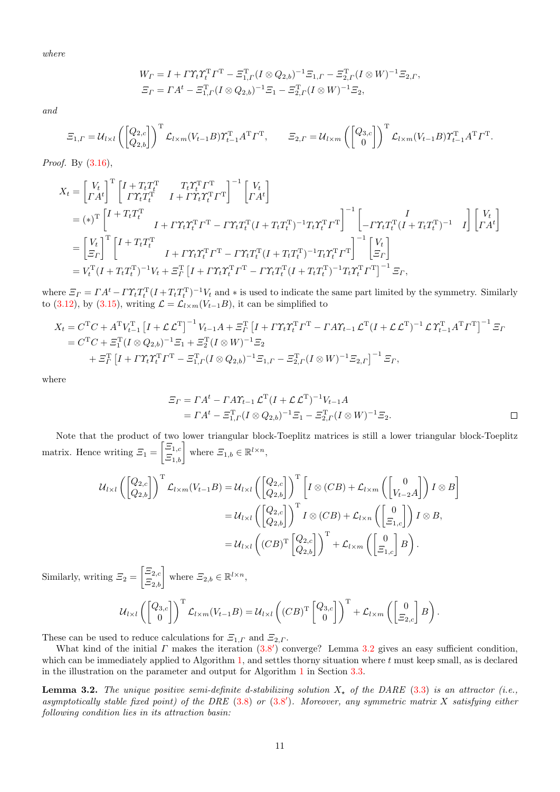where

$$
W_{\Gamma} = I + \Gamma \Upsilon_t \Upsilon_t^{\mathsf{T}} \Gamma^{\mathsf{T}} - \Xi_{1,\Gamma}^{\mathsf{T}} (I \otimes Q_{2,b})^{-1} \Xi_{1,\Gamma} - \Xi_{2,\Gamma}^{\mathsf{T}} (I \otimes W)^{-1} \Xi_{2,\Gamma},
$$
  

$$
\Xi_{\Gamma} = \Gamma A^t - \Xi_{1,\Gamma}^{\mathsf{T}} (I \otimes Q_{2,b})^{-1} \Xi_1 - \Xi_{2,\Gamma}^{\mathsf{T}} (I \otimes W)^{-1} \Xi_2,
$$

and

$$
\Xi_{1,\Gamma} = \mathcal{U}_{l\times l}\left(\begin{bmatrix} Q_{2,c} \\ Q_{2,b} \end{bmatrix}\right)^{\mathrm{T}} \mathcal{L}_{l\times m}(V_{t-1}B) \Upsilon_{t-1}^{\mathrm{T}} A^{\mathrm{T}} \Gamma^{\mathrm{T}}, \qquad \Xi_{2,\Gamma} = \mathcal{U}_{l\times m}\left(\begin{bmatrix} Q_{3,c} \\ 0 \end{bmatrix}\right)^{\mathrm{T}} \mathcal{L}_{l\times m}(V_{t-1}B) \Upsilon_{t-1}^{\mathrm{T}} A^{\mathrm{T}} \Gamma^{\mathrm{T}}.
$$

Proof. By [\(3.16\)](#page-9-2),

$$
X_t = \begin{bmatrix} V_t \\ \Gamma A^t \end{bmatrix}^{\mathrm{T}} \begin{bmatrix} I + T_t T_t^{\mathrm{T}} & T_t T_t^{\mathrm{T}} T^{\mathrm{T}} \\ \Gamma T_t T_t^{\mathrm{T}} & I + \Gamma T_t T_t^{\mathrm{T}} T^{\mathrm{T}} \end{bmatrix}^{-1} \begin{bmatrix} V_t \\ \Gamma A^t \end{bmatrix}
$$
  
\n
$$
= (*)^{\mathrm{T}} \begin{bmatrix} I + T_t T_t^{\mathrm{T}} \\ I + \Gamma T_t T_t^{\mathrm{T}} \end{bmatrix} \begin{bmatrix} I + T_t T_t^{\mathrm{T}} \\ I + \Gamma T_t T_t^{\mathrm{T}} T^{\mathrm{T}} - \Gamma T_t T_t^{\mathrm{T}} (I + T_t T_t^{\mathrm{T}})^{-1} T_t T_t^{\mathrm{T}} T^{\mathrm{T}} \end{bmatrix}^{-1} \begin{bmatrix} I \\ -\Gamma T_t T_t^{\mathrm{T}} (I + T_t T_t^{\mathrm{T}})^{-1} & I \end{bmatrix} \begin{bmatrix} V_t \\ \Gamma A^t \end{bmatrix}
$$
  
\n
$$
= \begin{bmatrix} V_t \\ \Xi_T \end{bmatrix}^{\mathrm{T}} \begin{bmatrix} I + T_t T_t^{\mathrm{T}} \\ I + \Gamma T_t T_t^{\mathrm{T}} T^{\mathrm{T}} - \Gamma T_t T_t^{\mathrm{T}} (I + T_t T_t^{\mathrm{T}})^{-1} T_t T_t^{\mathrm{T}} T^{\mathrm{T}} \end{bmatrix}^{-1} \begin{bmatrix} V_t \\ \Xi_T \end{bmatrix}
$$
  
\n
$$
= V_t^{\mathrm{T}} (I + T_t T_t^{\mathrm{T}})^{-1} V_t + \Xi_T^{\mathrm{T}} \begin{bmatrix} I + \Gamma T_t T_t^{\mathrm{T}} T^{\mathrm{T}} - \Gamma T_t T_t^{\mathrm{T}} (I + T_t T_t^{\mathrm{T}})^{-1} T_t T_t^{\mathrm{T}} T^{\mathrm{T}} \end{bmatrix}^{-1} \Xi_T,
$$

where  $\mathcal{Z}_\Gamma = \Gamma A^t - \Gamma \Upsilon_t T_t^{\mathrm{T}} (I + T_t T_t^{\mathrm{T}})^{-1} V_t$  and  $*$  is used to indicate the same part limited by the symmetry. Similarly to [\(3.12\)](#page-7-0), by [\(3.15\)](#page-7-4), writing  $\mathcal{L} = \mathcal{L}_{l \times m}(V_{t-1}B)$ , it can be simplified to

$$
X_t = C^{\mathrm{T}}C + A^{\mathrm{T}}V_{t-1}^{\mathrm{T}} \left[I + \mathcal{L} \mathcal{L}^{\mathrm{T}}\right]^{-1} V_{t-1} A + \Xi_r^{\mathrm{T}} \left[I + \Gamma \Upsilon_t \Upsilon_t^{\mathrm{T}} \Gamma^{\mathrm{T}} - \Gamma A \Upsilon_{t-1} \mathcal{L}^{\mathrm{T}} (I + \mathcal{L} \mathcal{L}^{\mathrm{T}})^{-1} \mathcal{L} \Upsilon_{t-1}^{\mathrm{T}} A^{\mathrm{T}} \Gamma^{\mathrm{T}}\right]^{-1} \Xi_r
$$
  
=  $C^{\mathrm{T}}C + \Xi_1^{\mathrm{T}} (I \otimes Q_{2,b})^{-1} \Xi_1 + \Xi_2^{\mathrm{T}} (I \otimes W)^{-1} \Xi_2$   
+  $\Xi_r^{\mathrm{T}} \left[I + \Gamma \Upsilon_t \Upsilon_t^{\mathrm{T}} \Gamma^{\mathrm{T}} - \Xi_{1,r}^{\mathrm{T}} (I \otimes Q_{2,b})^{-1} \Xi_{1,r} - \Xi_{2,r}^{\mathrm{T}} (I \otimes W)^{-1} \Xi_{2,r}\right]^{-1} \Xi_r$ ,

where

$$
\begin{aligned} \n\varXi_{\Gamma} &= \Gamma A^t - \Gamma A \Upsilon_{t-1} \mathcal{L}^{\mathrm{T}} (I + \mathcal{L} \mathcal{L}^{\mathrm{T}})^{-1} V_{t-1} A \\ \n&= \Gamma A^t - \Xi_{1,\Gamma}^{\mathrm{T}} (I \otimes Q_{2,b})^{-1} \Xi_1 - \Xi_{2,\Gamma}^{\mathrm{T}} (I \otimes W)^{-1} \Xi_2. \n\end{aligned} \tag{}
$$

Note that the product of two lower triangular block-Toeplitz matrices is still a lower triangular block-Toeplitz matrix. Hence writing  $\mathcal{Z}_1 = \begin{bmatrix} \mathcal{Z}_{1,c} \\ \mathcal{Z}_{1,b} \end{bmatrix}$  where  $\mathcal{Z}_{1,b} \in \mathbb{R}^{l \times n}$ ,

$$
\mathcal{U}_{l \times l} \left( \begin{bmatrix} Q_{2,c} \\ Q_{2,b} \end{bmatrix} \right)^{\mathrm{T}} \mathcal{L}_{l \times m}(V_{t-1}B) = \mathcal{U}_{l \times l} \left( \begin{bmatrix} Q_{2,c} \\ Q_{2,b} \end{bmatrix} \right)^{\mathrm{T}} \left[ I \otimes (CB) + \mathcal{L}_{l \times m} \left( \begin{bmatrix} 0 \\ V_{t-2}A \end{bmatrix} \right) I \otimes B \right]
$$

$$
= \mathcal{U}_{l \times l} \left( \begin{bmatrix} Q_{2,c} \\ Q_{2,b} \end{bmatrix} \right)^{\mathrm{T}} I \otimes (CB) + \mathcal{L}_{l \times n} \left( \begin{bmatrix} 0 \\ \Xi_{1,c} \end{bmatrix} \right) I \otimes B,
$$

$$
= \mathcal{U}_{l \times l} \left( (CB)^{\mathrm{T}} \begin{bmatrix} Q_{2,c} \\ Q_{2,b} \end{bmatrix} \right)^{\mathrm{T}} + \mathcal{L}_{l \times m} \left( \begin{bmatrix} 0 \\ \Xi_{1,c} \end{bmatrix} B \right).
$$

Similarly, writing  $\mathcal{Z}_2 = \begin{bmatrix} \mathcal{Z}_{2,c} \\ \mathcal{Z}_{2,b} \end{bmatrix}$  where  $\mathcal{Z}_{2,b} \in \mathbb{R}^{l \times n}$ ,

$$
\mathcal{U}_{l\times l}\left(\begin{bmatrix}Q_{3,c}\\0\end{bmatrix}\right)^{T}\mathcal{L}_{l\times m}(V_{t-1}B)=\mathcal{U}_{l\times l}\left((CB)^{T}\begin{bmatrix}Q_{3,c}\\0\end{bmatrix}\right)^{T}+\mathcal{L}_{l\times m}\left(\begin{bmatrix}0\\ \Xi_{2,c}\end{bmatrix}B\right).
$$

These can be used to reduce calculations for  $\Xi_{1,\Gamma}$  and  $\Xi_{2,\Gamma}$ .

What kind of the initial  $\Gamma$  makes the iteration  $(3.8')$  $(3.8')$  converge? Lemma [3.2](#page-10-0) gives an easy sufficient condition, which can be immediately applied to Algorithm [1,](#page-8-0) and settles thorny situation where t must keep small, as is declared in the illustration on the parameter and output for Algorithm [1](#page-8-0) in Section [3.3.](#page-6-3)

<span id="page-10-0"></span>**Lemma 3.2.** The unique positive semi-definite d-stabilizing solution  $X_{\star}$  of the DARE [\(3.3\)](#page-3-2) is an attractor (i.e., asymptotically stable fixed point) of the DRE  $(3.8)$  or  $(3.8')$  $(3.8')$ . Moreover, any symmetric matrix X satisfying either following condition lies in its attraction basin: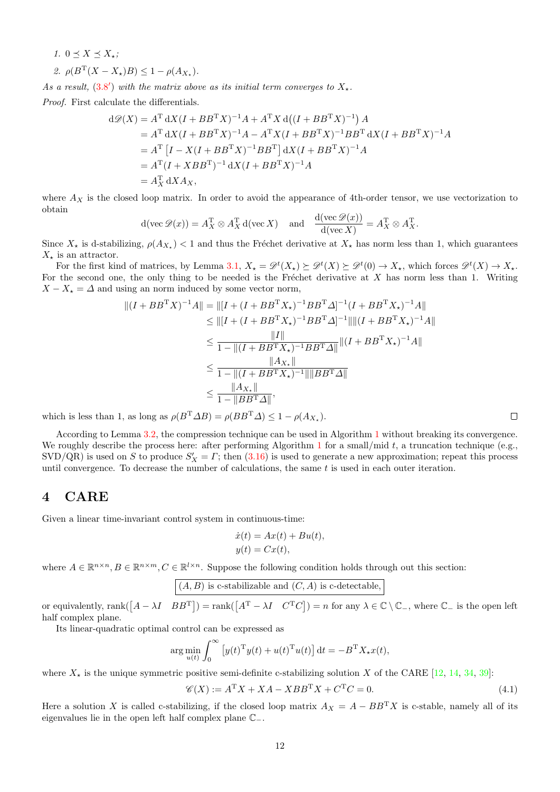1.  $0 \preceq X \preceq X_*$ ;

$$
\text{2. } \rho(B^{\mathrm{T}}(X - X_{\star})B) \leq 1 - \rho(A_{X_{\star}}).
$$

As a result,  $(3.8')$  $(3.8')$  with the matrix above as its initial term converges to  $X_{\star}$ .

Proof. First calculate the differentials.

$$
d\mathcal{D}(X) = A^{T} dX (I + BB^{T} X)^{-1} A + A^{T} X d((I + BB^{T} X)^{-1}) A
$$
  
=  $A^{T} dX (I + BB^{T} X)^{-1} A - A^{T} X (I + BB^{T} X)^{-1} BB^{T} dX (I + BB^{T} X)^{-1} A$   
=  $A^{T} [I - X (I + BB^{T} X)^{-1} BB^{T}] dX (I + BB^{T} X)^{-1} A$   
=  $A^{T} (I + XBB^{T})^{-1} dX (I + BB^{T} X)^{-1} A$   
=  $A_{X}^{T} dX A_{X}$ ,

where  $A_X$  is the closed loop matrix. In order to avoid the appearance of 4th-order tensor, we use vectorization to obtain

$$
d(\text{vec } \mathscr{D}(x)) = A_X^{\mathrm{T}} \otimes A_X^{\mathrm{T}} d(\text{vec } X) \quad \text{and} \quad \frac{d(\text{vec } \mathscr{D}(x))}{d(\text{vec } X)} = A_X^{\mathrm{T}} \otimes A_X^{\mathrm{T}}.
$$

Since  $X_{\star}$  is d-stabilizing,  $\rho(A_{X_{\star}})$  < 1 and thus the Fréchet derivative at  $X_{\star}$  has norm less than 1, which guarantees  $X_{\star}$  is an attractor.

For the first kind of matrices, by Lemma [3.1,](#page-5-1)  $X_{\star} = \mathscr{D}^{t}(X_{\star}) \succeq \mathscr{D}^{t}(X) \succeq \mathscr{D}^{t}(0) \to X_{\star}$ , which forces  $\mathscr{D}^{t}(X) \to X_{\star}$ . For the second one, the only thing to be needed is the Fréchet derivative at  $X$  has norm less than 1. Writing  $X - X_{\star} = \Delta$  and using an norm induced by some vector norm,

$$
||(I + BB^{T}X)^{-1}A|| = ||[I + (I + BB^{T}X_{\star})^{-1}BB^{T}\Delta]^{-1}(I + BB^{T}X_{\star})^{-1}A||
$$
  
\n
$$
\leq ||[I + (I + BB^{T}X_{\star})^{-1}BB^{T}\Delta]^{-1}||||(I + BB^{T}X_{\star})^{-1}A||
$$
  
\n
$$
\leq \frac{||I||}{1 - ||(I + BB^{T}X_{\star})^{-1}BB^{T}\Delta||} ||(I + BB^{T}X_{\star})^{-1}A||
$$
  
\n
$$
\leq \frac{||A_{X_{\star}}||}{1 - ||(I + BB^{T}X_{\star})^{-1}||||BB^{T}\Delta||}
$$
  
\n
$$
\leq \frac{||A_{X_{\star}}||}{1 - ||BB^{T}X_{\star})^{-1}||||BB^{T}\Delta||}
$$

which is less than 1, as long as  $\rho(B^T \Delta B) = \rho(B B^T \Delta) \leq 1 - \rho(A_{X_\star}).$ 

According to Lemma [3.2,](#page-10-0) the compression technique can be used in Algorithm [1](#page-8-0) without breaking its convergence. We roughly describe the process here: after performing Algorithm [1](#page-8-0) for a small/mid t, a truncation technique (e.g., SVD/QR) is used on S to produce  $S'_X = \Gamma$ ; then [\(3.16\)](#page-9-2) is used to generate a new approximation; repeat this process until convergence. To decrease the number of calculations, the same  $t$  is used in each outer iteration.

# <span id="page-11-0"></span>4 CARE

Given a linear time-invariant control system in continuous-time:

$$
\dot{x}(t) = Ax(t) + Bu(t),
$$
  

$$
y(t) = Cx(t),
$$

where  $A \in \mathbb{R}^{n \times n}, B \in \mathbb{R}^{n \times m}, C \in \mathbb{R}^{l \times n}$ . Suppose the following condition holds through out this section:

$$
({\cal A},{\cal B})
$$
 is c-stabilizable and  $({\cal C},{\cal A})$  is c-detectable,

or equivalently,  $\text{rank}([A - \lambda I \quad BB^T]) = \text{rank}([A^T - \lambda I \quad C^T C]) = n$  for any  $\lambda \in \mathbb{C} \setminus \mathbb{C}_-$ , where  $\mathbb{C}_-$  is the open left half complex plane.

Its linear-quadratic optimal control can be expressed as

$$
\arg\min_{u(t)} \int_0^\infty \left[ y(t)^{\mathrm{T}} y(t) + u(t)^{\mathrm{T}} u(t) \right] \mathrm{d}t = -B^{\mathrm{T}} X_\star x(t),
$$

where  $X_{\star}$  is the unique symmetric positive semi-definite c-stabilizing solution X of the CARE [\[12,](#page-26-3) [14,](#page-26-9) [34,](#page-26-18) [39\]](#page-26-19):

<span id="page-11-1"></span>
$$
\mathcal{C}(X) := A^{\mathrm{T}}X + XA - XBB^{\mathrm{T}}X + C^{\mathrm{T}}C = 0.
$$
\n
$$
(4.1)
$$

Here a solution X is called c-stabilizing, if the closed loop matrix  $A_X = A - BB^{\mathrm{T}}X$  is c-stable, namely all of its eigenvalues lie in the open left half complex plane C−.

 $\Box$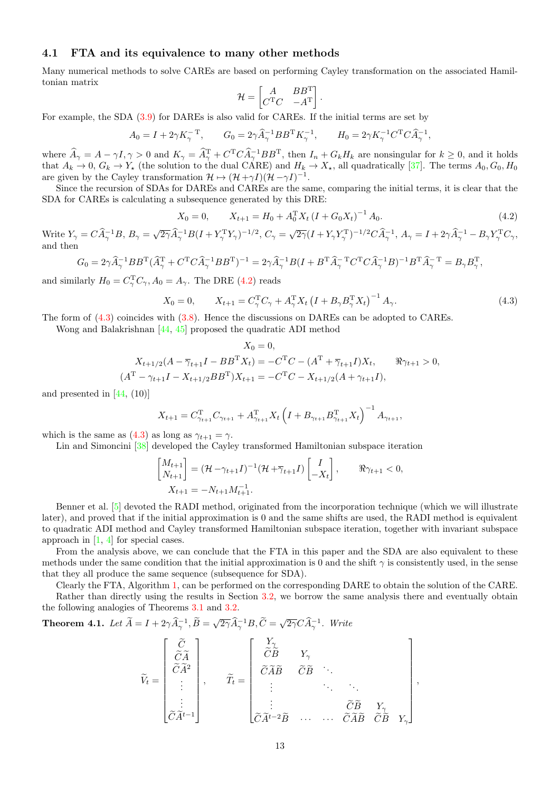#### <span id="page-12-2"></span>4.1 FTA and its equivalence to many other methods

Many numerical methods to solve CAREs are based on performing Cayley transformation on the associated Hamiltonian matrix

$$
\mathcal{H} = \begin{bmatrix} A & BB^{\mathrm{T}} \\ C^{\mathrm{T}}C & -A^{\mathrm{T}} \end{bmatrix}.
$$

For example, the SDA [\(3.9\)](#page-5-3) for DAREs is also valid for CAREs. If the initial terms are set by

$$
A_0 = I + 2\gamma K_{\gamma}^{-T}, \qquad G_0 = 2\gamma \widehat{A}_{\gamma}^{-1} B B^{\rm T} K_{\gamma}^{-1}, \qquad H_0 = 2\gamma K_{\gamma}^{-1} C^{\rm T} C \widehat{A}_{\gamma}^{-1},
$$

where  $\widehat{A}_{\gamma} = A - \gamma I, \gamma > 0$  and  $K_{\gamma} = \widehat{A}_{\gamma}^{T} + C^{T} C \widehat{A}_{\gamma}^{-1} B B^{T}$ , then  $I_{n} + G_{k} H_{k}$  are nonsingular for  $k \geq 0$ , and it holds that  $A_k \to 0$ ,  $G_k \to Y_*$  (the solution to the dual CARE) and  $H_k \to X_*$ , all quadratically [\[37\]](#page-26-25). The terms  $A_0, G_0, H_0$ are given by the Cayley transformation  $\mathcal{H} \mapsto (\mathcal{H} + \gamma I)(\mathcal{H} - \gamma I)^{-1}$ .

Since the recursion of SDAs for DAREs and CAREs are the same, comparing the initial terms, it is clear that the SDA for CAREs is calculating a subsequence generated by this DRE:

<span id="page-12-0"></span>
$$
X_0 = 0, \qquad X_{t+1} = H_0 + A_0^{\mathrm{T}} X_t (I + G_0 X_t)^{-1} A_0. \tag{4.2}
$$

Write  $Y_{\gamma} = C \widehat{A}_{\gamma}^{-1} B$ ,  $B_{\gamma} = \sqrt{2\gamma} \widehat{A}_{\gamma}^{-1} B (I + Y_{\gamma}^{\mathrm{T}} Y_{\gamma})^{-1/2}$ ,  $C_{\gamma} = \sqrt{2\gamma} (I + Y_{\gamma} Y_{\gamma}^{\mathrm{T}})^{-1/2} C \widehat{A}_{\gamma}^{-1}$ ,  $A_{\gamma} = I + 2\gamma \widehat{A}_{\gamma}^{-1} - B_{\gamma} Y_{\gamma}^{\mathrm{T}} C_{\gamma}$ , and then

$$
G_0 = 2\gamma \widehat{A}_{\gamma}^{-1} BB^{\mathrm{T}} (\widehat{A}_{\gamma}^{\mathrm{T}} + C^{\mathrm{T}} C \widehat{A}_{\gamma}^{-1} BB^{\mathrm{T}})^{-1} = 2\gamma \widehat{A}_{\gamma}^{-1} B (I + B^{\mathrm{T}} \widehat{A}_{\gamma}^{-\mathrm{T}} C^{\mathrm{T}} C \widehat{A}_{\gamma}^{-1} B)^{-1} B^{\mathrm{T}} \widehat{A}_{\gamma}^{-\mathrm{T}} = B_{\gamma} B_{\gamma}^{\mathrm{T}},
$$

and similarly  $H_0 = C_{\gamma}^{\mathrm{T}} C_{\gamma}$ ,  $A_0 = A_{\gamma}$ . The DRE [\(4.2\)](#page-12-0) reads

<span id="page-12-1"></span>
$$
X_0 = 0, \qquad X_{t+1} = C_{\gamma}^{\mathrm{T}} C_{\gamma} + A_{\gamma}^{\mathrm{T}} X_t \left( I + B_{\gamma} B_{\gamma}^{\mathrm{T}} X_t \right)^{-1} A_{\gamma}.
$$
\n(4.3)

The form of [\(4.3\)](#page-12-1) coincides with [\(3.8\)](#page-5-0). Hence the discussions on DAREs can be adopted to CAREs.

Wong and Balakrishnan [\[44,](#page-27-0) [45\]](#page-27-2) proposed the quadratic ADI method

$$
X_0 = 0,
$$
  
\n
$$
X_{t+1/2}(A - \overline{\gamma}_{t+1}I - BB^{\mathrm{T}}X_t) = -C^{\mathrm{T}}C - (A^{\mathrm{T}} + \overline{\gamma}_{t+1}I)X_t, \quad \Re \gamma_{t+1} > 0,
$$
  
\n
$$
(A^{\mathrm{T}} - \gamma_{t+1}I - X_{t+1/2}BB^{\mathrm{T}})X_{t+1} = -C^{\mathrm{T}}C - X_{t+1/2}(A + \gamma_{t+1}I),
$$

and presented in  $[44, (10)]$  $[44, (10)]$ 

$$
X_{t+1} = C_{\gamma_{t+1}}^{\mathrm{T}} C_{\gamma_{t+1}} + A_{\gamma_{t+1}}^{\mathrm{T}} X_t \left( I + B_{\gamma_{t+1}} B_{\gamma_{t+1}}^{\mathrm{T}} X_t \right)^{-1} A_{\gamma_{t+1}},
$$

which is the same as [\(4.3\)](#page-12-1) as long as  $\gamma_{t+1} = \gamma$ .

Lin and Simoncini [\[38\]](#page-26-8) developed the Cayley transformed Hamiltonian subspace iteration

$$
\begin{bmatrix} M_{t+1} \\ N_{t+1} \end{bmatrix} = (\mathcal{H} - \gamma_{t+1}I)^{-1} (\mathcal{H} + \overline{\gamma}_{t+1}I) \begin{bmatrix} I \\ -X_t \end{bmatrix}, \qquad \Re \gamma_{t+1} < 0,
$$
  

$$
X_{t+1} = -N_{t+1}M_{t+1}^{-1}.
$$

Benner et al. [\[5\]](#page-25-2) devoted the RADI method, originated from the incorporation technique (which we will illustrate later), and proved that if the initial approximation is 0 and the same shifts are used, the RADI method is equivalent to quadratic ADI method and Cayley transformed Hamiltonian subspace iteration, together with invariant subspace approach in [\[1,](#page-25-5) [4\]](#page-25-6) for special cases.

From the analysis above, we can conclude that the FTA in this paper and the SDA are also equivalent to these methods under the same condition that the initial approximation is 0 and the shift  $\gamma$  is consistently used, in the sense that they all produce the same sequence (subsequence for SDA).

Clearly the FTA, Algorithm [1,](#page-8-0) can be performed on the corresponding DARE to obtain the solution of the CARE.

Rather than directly using the results in Section [3.2,](#page-5-4) we borrow the same analysis there and eventually obtain the following analogies of Theorems [3.1](#page-6-0) and [3.2.](#page-7-1)

**Theorem 4.1.** Let 
$$
\widetilde{A} = I + 2\gamma \widehat{A}_{\gamma}^{-1}, \widetilde{B} = \sqrt{2\gamma} \widehat{A}_{\gamma}^{-1} B, \widetilde{C} = \sqrt{2\gamma} C \widehat{A}_{\gamma}^{-1}
$$
. Write

$$
\widetilde{V}_t = \begin{bmatrix} \widetilde{C} \\ \widetilde{C}\widetilde{A} \\ \vdots \\ \widetilde{C}\widetilde{A}^{t-1} \end{bmatrix}, \qquad \widetilde{T}_t = \begin{bmatrix} Y_\gamma \\ \widetilde{C}\widetilde{B} & Y_\gamma \\ \widetilde{C}\widetilde{A}\widetilde{B} & \widetilde{C}\widetilde{B} & \ddots \\ \vdots & \ddots & \ddots \\ \widetilde{C}\widetilde{A}^{t-2}\widetilde{B} & \cdots & \cdots & \widetilde{C}\widetilde{A}\widetilde{B} & \widetilde{C}\widetilde{B} & Y_\gamma \end{bmatrix},
$$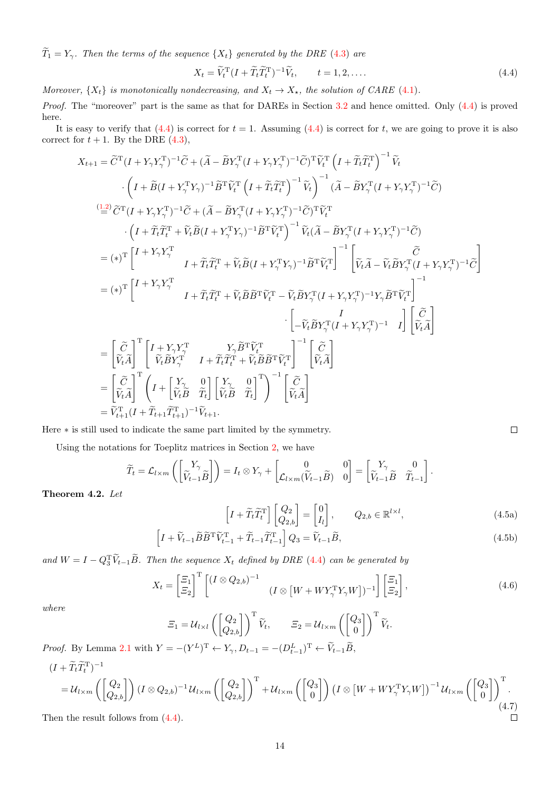$\widetilde{T}_1 = Y_\gamma$ . Then the terms of the sequence  $\{X_t\}$  generated by the DRE [\(4.3\)](#page-12-1) are

<span id="page-13-0"></span>
$$
X_t = \widetilde{V}_t^{\mathrm{T}} (I + \widetilde{T}_t \widetilde{T}_t^{\mathrm{T}})^{-1} \widetilde{V}_t, \qquad t = 1, 2, \dots.
$$

Moreover,  $\{X_t\}$  is monotonically nondecreasing, and  $X_t \to X_{\star}$ , the solution of CARE [\(4.1\)](#page-11-1).

Proof. The "moreover" part is the same as that for DAREs in Section [3.2](#page-5-4) and hence omitted. Only [\(4.4\)](#page-13-0) is proved here.

It is easy to verify that  $(4.4)$  is correct for  $t = 1$ . Assuming  $(4.4)$  is correct for t, we are going to prove it is also correct for  $t + 1$ . By the DRE  $(4.3)$ ,

$$
X_{t+1} = \tilde{C}^{\mathrm{T}}(I + Y_{\gamma}Y_{\gamma}^{\mathrm{T}})^{-1}\tilde{C} + (\tilde{A} - \tilde{B}Y_{\gamma}^{\mathrm{T}}(I + Y_{\gamma}Y_{\gamma}^{\mathrm{T}})^{-1}\tilde{C})^{\mathrm{T}}\tilde{V}_{t}^{\mathrm{T}}\left(I + \tilde{T}_{t}\tilde{T}_{t}^{\mathrm{T}}\right)^{-1}\tilde{V}_{t}
$$
\n
$$
\cdot \left(I + \tilde{B}(I + Y_{\gamma}^{\mathrm{T}}Y_{\gamma})^{-1}\tilde{B}^{\mathrm{T}}\tilde{V}_{t}^{\mathrm{T}}\left(I + \tilde{T}_{t}\tilde{T}_{t}^{\mathrm{T}}\right)^{-1}\tilde{V}_{t}\right)^{-1}(\tilde{A} - \tilde{B}Y_{\gamma}^{\mathrm{T}}(I + Y_{\gamma}Y_{\gamma}^{\mathrm{T}})^{-1}\tilde{C})
$$
\n
$$
\stackrel{(1,2)}{=} \tilde{C}^{\mathrm{T}}(I + Y_{\gamma}Y_{\gamma}^{\mathrm{T}})^{-1}\tilde{C} + (\tilde{A} - \tilde{B}Y_{\gamma}^{\mathrm{T}}(I + Y_{\gamma}Y_{\gamma}^{\mathrm{T}})^{-1}\tilde{C})^{\mathrm{T}}\tilde{V}_{t}^{\mathrm{T}}
$$
\n
$$
\cdot \left(I + \tilde{T}_{t}\tilde{T}_{t}^{\mathrm{T}} + \tilde{V}_{t}\tilde{B}(I + Y_{\gamma}^{\mathrm{T}}Y_{\gamma})^{-1}\tilde{B}^{\mathrm{T}}\tilde{V}_{t}^{\mathrm{T}}\right)^{-1}\tilde{V}_{t}(\tilde{A} - \tilde{B}Y_{\gamma}^{\mathrm{T}}(I + Y_{\gamma}Y_{\gamma}^{\mathrm{T}})^{-1}\tilde{C})
$$
\n
$$
= (*)^{\mathrm{T}}\left[I + Y_{\gamma}Y_{\gamma}^{\mathrm{T}}\right] \qquad I + \tilde{T}_{t}\tilde{T}_{t}^{\mathrm{T}} + \tilde{V}_{t}\tilde{B}(I + Y_{\gamma}^{\mathrm{T}}Y_{\gamma})^{-1}\tilde{B}^{\mathrm{T}}\tilde{V}_{t}^{\mathrm{T}}\right]^{-1}\left[\tilde{V}_{t}\tilde{A} - \tilde{V}_{t}\tilde{B}Y_{\gamma}^{\mathrm{T}}(I + Y_{\gamma}Y_{\gamma}^{\mathrm
$$

Here ∗ is still used to indicate the same part limited by the symmetry.

Using the notations for Toeplitz matrices in Section [2,](#page-1-0) we have

<span id="page-13-2"></span>
$$
\widetilde{T}_t = \mathcal{L}_{l \times m} \left( \begin{bmatrix} Y_{\gamma} \\ \widetilde{V}_{t-1} \widetilde{B} \end{bmatrix} \right) = I_t \otimes Y_{\gamma} + \begin{bmatrix} 0 & 0 \\ \mathcal{L}_{l \times m}(\widetilde{V}_{t-1} \widetilde{B}) & 0 \end{bmatrix} = \begin{bmatrix} Y_{\gamma} & 0 \\ \widetilde{V}_{t-1} \widetilde{B} & \widetilde{T}_{t-1} \end{bmatrix}.
$$

<span id="page-13-1"></span>Theorem 4.2. Let

$$
\left[I + \widetilde{T}_t \widetilde{T}_t^{\mathrm{T}}\right] \begin{bmatrix} Q_2\\ Q_{2,b} \end{bmatrix} = \begin{bmatrix} 0\\ I_l \end{bmatrix}, \qquad Q_{2,b} \in \mathbb{R}^{l \times l},\tag{4.5a}
$$

$$
\left[I + \widetilde{V}_{t-1}\widetilde{B}\widetilde{B}^{\mathrm{T}}\widetilde{V}_{t-1}^{\mathrm{T}} + \widetilde{T}_{t-1}\widetilde{T}_{t-1}^{\mathrm{T}}\right]Q_3 = \widetilde{V}_{t-1}\widetilde{B},\tag{4.5b}
$$

and  $W = I - Q_3^T \tilde{V}_{t-1} \tilde{B}$ . Then the sequence  $X_t$  defined by DRE [\(4.4\)](#page-13-0) can be generated by

<span id="page-13-3"></span>
$$
X_t = \begin{bmatrix} \Xi_1 \\ \Xi_2 \end{bmatrix}^{\mathrm{T}} \begin{bmatrix} (I \otimes Q_{2,b})^{-1} & (I \otimes [W + W Y_\gamma^{\mathrm{T}} Y_\gamma W])^{-1} \end{bmatrix} \begin{bmatrix} \Xi_1 \\ \Xi_2 \end{bmatrix},\tag{4.6}
$$

where

$$
\mathcal{Z}_1 = \mathcal{U}_{l \times l} \left( \begin{bmatrix} Q_2 \\ Q_{2,b} \end{bmatrix} \right)^{\mathrm{T}} \widetilde{V}_t, \qquad \mathcal{Z}_2 = \mathcal{U}_{l \times m} \left( \begin{bmatrix} Q_3 \\ 0 \end{bmatrix} \right)^{\mathrm{T}} \widetilde{V}_t.
$$
\n
$$
= -(V^L)^{\mathrm{T}} \leftarrow V \cdot P_{l \times l} = -(P^L)^{\mathrm{T}} \leftarrow \widetilde{V}_{l \times l} \widetilde{R}
$$

*Proof.* By Lemma [2.1](#page-2-0) with  $Y = -(Y^L)^T \leftarrow Y_\gamma, D_{t-1} = -(D_{t-1}^L)^T \leftarrow \tilde{V}_{t-1}\tilde{B}$ ,

<span id="page-13-4"></span>
$$
(I + \tilde{T}_t \tilde{T}_t^{\mathrm{T}})^{-1}
$$
\n
$$
= U_{l \times m} \left( \begin{bmatrix} Q_2 \\ Q_{2,b} \end{bmatrix} \right) (I \otimes Q_{2,b})^{-1} U_{l \times m} \left( \begin{bmatrix} Q_2 \\ Q_{2,b} \end{bmatrix} \right)^{\mathrm{T}} + U_{l \times m} \left( \begin{bmatrix} Q_3 \\ 0 \end{bmatrix} \right) (I \otimes \left[ W + W Y_{\gamma}^{\mathrm{T}} Y_{\gamma} W \right] \right)^{-1} U_{l \times m} \left( \begin{bmatrix} Q_3 \\ 0 \end{bmatrix} \right)^{\mathrm{T}}.
$$
\nthen the result follows from (4.4).

Then the result follows from  $(4.4)$ .

 $\Box$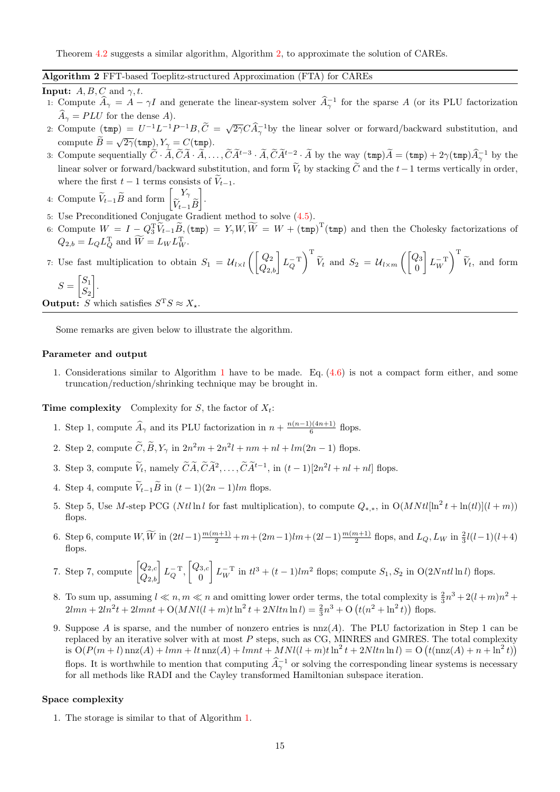Theorem [4.2](#page-13-1) suggests a similar algorithm, Algorithm [2,](#page-14-0) to approximate the solution of CAREs.

#### <span id="page-14-0"></span>Algorithm 2 FFT-based Toeplitz-structured Approximation (FTA) for CAREs

**Input:**  $A, B, C$  and  $\gamma, t$ .

- 1: Compute  $\hat{A}_{\gamma} = A \gamma I$  and generate the linear-system solver  $\hat{A}_{\gamma}^{-1}$  for the sparse A (or its PLU factorization  $\widehat{A}_{\gamma} = PLU$  for the dense A).
- 2: Compute  $(\text{tmp}) = U^{-1}L^{-1}P^{-1}B, \tilde{C} = \sqrt{2\gamma}C\hat{A}_{\gamma}^{-1}$  by the linear solver or forward/backward substitution, and compute  $\widetilde{B} = \sqrt{2\gamma}(\text{tmp}), Y_{\gamma} = C(\text{tmp}).$
- 3: Compute sequentially  $\tilde{C} \cdot \tilde{A}, \tilde{C} \tilde{A} \cdot \tilde{A}, \ldots, \tilde{C} \tilde{A}^{t-3} \cdot \tilde{A}, \tilde{C} \tilde{A}^{t-2} \cdot \tilde{A}$  by the way  $(\text{tmp})\tilde{A} = (\text{tmp}) + 2\gamma(\text{tmp})\tilde{A}^{-1}_{\gamma}$  by the linear solver or forward/backward substitution, and form  $\widetilde{V}_t$  by stacking  $\widetilde{C}$  and the  $t-1$  terms vertically in order. where the first  $t - 1$  terms consists of  $\widetilde{V}_{t-1}$ .
- 4: Compute  $\widetilde{V}_{t-1}\widetilde{B}$  and form  $\begin{bmatrix} Y_{\gamma} \\ \widetilde{V}_{t-1} \end{bmatrix}$  $V_{t-1}B$ .
- 5: Use Preconditioned Conjugate Gradient method to solve [\(4.5\)](#page-13-2).
- 6: Compute  $W = I Q_3^T \widetilde{V}_{t-1} \widetilde{B}_1$ ,  $(\text{tmp}) = Y_\gamma W, \widetilde{W} = W + (\text{tmp})^T (\text{tmp})$  and then the Cholesky factorizations of  $Q_{2,b} = L_Q L_Q^T$  and  $\widetilde{W} = L_W L_W^T$ .

#### 7: Use fast multiplication to obtain  $S_1 = \mathcal{U}_{l \times l} \left( \begin{bmatrix} Q_2 \\ Q_{2,b} \end{bmatrix} L_Q^{-T} \right)$  $\setminus$ <sup>T</sup>  $\widetilde{V}_t$  and  $S_2 = U_{l \times m} \left( \begin{bmatrix} Q_3 \\ 0 \end{bmatrix} \right)$ 0  $L_W^{-T}$  $\setminus$ <sup>T</sup>  $V_t$ , and form

$$
S = \begin{bmatrix} S_1 \\ S_2 \end{bmatrix}.
$$

**Output:** S which satisfies  $S^T S \approx X_*$ .

Some remarks are given below to illustrate the algorithm.

### Parameter and output

1. Considerations similar to Algorithm [1](#page-8-0) have to be made. Eq. [\(4.6\)](#page-13-3) is not a compact form either, and some truncation/reduction/shrinking technique may be brought in.

**Time complexity** Complexity for S, the factor of  $X_t$ :

- 1. Step 1, compute  $\widehat{A}_{\gamma}$  and its PLU factorization in  $n + \frac{n(n-1)(4n+1)}{6}$  $\frac{f(4n+1)}{6}$  flops.
- 2. Step 2, compute  $\tilde{C}, \tilde{B}, Y_{\gamma}$  in  $2n^2m + 2n^2l + nm + nl + lm(2n 1)$  flops.
- 3. Step 3, compute  $V_t$ , namely  $\widetilde{CA}, \widetilde{CA}^2, \ldots, \widetilde{CA}^{t-1}$ , in  $(t-1)[2n^2l + nl + nl]$  flops.
- 4. Step 4, compute  $\widetilde{V}_{t-1}\widetilde{B}$  in  $(t-1)(2n-1)lm$  flops.
- 5. Step 5, Use M-step PCG (Ntl ln l for fast multiplication), to compute  $Q_{*,*}$ , in  $O(MNtl[ln^2 t + ln(t)](l+m))$ flops.
- 6. Step 6, compute  $W, \widetilde{W}$  in  $(2tl-1)\frac{m(m+1)}{2}+m+(2m-1)lm+(2l-1)\frac{m(m+1)}{2}$  flops, and  $L_Q, L_W$  in  $\frac{2}{3}l(l-1)(l+4)$ flops.
- 7. Step 7, compute  $\begin{bmatrix} Q_{2,c} \\ Q_{2,b} \end{bmatrix} L_Q^{-T}$ ,  $\begin{bmatrix} Q_{3,c} \\ 0 \end{bmatrix}$ 0  $\left[ L_W^{-T} \text{ in } t l^3 + (t-1) l m^2 \text{ flops}; \text{ compute } S_1, S_2 \text{ in } O(2Nntl \ln l) \text{ flops}. \right]$
- 8. To sum up, assuming  $l \ll n, m \ll n$  and omitting lower order terms, the total complexity is  $\frac{2}{3}n^3 + 2(l+m)n^2$  +  $2lmn + 2ln^2t + 2lmnt + O(MNl(l+m)t\ln^2t + 2Nltn\ln l) = \frac{2}{3}n^3 + O(t(n^2 + \ln^2t))$  flops.
- 9. Suppose A is sparse, and the number of nonzero entries is nnz(A). The PLU factorization in Step 1 can be replaced by an iterative solver with at most  $P$  steps, such as CG, MINRES and GMRES. The total complexity is  $O(P(m+l)\max(A) + lmn + lt\max(A) + lmnt + MNl(l+m) t\ln^2 t + 2Nltn \ln l) = O(t(\max(A) + n + \ln^2 t))$ flops. It is worthwhile to mention that computing  $\hat{A}_{\gamma}^{-1}$  or solving the corresponding linear systems is necessary for all methods like RADI and the Cayley transformed Hamiltonian subspace iteration.

#### Space complexity

1. The storage is similar to that of Algorithm [1.](#page-8-0)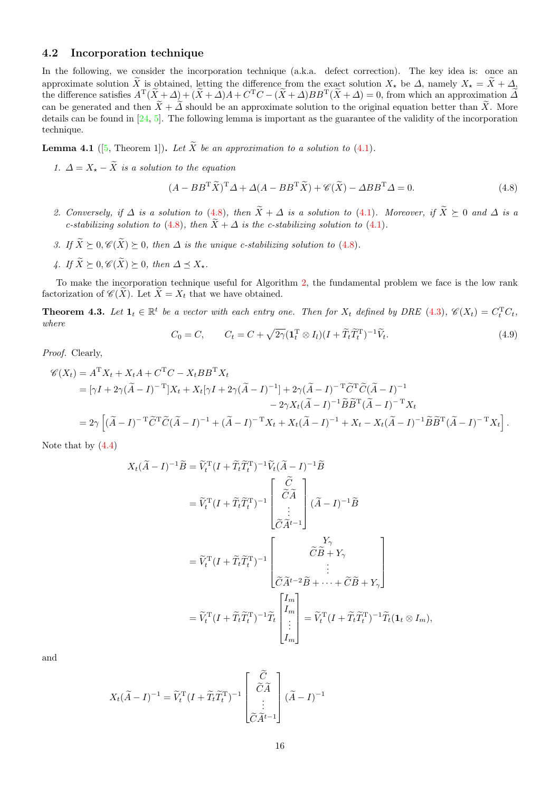#### 4.2 Incorporation technique

In the following, we consider the incorporation technique (a.k.a. defect correction). The key idea is: once an approximate solution  $\widetilde{X}$  is obtained, letting the difference from the exact solution  $X_{\star}$  be  $\Delta$ , namely  $X_{\star} = \widetilde{X} + \Delta$ , the difference satisfies  $A^T(\tilde{X}+\Delta) + (\tilde{X}+\Delta)A + C^TC - (\tilde{X}+\Delta)BB^T(\tilde{X}+\Delta) = 0$ , from which an approximation  $\tilde{\Delta}$ can be generated and then  $\tilde{X}+\tilde{\Delta}$  should be an approximate solution to the original equation better than  $\tilde{X}$ . More details can be found in [\[24,](#page-26-26) [5\]](#page-25-2). The following lemma is important as the guarantee of the validity of the incorporation technique.

**Lemma 4.1** ([\[5,](#page-25-2) Theorem 1]). Let  $\widetilde{X}$  be an approximation to a solution to [\(4.1\)](#page-11-1).

1.  $\Delta = X_{\star} - \widetilde{X}$  is a solution to the equation

<span id="page-15-0"></span>
$$
(A - BB^{\mathrm{T}}\widetilde{X})^{\mathrm{T}}\Delta + \Delta(A - BB^{\mathrm{T}}\widetilde{X}) + \mathscr{C}(\widetilde{X}) - \Delta BB^{\mathrm{T}}\Delta = 0.
$$
\n(4.8)

- 2. Conversely, if  $\Delta$  is a solution to [\(4.8\)](#page-15-0), then  $\widetilde{X} + \Delta$  is a solution to [\(4.1\)](#page-11-1). Moreover, if  $\widetilde{X} \succeq 0$  and  $\Delta$  is a c-stabilizing solution to [\(4.8\)](#page-15-0), then  $\widetilde{X} + \Delta$  is the c-stabilizing solution to [\(4.1\)](#page-11-1).
- 3. If  $\widetilde{X} \succeq 0$ ,  $\mathscr{C}(\widetilde{X}) \succeq 0$ , then  $\Delta$  is the unique c-stabilizing solution to [\(4.8\)](#page-15-0).
- 4. If  $\widetilde{X} \succeq 0$ ,  $\mathscr{C}(\widetilde{X}) \succeq 0$ , then  $\Delta \prec X_{\star}$ .

To make the incorporation technique useful for Algorithm [2,](#page-14-0) the fundamental problem we face is the low rank factorization of  $\mathscr{C}(\widetilde{X})$ . Let  $\widetilde{X} = X_t$  that we have obtained.

<span id="page-15-1"></span>**Theorem 4.3.** Let  $\mathbf{1}_t \in \mathbb{R}^t$  be a vector with each entry one. Then for  $X_t$  defined by DRE [\(4.3\)](#page-12-1),  $\mathscr{C}(X_t) = C_t^{\mathrm{T}} C_t$ , where

<span id="page-15-2"></span>
$$
C_0 = C, \qquad C_t = C + \sqrt{2\gamma} (\mathbf{1}_t^{\mathrm{T}} \otimes I_l)(I + \widetilde{T}_t \widetilde{T}_t^{\mathrm{T}})^{-1} \widetilde{V}_t. \tag{4.9}
$$

Proof. Clearly,

$$
\mathcal{C}(X_t) = A^{\mathrm{T}} X_t + X_t A + C^{\mathrm{T}} C - X_t B B^{\mathrm{T}} X_t
$$
  
= 
$$
[\gamma I + 2\gamma (\widetilde{A} - I)^{-\mathrm{T}}] X_t + X_t [\gamma I + 2\gamma (\widetilde{A} - I)^{-1}] + 2\gamma (\widetilde{A} - I)^{-\mathrm{T}} \widetilde{C}^{\mathrm{T}} \widetilde{C} (\widetilde{A} - I)^{-1}
$$

$$
- 2\gamma X_t (\widetilde{A} - I)^{-1} \widetilde{B} \widetilde{B}^{\mathrm{T}} (\widetilde{A} - I)^{-\mathrm{T}} X_t
$$
  
= 
$$
2\gamma \left[ (\widetilde{A} - I)^{-\mathrm{T}} \widetilde{C}^{\mathrm{T}} \widetilde{C} (\widetilde{A} - I)^{-1} + (\widetilde{A} - I)^{-\mathrm{T}} X_t + X_t (\widetilde{A} - I)^{-1} + X_t - X_t (\widetilde{A} - I)^{-1} \widetilde{B} \widetilde{B}^{\mathrm{T}} (\widetilde{A} - I)^{-\mathrm{T}} X_t \right].
$$

Note that by [\(4.4\)](#page-13-0)

$$
X_t(\tilde{A} - I)^{-1}\tilde{B} = \tilde{V}_t^{\mathrm{T}}(I + \tilde{T}_t\tilde{T}_t^{\mathrm{T}})^{-1}\tilde{V}_t(\tilde{A} - I)^{-1}\tilde{B}
$$
  
\n
$$
= \tilde{V}_t^{\mathrm{T}}(I + \tilde{T}_t\tilde{T}_t^{\mathrm{T}})^{-1} \begin{bmatrix} \tilde{C} \\ \tilde{C}\tilde{A} \\ \vdots \\ \tilde{C}\tilde{A}^{t-1} \end{bmatrix} (\tilde{A} - I)^{-1}\tilde{B}
$$
  
\n
$$
= \tilde{V}_t^{\mathrm{T}}(I + \tilde{T}_t\tilde{T}_t^{\mathrm{T}})^{-1} \begin{bmatrix} \tilde{C}\tilde{B} + Y_{\gamma} \\ \vdots \\ \tilde{C}\tilde{A}^{t-2}\tilde{B} + \cdots + \tilde{C}\tilde{B} + Y_{\gamma} \end{bmatrix}
$$
  
\n
$$
= \tilde{V}_t^{\mathrm{T}}(I + \tilde{T}_t\tilde{T}_t^{\mathrm{T}})^{-1}\tilde{T}_t \begin{bmatrix} I_m \\ I_m \\ \vdots \\ I_m \end{bmatrix} = \tilde{V}_t^{\mathrm{T}}(I + \tilde{T}_t\tilde{T}_t^{\mathrm{T}})^{-1}\tilde{T}_t(1_t \otimes I_m),
$$

and

$$
X_t(\widetilde{A} - I)^{-1} = \widetilde{V}_t^{\mathrm{T}}(I + \widetilde{T}_t \widetilde{T}_t^{\mathrm{T}})^{-1} \begin{bmatrix} \widetilde{C} \\ \widetilde{C}\widetilde{A} \\ \vdots \\ \widetilde{C}\widetilde{A}^{t-1} \end{bmatrix} (\widetilde{A} - I)^{-1}
$$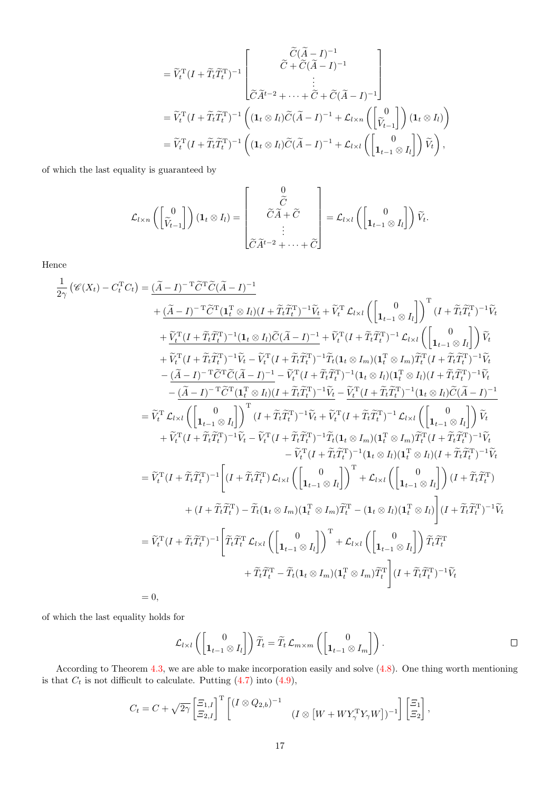$$
= \widetilde{V}_{t}^{\mathrm{T}}(I + \widetilde{T}_{t}\widetilde{T}_{t}^{\mathrm{T}})^{-1} \begin{bmatrix} \widetilde{C}(\widetilde{A} - I)^{-1} \\ \vdots \\ \widetilde{C}\widetilde{A}^{t-2} + \cdots + \widetilde{C} + \widetilde{C}(\widetilde{A} - I)^{-1} \end{bmatrix}
$$
  
\n
$$
= \widetilde{V}_{t}^{\mathrm{T}}(I + \widetilde{T}_{t}\widetilde{T}_{t}^{\mathrm{T}})^{-1} \left( (\mathbf{1}_{t} \otimes I_{l})\widetilde{C}(\widetilde{A} - I)^{-1} + \mathcal{L}_{l \times n} \left( \begin{bmatrix} 0 \\ \widetilde{V}_{t-1} \end{bmatrix} \right) (\mathbf{1}_{t} \otimes I_{l}) \right)
$$
  
\n
$$
= \widetilde{V}_{t}^{\mathrm{T}}(I + \widetilde{T}_{t}\widetilde{T}_{t}^{\mathrm{T}})^{-1} \left( (\mathbf{1}_{t} \otimes I_{l})\widetilde{C}(\widetilde{A} - I)^{-1} + \mathcal{L}_{l \times l} \left( \begin{bmatrix} 0 \\ \mathbf{1}_{t-1} \otimes I_{l} \end{bmatrix} \right) \widetilde{V}_{t} \right),
$$

of which the last equality is guaranteed by

$$
\mathcal{L}_{l \times n} \left( \begin{bmatrix} 0 \\ \tilde{V}_{t-1} \end{bmatrix} \right) (\mathbf{1}_{t} \otimes I_{l}) = \begin{bmatrix} 0 \\ \tilde{C} \tilde{A} + \tilde{C} \\ \vdots \\ \tilde{C} \tilde{A}^{t-2} + \cdots + \tilde{C} \end{bmatrix} = \mathcal{L}_{l \times l} \left( \begin{bmatrix} 0 \\ \mathbf{1}_{t-1} \otimes I_{l} \end{bmatrix} \right) \tilde{V}_{t}.
$$

Hence

$$
\begin{split} \frac{1}{2\gamma}\left(\mathscr{C}(X_{t})-C_{t}^{T}C_{t}\right)&=\frac{(\widetilde{A}-I)^{-\mathrm{T}}\widetilde{C}^{T}\widetilde{C}(\widetilde{A}-I)^{-1}}{4\widetilde{C}T}\widetilde{C}(\widetilde{A}-I)^{-1}\widetilde{C}^{T}\widetilde{C}(\widetilde{A}-I)^{-1}}\\ &+\frac{(\widetilde{A}-I)^{-\mathrm{T}}\widetilde{C}^{T}\widetilde{C}(\widetilde{A}-I)^{-1}}{4\widetilde{C}T}\widetilde{C}(\widetilde{A}-I)^{-1}}+\widetilde{V}_{t}^{T}\widetilde{C}(\widetilde{A}-I)^{-1}+\widetilde{V}_{t}^{T}\widetilde{C}(\widetilde{A}-I)^{-1}\\ &+\frac{\widetilde{V}_{t}^{T}\widetilde{U}+\widetilde{T}_{t}\widetilde{T}_{t}^{T})^{-1}(\mathbf{1}_{t}\otimes I_{l})\widetilde{C}(\widetilde{A}-I)^{-1}}{4\widetilde{C}T}\widetilde{C}(\widetilde{A}-I)^{-1}+\widetilde{V}_{t}^{T}\widetilde{C}(\widetilde{A}-I)^{-1}\widetilde{C}\widetilde{C}(\widetilde{I})\\ &+\widetilde{V}_{t}^{T}\widetilde{U}+\widetilde{T}_{t}\widetilde{T}_{t}^{T})^{-1}\widetilde{V}_{t}-\widetilde{V}_{t}^{T}\widetilde{C}(\widetilde{A}-I)^{-1}-\widetilde{V}_{t}^{T}\widetilde{C}(\widetilde{A}-I)^{-1}-\widetilde{V}_{t}^{T}\widetilde{C}(\widetilde{I}+\widetilde{Z}_{t}\widetilde{T}_{t}^{T})^{-1}(\mathbf{1}_{t}\otimes I_{l})(\mathbf{1}_{t}^{T}\widetilde{C}(\widetilde{A}-I)^{-1}\widetilde{V}_{t}\\ &-\frac{(\widetilde{A}-I)^{-\mathrm{T}}\widetilde{C}^{T}\widetilde{C}(\widetilde{A}-I)^{-1}}{4\widetilde{C}T}\widetilde{C}(\widetilde{I}-I)^{-1}-\widetilde{V}_{t}^{T}\widetilde{C}(\widetilde{I}+\widetilde{Z}_{t}\widetilde{T}_{t}^{T})^{-1}(\math
$$

of which the last equality holds for

$$
\mathcal{L}_{l \times l}\left(\begin{bmatrix} 0 \\ \mathbf{1}_{t-1} \otimes I_l \end{bmatrix}\right) \widetilde{T}_t = \widetilde{T}_t \, \mathcal{L}_{m \times m}\left(\begin{bmatrix} 0 \\ \mathbf{1}_{t-1} \otimes I_m \end{bmatrix}\right).
$$

According to Theorem [4.3,](#page-15-1) we are able to make incorporation easily and solve [\(4.8\)](#page-15-0). One thing worth mentioning is that  $C_t$  is not difficult to calculate. Putting [\(4.7\)](#page-13-4) into [\(4.9\)](#page-15-2),

$$
C_t = C + \sqrt{2\gamma} \begin{bmatrix} \Xi_{1,I} \\ \Xi_{2,I} \end{bmatrix}^{\mathrm{T}} \begin{bmatrix} (I \otimes Q_{2,b})^{-1} \\ (I \otimes [W + W Y_{\gamma}^{\mathrm{T}} Y_{\gamma} W])^{-1} \end{bmatrix} \begin{bmatrix} \Xi_1 \\ \Xi_2 \end{bmatrix},
$$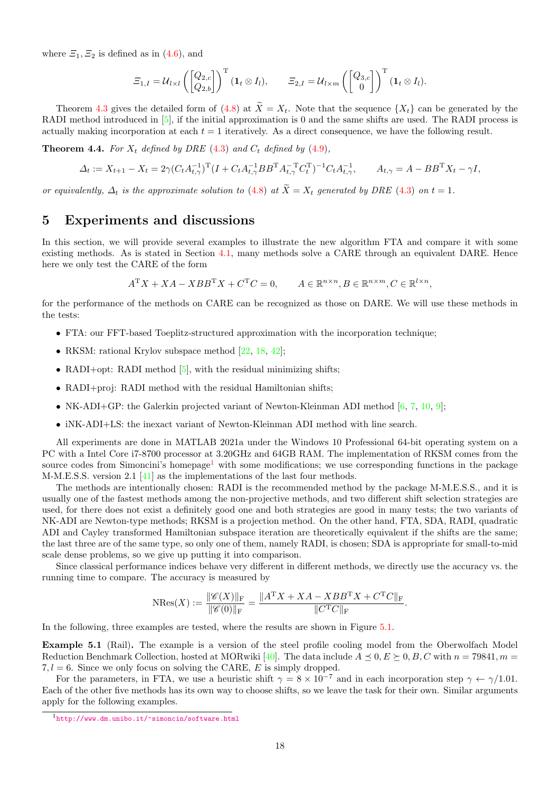where  $\mathcal{Z}_1, \mathcal{Z}_2$  is defined as in [\(4.6\)](#page-13-3), and

$$
\Xi_{1,I} = \mathcal{U}_{l \times l} \left( \begin{bmatrix} Q_{2,c} \\ Q_{2,b} \end{bmatrix} \right)^{\mathrm{T}} (\mathbf{1}_{t} \otimes I_{l}), \qquad \Xi_{2,I} = \mathcal{U}_{l \times m} \left( \begin{bmatrix} Q_{3,c} \\ 0 \end{bmatrix} \right)^{\mathrm{T}} (\mathbf{1}_{t} \otimes I_{l}).
$$

Theorem [4.3](#page-15-1) gives the detailed form of [\(4.8\)](#page-15-0) at  $\widetilde{X} = X_t$ . Note that the sequence  $\{X_t\}$  can be generated by the RADI method introduced in [\[5\]](#page-25-2), if the initial approximation is 0 and the same shifts are used. The RADI process is actually making incorporation at each  $t = 1$  iteratively. As a direct consequence, we have the following result.

**Theorem 4.4.** For  $X_t$  defined by DRE [\(4.3\)](#page-12-1) and  $C_t$  defined by [\(4.9\)](#page-15-2),

$$
\Delta_t := X_{t+1} - X_t = 2\gamma (C_t A_{t,\gamma}^{-1})^{\mathrm{T}} (I + C_t A_{t,\gamma}^{-1} B B^{\mathrm{T}} A_{t,\gamma}^{-\mathrm{T}} C_t^{\mathrm{T}})^{-1} C_t A_{t,\gamma}^{-1}, \qquad A_{t,\gamma} = A - B B^{\mathrm{T}} X_t - \gamma I,
$$

or equivalently,  $\Delta_t$  is the approximate solution to [\(4.8\)](#page-15-0) at  $\widetilde{X} = X_t$  generated by DRE [\(4.3\)](#page-12-1) on  $t = 1$ .

# <span id="page-17-0"></span>5 Experiments and discussions

In this section, we will provide several examples to illustrate the new algorithm FTA and compare it with some existing methods. As is stated in Section [4.1,](#page-12-2) many methods solve a CARE through an equivalent DARE. Hence here we only test the CARE of the form

$$
A^{\mathrm{T}}X + XA - XBB^{\mathrm{T}}X + C^{\mathrm{T}}C = 0, \qquad A \in \mathbb{R}^{n \times n}, B \in \mathbb{R}^{n \times m}, C \in \mathbb{R}^{l \times n},
$$

for the performance of the methods on CARE can be recognized as those on DARE. We will use these methods in the tests:

- FTA: our FFT-based Toeplitz-structured approximation with the incorporation technique;
- RKSM: rational Krylov subspace method [\[22,](#page-26-27) [18,](#page-26-5) [42\]](#page-27-3);
- RADI+opt: RADI method  $[5]$ , with the residual minimizing shifts:
- RADI+proj: RADI method with the residual Hamiltonian shifts;
- NK-ADI+GP: the Galerkin projected variant of Newton-Kleinman ADI method  $[6, 7, 10, 9]$  $[6, 7, 10, 9]$  $[6, 7, 10, 9]$  $[6, 7, 10, 9]$  $[6, 7, 10, 9]$  $[6, 7, 10, 9]$  $[6, 7, 10, 9]$ ;
- iNK-ADI+LS: the inexact variant of Newton-Kleinman ADI method with line search.

All experiments are done in MATLAB 2021a under the Windows 10 Professional 64-bit operating system on a PC with a Intel Core i7-8700 processor at 3.20GHz and 64GB RAM. The implementation of RKSM comes from the source codes from Simoncini's homepage<sup>[1](#page-17-1)</sup> with some modifications; we use corresponding functions in the package M-M.E.S.S. version 2.1 [\[41\]](#page-27-4) as the implementations of the last four methods.

The methods are intentionally chosen: RADI is the recommended method by the package M-M.E.S.S., and it is usually one of the fastest methods among the non-projective methods, and two different shift selection strategies are used, for there does not exist a definitely good one and both strategies are good in many tests; the two variants of NK-ADI are Newton-type methods; RKSM is a projection method. On the other hand, FTA, SDA, RADI, quadratic ADI and Cayley transformed Hamiltonian subspace iteration are theoretically equivalent if the shifts are the same; the last three are of the same type, so only one of them, namely RADI, is chosen; SDA is appropriate for small-to-mid scale dense problems, so we give up putting it into comparison.

Since classical performance indices behave very different in different methods, we directly use the accuracy vs. the running time to compare. The accuracy is measured by

$$
N\text{Res}(X) := \frac{\|\mathscr{C}(X)\|_{\text{F}}}{\|\mathscr{C}(0)\|_{\text{F}}} = \frac{\|A^{T}X + XA - XBB^{T}X + C^{T}C\|_{\text{F}}}{\|C^{T}C\|_{\text{F}}}.
$$

In the following, three examples are tested, where the results are shown in Figure [5.1.](#page-18-0)

Example 5.1 (Rail). The example is a version of the steel profile cooling model from the Oberwolfach Model Reduction Benchmark Collection, hosted at MORwiki [\[40\]](#page-27-5). The data include  $A \preceq 0, E \succeq 0, B, C$  with  $n = 79841, m =$ 7,  $l = 6$ . Since we only focus on solving the CARE, E is simply dropped.

For the parameters, in FTA, we use a heuristic shift  $\gamma = 8 \times 10^{-7}$  and in each incorporation step  $\gamma \leftarrow \gamma/1.01$ . Each of the other five methods has its own way to choose shifts, so we leave the task for their own. Similar arguments apply for the following examples.

<span id="page-17-1"></span><sup>1</sup><http://www.dm.unibo.it/~simoncin/software.html>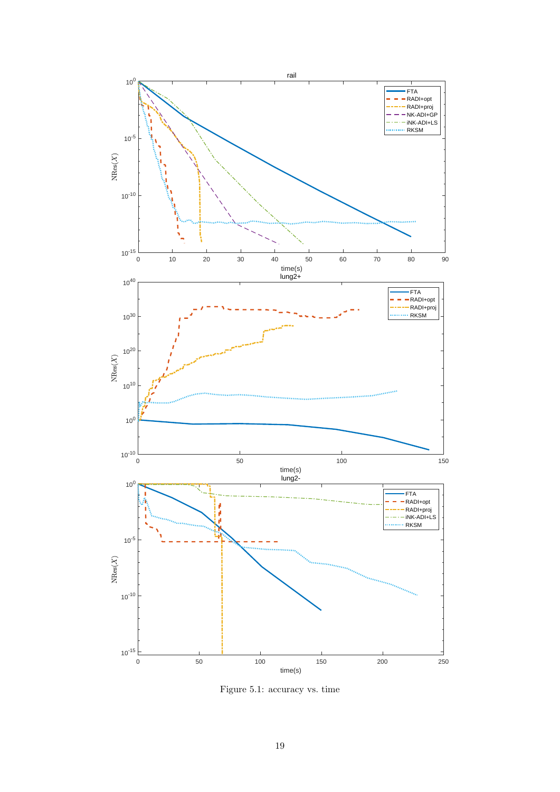<span id="page-18-0"></span>

Figure 5.1: accuracy vs. time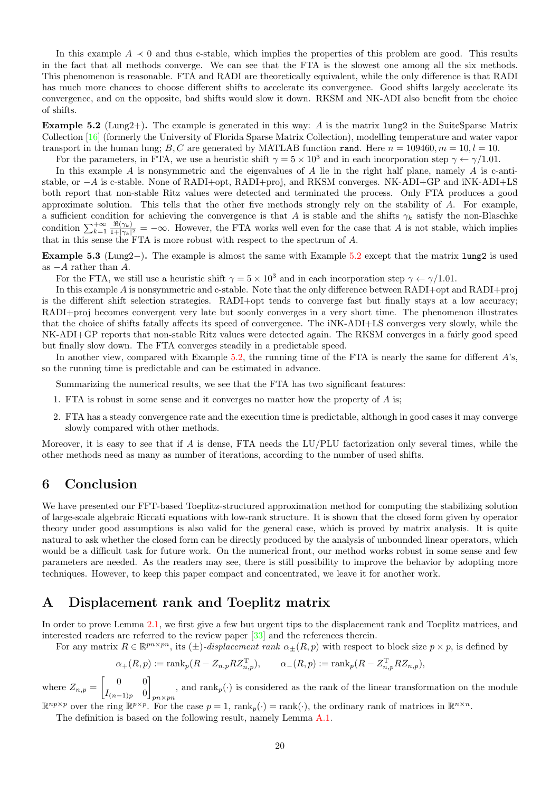In this example  $A \prec 0$  and thus c-stable, which implies the properties of this problem are good. This results in the fact that all methods converge. We can see that the FTA is the slowest one among all the six methods. This phenomenon is reasonable. FTA and RADI are theoretically equivalent, while the only difference is that RADI has much more chances to choose different shifts to accelerate its convergence. Good shifts largely accelerate its convergence, and on the opposite, bad shifts would slow it down. RKSM and NK-ADI also benefit from the choice of shifts.

<span id="page-19-2"></span>**Example 5.2** (Lung2+). The example is generated in this way: A is the matrix  $\text{lung2}$  in the SuiteSparse Matrix Collection [\[16\]](#page-26-29) (formerly the University of Florida Sparse Matrix Collection), modelling temperature and water vapor transport in the human lung; B, C are generated by MATLAB function rand. Here  $n = 109460$ ,  $m = 10$ ,  $l = 10$ .

For the parameters, in FTA, we use a heuristic shift  $\gamma = 5 \times 10^3$  and in each incorporation step  $\gamma \leftarrow \gamma/1.01$ . In this example A is nonsymmetric and the eigenvalues of A lie in the right half plane, namely A is c-antistable, or  $-A$  is c-stable. None of RADI+opt, RADI+proj, and RKSM converges. NK-ADI+GP and iNK-ADI+LS both report that non-stable Ritz values were detected and terminated the process. Only FTA produces a good approximate solution. This tells that the other five methods strongly rely on the stability of A. For example, a sufficient condition for achieving the convergence is that A is stable and the shifts  $\gamma_k$  satisfy the non-Blaschke condition  $\sum_{k=1}^{+\infty} \frac{\Re(\gamma_k)}{1+|\gamma_k|}$  $\frac{\pi(\gamma_k)}{1+|\gamma_k|^2} = -\infty$ . However, the FTA works well even for the case that A is not stable, which implies

that in this sense the FTA is more robust with respect to the spectrum of A.

Example 5.3 (Lung2−). The example is almost the same with Example [5.2](#page-19-2) except that the matrix lung2 is used as  $-A$  rather than  $A$ .

For the FTA, we still use a heuristic shift  $\gamma = 5 \times 10^3$  and in each incorporation step  $\gamma \leftarrow \gamma/1.01$ .

In this example A is nonsymmetric and c-stable. Note that the only difference between RADI+opt and RADI+proj is the different shift selection strategies. RADI+opt tends to converge fast but finally stays at a low accuracy; RADI+proj becomes convergent very late but soonly converges in a very short time. The phenomenon illustrates that the choice of shifts fatally affects its speed of convergence. The iNK-ADI+LS converges very slowly, while the NK-ADI+GP reports that non-stable Ritz values were detected again. The RKSM converges in a fairly good speed but finally slow down. The FTA converges steadily in a predictable speed.

In another view, compared with Example [5.2,](#page-19-2) the running time of the FTA is nearly the same for different  $A$ 's, so the running time is predictable and can be estimated in advance.

Summarizing the numerical results, we see that the FTA has two significant features:

- 1. FTA is robust in some sense and it converges no matter how the property of A is;
- 2. FTA has a steady convergence rate and the execution time is predictable, although in good cases it may converge slowly compared with other methods.

Moreover, it is easy to see that if  $A$  is dense, FTA needs the LU/PLU factorization only several times, while the other methods need as many as number of iterations, according to the number of used shifts.

# <span id="page-19-1"></span>6 Conclusion

We have presented our FFT-based Toeplitz-structured approximation method for computing the stabilizing solution of large-scale algebraic Riccati equations with low-rank structure. It is shown that the closed form given by operator theory under good assumptions is also valid for the general case, which is proved by matrix analysis. It is quite natural to ask whether the closed form can be directly produced by the analysis of unbounded linear operators, which would be a difficult task for future work. On the numerical front, our method works robust in some sense and few parameters are needed. As the readers may see, there is still possibility to improve the behavior by adopting more techniques. However, to keep this paper compact and concentrated, we leave it for another work.

# <span id="page-19-0"></span>A Displacement rank and Toeplitz matrix

In order to prove Lemma [2.1,](#page-2-0) we first give a few but urgent tips to the displacement rank and Toeplitz matrices, and interested readers are referred to the review paper [\[33\]](#page-26-15) and the references therein.

For any matrix  $R \in \mathbb{R}^{pn \times pn}$ , its  $(\pm)$ -displacement rank  $\alpha_{\pm}(R, p)$  with respect to block size  $p \times p$ , is defined by

$$
\alpha_{+}(R,p) := \text{rank}_{p}(R - Z_{n,p} R Z_{n,p}^{\mathsf{T}}), \qquad \alpha_{-}(R,p) := \text{rank}_{p}(R - Z_{n,p}^{\mathsf{T}} R Z_{n,p}),
$$

where  $Z_{n,p} = \begin{bmatrix} 0 & 0 \\ I_{n,p} & 0 \end{bmatrix}$  $I_{(n-1)p}$  0 1 pn×pn , and  $\text{rank}_p(\cdot)$  is considered as the rank of the linear transformation on the module

 $\mathbb{R}^{np \times p}$  over the ring  $\mathbb{R}^{p \times p}$  $n^{p\times p}$  over the ring  $\mathbb{R}^{p\times p}$ . For the case  $p=1$ ,  $\text{rank}_p(\cdot) = \text{rank}(\cdot)$ , the ordinary rank of matrices in  $\mathbb{R}^{n\times n}$ .

<span id="page-19-3"></span>The definition is based on the following result, namely Lemma [A.1.](#page-19-3)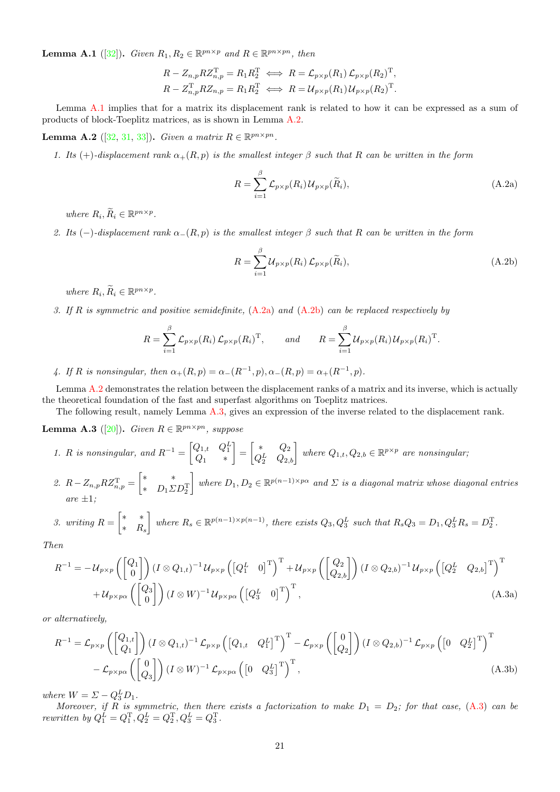**Lemma A.1** ([\[32\]](#page-26-12)). Given  $R_1, R_2 \in \mathbb{R}^{pn \times p}$  and  $R \in \mathbb{R}^{pn \times pn}$ , then

$$
R - Z_{n,p} R Z_{n,p}^{\mathrm{T}} = R_1 R_2^{\mathrm{T}} \iff R = \mathcal{L}_{p \times p}(R_1) \mathcal{L}_{p \times p}(R_2)^{\mathrm{T}},
$$
  

$$
R - Z_{n,p}^{\mathrm{T}} R Z_{n,p} = R_1 R_2^{\mathrm{T}} \iff R = \mathcal{U}_{p \times p}(R_1) \mathcal{U}_{p \times p}(R_2)^{\mathrm{T}}.
$$

Lemma [A.1](#page-19-3) implies that for a matrix its displacement rank is related to how it can be expressed as a sum of products of block-Toeplitz matrices, as is shown in Lemma [A.2.](#page-20-0)

<span id="page-20-0"></span>Lemma A.2 ([\[32,](#page-26-12) [31,](#page-26-14) [33\]](#page-26-15)). Given a matrix  $R \in \mathbb{R}^{pn \times pn}$ .

1. Its (+)-displacement rank  $\alpha_{+}(R, p)$  is the smallest integer  $\beta$  such that R can be written in the form

<span id="page-20-1"></span>
$$
R = \sum_{i=1}^{\beta} \mathcal{L}_{p \times p}(R_i) \mathcal{U}_{p \times p}(\tilde{R}_i),
$$
\n(A.2a)

where  $R_i, \widetilde{R}_i \in \mathbb{R}^{pn \times p}$ .

2. Its (-)-displacement rank  $\alpha_-(R, p)$  is the smallest integer  $\beta$  such that R can be written in the form

<span id="page-20-5"></span><span id="page-20-2"></span>
$$
R = \sum_{i=1}^{\beta} \mathcal{U}_{p \times p}(R_i) \mathcal{L}_{p \times p}(\tilde{R}_i),
$$
\n(A.2b)

where  $R_i, \widetilde{R}_i \in \mathbb{R}^{pn \times p}$ .

3. If R is symmetric and positive semidefinite,  $(A.2a)$  and  $(A.2b)$  can be replaced respectively by

$$
R = \sum_{i=1}^{\beta} \mathcal{L}_{p \times p}(R_i) \mathcal{L}_{p \times p}(R_i)^{\mathrm{T}}, \quad \text{and} \quad R = \sum_{i=1}^{\beta} \mathcal{U}_{p \times p}(R_i) \mathcal{U}_{p \times p}(R_i)^{\mathrm{T}}.
$$

4. If R is nonsingular, then  $\alpha_{+}(R, p) = \alpha_{-}(R^{-1}, p), \alpha_{-}(R, p) = \alpha_{+}(R^{-1}, p)$ .

Lemma [A.2](#page-20-0) demonstrates the relation between the displacement ranks of a matrix and its inverse, which is actually the theoretical foundation of the fast and superfast algorithms on Toeplitz matrices.

The following result, namely Lemma [A.3,](#page-20-3) gives an expression of the inverse related to the displacement rank.

<span id="page-20-3"></span>**Lemma A.3** ([\[20\]](#page-26-16)). Given  $R \in \mathbb{R}^{pn \times pn}$ , suppose

1. R is nonsingular, and  $R^{-1} = \begin{bmatrix} Q_{1,t} & Q_1^L \\ Q_1 & * \end{bmatrix}$  $= \begin{bmatrix} * & Q_2 \\ Q_1 & Q_2 \end{bmatrix}$  $\begin{bmatrix} \ast & Q_2 \ Q_2^L & Q_{2,b} \end{bmatrix}$  where  $Q_{1,t}, Q_{2,b} \in \mathbb{R}^{p \times p}$  are nonsingular; 2.  $R - Z_{n,p} R Z_{n,p}^{\mathrm{T}} = \begin{bmatrix} * & * \\ * & D, \Sigma \end{bmatrix}$ \*  $D_1 \Sigma D_2^{\mathrm{T}}$ where  $D_1, D_2 \in \mathbb{R}^{p(n-1)\times p\alpha}$  and  $\Sigma$  is a diagonal matrix whose diagonal entries are  $\pm 1$ ;

3. writing 
$$
R = \begin{bmatrix} * & * \\ * & R_s \end{bmatrix}
$$
 where  $R_s \in \mathbb{R}^{p(n-1)\times p(n-1)}$ , there exists  $Q_3, Q_3^L$  such that  $R_s Q_3 = D_1, Q_3^L R_s = D_2^T$ .

Then

<span id="page-20-4"></span>
$$
R^{-1} = -\mathcal{U}_{p\times p}\left(\begin{bmatrix} Q_1\\0 \end{bmatrix}\right) (I \otimes Q_{1,t})^{-1} \mathcal{U}_{p\times p}\left(\begin{bmatrix} Q_1^L & 0 \end{bmatrix}^T\right)^T + \mathcal{U}_{p\times p}\left(\begin{bmatrix} Q_2\\Q_{2,b} \end{bmatrix}\right) (I \otimes Q_{2,b})^{-1} \mathcal{U}_{p\times p}\left(\begin{bmatrix} Q_2^L & Q_{2,b} \end{bmatrix}^T\right)^T
$$
  
+  $\mathcal{U}_{p\times p\alpha}\left(\begin{bmatrix} Q_3\\0 \end{bmatrix}\right) (I \otimes W)^{-1} \mathcal{U}_{p\times p\alpha}\left(\begin{bmatrix} Q_3^L & 0 \end{bmatrix}^T\right)^T$ , (A.3a)

or alternatively,

$$
R^{-1} = \mathcal{L}_{p \times p} \left( \begin{bmatrix} Q_{1,t} \\ Q_1 \end{bmatrix} \right) (I \otimes Q_{1,t})^{-1} \mathcal{L}_{p \times p} \left( \begin{bmatrix} Q_{1,t} & Q_1^L \end{bmatrix}^T \right)^T - \mathcal{L}_{p \times p} \left( \begin{bmatrix} 0 \\ Q_2 \end{bmatrix} \right) (I \otimes Q_{2,b})^{-1} \mathcal{L}_{p \times p} \left( \begin{bmatrix} 0 & Q_2^L \end{bmatrix}^T \right)^T - \mathcal{L}_{p \times p \times p} \left( \begin{bmatrix} 0 & Q_2^L \end{bmatrix}^T \right)^T - \mathcal{L}_{p \times p \times p} \left( \begin{bmatrix} 0 & Q_2^L \end{bmatrix}^T \right)^T (A.3b)
$$

where  $W = \Sigma - Q_3^L D_1$ .

Moreover, if R is symmetric, then there exists a factorization to make  $D_1 = D_2$ ; for that case,  $(A.3)$  can be rewritten by  $Q_1^L = Q_1^T, Q_2^L = Q_2^T, Q_3^L = Q_3^T$ .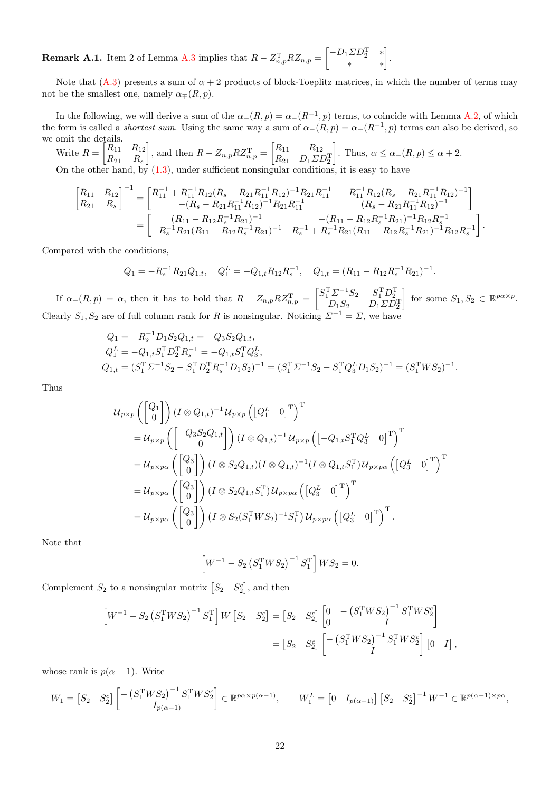**Remark A.1.** Item 2 of Lemma [A.3](#page-20-3) implies that  $R - Z_{n,p}^{\mathrm{T}} R Z_{n,p} = \begin{bmatrix} -D_1 \Sigma D_2^{\mathrm{T}} & * \\ * & * \end{bmatrix}$ .

Note that  $(A.3)$  presents a sum of  $\alpha + 2$  products of block-Toeplitz matrices, in which the number of terms may not be the smallest one, namely  $\alpha_{\mp}(R, p)$ .

In the following, we will derive a sum of the  $\alpha_{+}(R,p) = \alpha_{-}(R^{-1},p)$  terms, to coincide with Lemma [A.2,](#page-20-0) of which the form is called a *shortest sum*. Using the same way a sum of  $\alpha_{-}(R,p) = \alpha_{+}(R^{-1},p)$  terms can also be derived, so we omit the details.

Write  $R = \begin{bmatrix} R_{11} & R_{12} \\ R_{21} & R_{22} \end{bmatrix}$  $R_{21}$   $R_s$ , and then  $R - Z_{n,p} R Z_{n,p}^{\mathrm{T}} = \begin{bmatrix} R_{11} & R_{12} \\ R_{21} & R_{22} \end{bmatrix}$  $R_{21}$   $D_1\Sigma D_2^{\mathrm{T}}$ Thus,  $\alpha \leq \alpha_{+}(R,p) \leq \alpha + 2$ . On the other hand, by [\(1.3\)](#page-1-2), under sufficient nonsingular conditions, it is easy to have

$$
\begin{bmatrix}\nR_{11} & R_{12} \\
R_{21} & R_{s}\n\end{bmatrix}^{-1} = \begin{bmatrix}\nR_{11}^{-1} + R_{11}^{-1}R_{12}(R_{s} - R_{21}R_{11}^{-1}R_{12})^{-1}R_{21}R_{11}^{-1} & -R_{11}^{-1}R_{12}(R_{s} - R_{21}R_{11}^{-1}R_{12})^{-1} \\
-(R_{s} - R_{21}R_{11}^{-1}R_{12})^{-1}R_{21}R_{11}^{-1} & (R_{s} - R_{21}R_{11}^{-1}R_{12})^{-1} \\
(R_{s} - R_{21}R_{11}^{-1}R_{12})^{-1} & -(R_{11} - R_{12}R_{s}^{-1}R_{21})^{-1}R_{12}R_{s}^{-1} \\
-(R_{11} - R_{12}R_{s}^{-1}R_{21})^{-1} & -R_{11}^{-1}R_{12}R_{s}^{-1}R_{21}\end{bmatrix}^{-1}R_{12}R_{s}^{-1}
$$

Compared with the conditions,

$$
Q_1 = -R_s^{-1}R_{21}Q_{1,t}, \quad Q_1^L = -Q_{1,t}R_{12}R_s^{-1}, \quad Q_{1,t} = (R_{11} - R_{12}R_s^{-1}R_{21})^{-1}.
$$

If  $\alpha_{+}(R,p) = \alpha$ , then it has to hold that  $R - Z_{n,p} R Z_{n,p}^{\mathrm{T}} = \begin{bmatrix} S_{1}^{\mathrm{T}} \Sigma^{-1} S_{2} & S_{1}^{\mathrm{T}} D_{2}^{\mathrm{T}} \\ D_{1} S_{2} & D_{1} \Sigma D_{2}^{\mathrm{T}} \end{bmatrix}$ for some  $S_1, S_2 \in \mathbb{R}^{p \alpha \times p}$ . Clearly  $S_1, S_2$  are of full column rank for R is nonsingular. Noticing  $\Sigma^{-1} = \Sigma$ , we have

$$
Q_1 = -R_s^{-1}D_1S_2Q_{1,t} = -Q_3S_2Q_{1,t},
$$
  
\n
$$
Q_1^L = -Q_{1,t}S_1^TD_2^TR_s^{-1} = -Q_{1,t}S_1^TQ_3^L,
$$
  
\n
$$
Q_{1,t} = (S_1^T\Sigma^{-1}S_2 - S_1^TD_2^TR_s^{-1}D_1S_2)^{-1} = (S_1^T\Sigma^{-1}S_2 - S_1^TQ_3^LD_1S_2)^{-1} = (S_1^TWS_2)^{-1}.
$$

Thus

$$
\begin{split}\n&u_{p\times p}\left(\begin{bmatrix}Q_{1}\\0\end{bmatrix}\right)(I\otimes Q_{1,t})^{-1}\mathcal{U}_{p\times p}\left(\begin{bmatrix}Q_{1}^{L}&0\end{bmatrix}^{T}\right)^{\mathrm{T}}\\
&=U_{p\times p}\left(\begin{bmatrix}-Q_{3}S_{2}Q_{1,t}\\0\end{bmatrix}\right)(I\otimes Q_{1,t})^{-1}\mathcal{U}_{p\times p}\left(\begin{bmatrix}-Q_{1,t}S_{1}^{T}Q_{3}^{L}&0\end{bmatrix}^{T}\right)^{\mathrm{T}}\\
&=U_{p\times p\alpha}\left(\begin{bmatrix}Q_{3}\\0\end{bmatrix}\right)(I\otimes S_{2}Q_{1,t})(I\otimes Q_{1,t})^{-1}(I\otimes Q_{1,t}S_{1}^{T})\mathcal{U}_{p\times p\alpha}\left(\begin{bmatrix}Q_{3}^{L}&0\end{bmatrix}^{T}\right)^{\mathrm{T}}\\
&=U_{p\times p\alpha}\left(\begin{bmatrix}Q_{3}\\0\end{bmatrix}\right)(I\otimes S_{2}Q_{1,t}S_{1}^{T})\mathcal{U}_{p\times p\alpha}\left(\begin{bmatrix}Q_{3}^{L}&0\end{bmatrix}^{T}\right)^{\mathrm{T}}\\
&=U_{p\times p\alpha}\left(\begin{bmatrix}Q_{3}\\0\end{bmatrix}\right)(I\otimes S_{2}(S_{1}^{T}WS_{2})^{-1}S_{1}^{T})\mathcal{U}_{p\times p\alpha}\left(\begin{bmatrix}Q_{3}^{L}&0\end{bmatrix}^{T}\right)^{\mathrm{T}}.\n\end{split}
$$

Note that

$$
\[W^{-1} - S_2 (S_1^{\mathrm{T}} W S_2)^{-1} S_1^{\mathrm{T}}\] W S_2 = 0.
$$

Complement  $S_2$  to a nonsingular matrix  $\begin{bmatrix} S_2 & S_2^c \end{bmatrix}$ , and then

$$
\begin{aligned}\n\left[W^{-1} - S_2 \left(S_1^{\mathrm{T}} W S_2\right)^{-1} S_1^{\mathrm{T}}\right] W \begin{bmatrix} S_2 & S_2^c \end{bmatrix} &= \begin{bmatrix} S_2 & S_2^c \end{bmatrix} \begin{bmatrix} 0 & -\left(S_1^{\mathrm{T}} W S_2\right)^{-1} S_1^{\mathrm{T}} W S_2^c \end{bmatrix} \\
&= \begin{bmatrix} S_2 & S_2^c \end{bmatrix} \begin{bmatrix} -\left(S_1^{\mathrm{T}} W S_2\right)^{-1} S_1^{\mathrm{T}} W S_2^c \end{bmatrix} \begin{bmatrix} 0 & I \end{bmatrix},\n\end{aligned}
$$

whose rank is  $p(\alpha - 1)$ . Write

$$
W_1 = \begin{bmatrix} S_2 & S_2^c \end{bmatrix} \begin{bmatrix} -\left( S_1^{\mathrm{T}} W S_2 \right)^{-1} S_1^{\mathrm{T}} W S_2^c \\ I_{p(\alpha - 1)} \end{bmatrix} \in \mathbb{R}^{p\alpha \times p(\alpha - 1)}, \qquad W_1^L = \begin{bmatrix} 0 & I_{p(\alpha - 1)} \end{bmatrix} \begin{bmatrix} S_2 & S_2^c \end{bmatrix}^{-1} W^{-1} \in \mathbb{R}^{p(\alpha - 1) \times p\alpha},
$$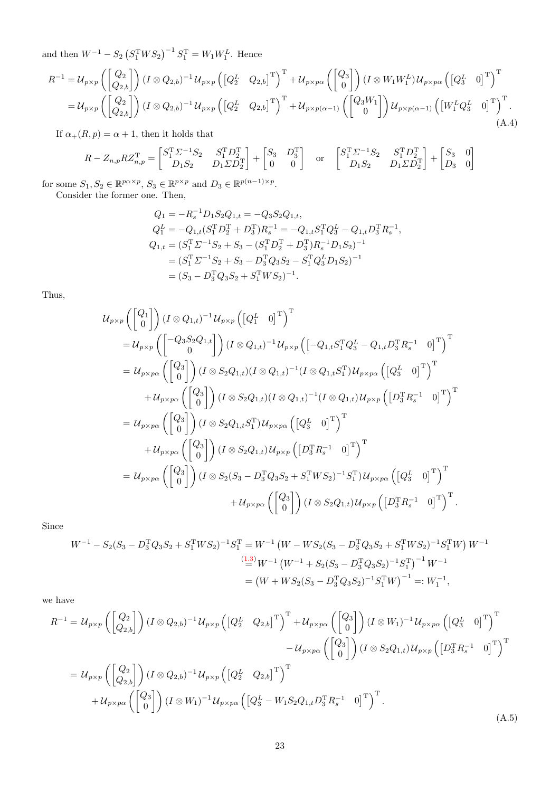and then  $W^{-1} - S_2 (S_1^T W S_2)^{-1} S_1^T = W_1 W_1^L$ . Hence

<span id="page-22-0"></span>
$$
R^{-1} = \mathcal{U}_{p\times p}\left(\begin{bmatrix} Q_2\\ Q_{2,b} \end{bmatrix}\right) (I \otimes Q_{2,b})^{-1} \mathcal{U}_{p\times p}\left(\begin{bmatrix} Q_2^L & Q_{2,b} \end{bmatrix}^T\right)^T + \mathcal{U}_{p\times p\alpha}\left(\begin{bmatrix} Q_3\\ 0 \end{bmatrix}\right) (I \otimes W_1 W_1^L) \mathcal{U}_{p\times p\alpha}\left(\begin{bmatrix} Q_3^L & 0 \end{bmatrix}^T\right)^T
$$
  
\n
$$
= \mathcal{U}_{p\times p}\left(\begin{bmatrix} Q_2\\ Q_{2,b} \end{bmatrix}\right) (I \otimes Q_{2,b})^{-1} \mathcal{U}_{p\times p}\left(\begin{bmatrix} Q_2^L & Q_{2,b} \end{bmatrix}^T\right)^T + \mathcal{U}_{p\times p(\alpha-1)}\left(\begin{bmatrix} Q_3 W_1\\ 0 \end{bmatrix}\right) \mathcal{U}_{p\times p(\alpha-1)}\left(\begin{bmatrix} W_1^L Q_3^L & 0 \end{bmatrix}^T\right)^T.
$$
\n(A.4)

If  $\alpha_{+}(R, p) = \alpha + 1$ , then it holds that

$$
R - Z_{n,p} R Z_{n,p}^{\mathrm{T}} = \begin{bmatrix} S_1^{\mathrm{T}} \Sigma^{-1} S_2 & S_1^{\mathrm{T}} D_2^{\mathrm{T}} \\ D_1 S_2 & D_1 \Sigma D_2^{\mathrm{T}} \end{bmatrix} + \begin{bmatrix} S_3 & D_3^{\mathrm{T}} \\ 0 & 0 \end{bmatrix} \quad \text{or} \quad \begin{bmatrix} S_1^{\mathrm{T}} \Sigma^{-1} S_2 & S_1^{\mathrm{T}} D_2^{\mathrm{T}} \\ D_1 S_2 & D_1 \Sigma D_2^{\mathrm{T}} \end{bmatrix} + \begin{bmatrix} S_3 & 0 \\ D_3 & 0 \end{bmatrix}
$$

for some  $S_1, S_2 \in \mathbb{R}^{p \alpha \times p}$ ,  $S_3 \in \mathbb{R}^{p \times p}$  and  $D_3 \in \mathbb{R}^{p(n-1) \times p}$ . Consider the former one. Then,

$$
Q_1 = -R_s^{-1}D_1S_2Q_{1,t} = -Q_3S_2Q_{1,t},
$$
  
\n
$$
Q_1^L = -Q_{1,t}(S_1^T D_2^T + D_3^T)R_s^{-1} = -Q_{1,t}S_1^T Q_3^L - Q_{1,t}D_3^T R_s^{-1},
$$
  
\n
$$
Q_{1,t} = (S_1^T \Sigma^{-1} S_2 + S_3 - (S_1^T D_2^T + D_3^T)R_s^{-1}D_1S_2)^{-1}
$$
  
\n
$$
= (S_1^T \Sigma^{-1} S_2 + S_3 - D_3^T Q_3 S_2 - S_1^T Q_3^L D_1 S_2)^{-1}
$$
  
\n
$$
= (S_3 - D_3^T Q_3 S_2 + S_1^T W S_2)^{-1}.
$$

Thus,

$$
u_{p\times p}\left(\begin{bmatrix} Q_{1} \\ 0 \end{bmatrix}\right)(I \otimes Q_{1,t})^{-1}u_{p\times p}\left(\begin{bmatrix} Q_{1}^{L} & 0 \end{bmatrix}^{T}\right)^{T}
$$
  
\n
$$
=u_{p\times p}\left(\begin{bmatrix} -Q_{3}S_{2}Q_{1,t} \\ 0 \end{bmatrix}\right)(I \otimes Q_{1,t})^{-1}u_{p\times p}\left(\begin{bmatrix} -Q_{1,t}S_{1}^{T}Q_{3}^{L} - Q_{1,t}D_{3}^{T}R_{s}^{-1} & 0 \end{bmatrix}^{T}\right)^{T}
$$
  
\n
$$
=u_{p\times p\alpha}\left(\begin{bmatrix} Q_{3} \\ 0 \end{bmatrix}\right)(I \otimes S_{2}Q_{1,t})(I \otimes Q_{1,t})^{-1}(I \otimes Q_{1,t}S_{1}^{T})u_{p\times p\alpha}\left(\begin{bmatrix} Q_{3}^{L} & 0 \end{bmatrix}^{T}\right)^{T}
$$
  
\n
$$
+u_{p\times p\alpha}\left(\begin{bmatrix} Q_{3} \\ 0 \end{bmatrix}\right)(I \otimes S_{2}Q_{1,t})(I \otimes Q_{1,t})^{-1}(I \otimes Q_{1,t})u_{p\times p}\left(\begin{bmatrix} D_{3}^{T}R_{s}^{-1} & 0 \end{bmatrix}^{T}\right)^{T}
$$
  
\n
$$
=u_{p\times p\alpha}\left(\begin{bmatrix} Q_{3} \\ 0 \end{bmatrix}\right)(I \otimes S_{2}Q_{1,t})u_{p\times p\alpha}\left(\begin{bmatrix} Q_{3}^{L} & 0 \end{bmatrix}^{T}\right)^{T}
$$
  
\n
$$
+u_{p\times p\alpha}\left(\begin{bmatrix} Q_{3} \\ 0 \end{bmatrix}\right)(I \otimes S_{2}Q_{1,t})u_{p\times p}\left(\begin{bmatrix} D_{3}^{T}R_{s}^{-1} & 0 \end{bmatrix}^{T}\right)^{T}
$$
  
\n
$$
=u_{p\times p\alpha}\left(\begin{bmatrix} Q_{3} \\ 0 \end{bmatrix}\right)(I \otimes S_{2}(S_{3} - D_{3}^{T}Q_{3}S_{2} + S_{1}^{T}WS_{2})^{-1}S_{1}^{T})u_{p\times p\alpha}\left
$$

Since

$$
W^{-1} - S_2(S_3 - D_3^{\mathrm{T}}Q_3S_2 + S_1^{\mathrm{T}}WS_2)^{-1}S_1^{\mathrm{T}} = W^{-1}(W - WS_2(S_3 - D_3^{\mathrm{T}}Q_3S_2 + S_1^{\mathrm{T}}WS_2)^{-1}S_1^{\mathrm{T}}W) W^{-1}
$$
  

$$
\stackrel{(1.3)}{=} W^{-1}(W^{-1} + S_2(S_3 - D_3^{\mathrm{T}}Q_3S_2)^{-1}S_1^{\mathrm{T}})^{-1} W^{-1}
$$
  

$$
= (W + WS_2(S_3 - D_3^{\mathrm{T}}Q_3S_2)^{-1}S_1^{\mathrm{T}}W)^{-1} =: W_1^{-1},
$$

we have

<span id="page-22-1"></span>
$$
R^{-1} = \mathcal{U}_{p\times p}\left(\begin{bmatrix} Q_2\\ Q_{2,b} \end{bmatrix}\right) (I \otimes Q_{2,b})^{-1} \mathcal{U}_{p\times p}\left(\begin{bmatrix} Q_2^L & Q_{2,b} \end{bmatrix}^T\right)^T + \mathcal{U}_{p\times p\alpha}\left(\begin{bmatrix} Q_3\\ 0 \end{bmatrix}\right) (I \otimes W_1)^{-1} \mathcal{U}_{p\times p\alpha}\left(\begin{bmatrix} Q_3^L & 0 \end{bmatrix}^T\right)^T - \mathcal{U}_{p\times p\alpha}\left(\begin{bmatrix} Q_3\\ 0 \end{bmatrix}\right) (I \otimes S_2 Q_{1,t}) \mathcal{U}_{p\times p}\left(\begin{bmatrix} D_3^T R_s^{-1} & 0 \end{bmatrix}^T\right)^T
$$
  
\n
$$
= \mathcal{U}_{p\times p}\left(\begin{bmatrix} Q_2\\ Q_{2,b} \end{bmatrix}\right) (I \otimes Q_{2,b})^{-1} \mathcal{U}_{p\times p}\left(\begin{bmatrix} Q_2^L & Q_{2,b} \end{bmatrix}^T\right)^T
$$
  
\n
$$
+ \mathcal{U}_{p\times p\alpha}\left(\begin{bmatrix} Q_3\\ 0 \end{bmatrix}\right) (I \otimes W_1)^{-1} \mathcal{U}_{p\times p\alpha}\left(\begin{bmatrix} Q_3^L & -W_1 S_2 Q_{1,t} D_3^T R_s^{-1} & 0 \end{bmatrix}^T\right)^T.
$$
  
\n(A.5)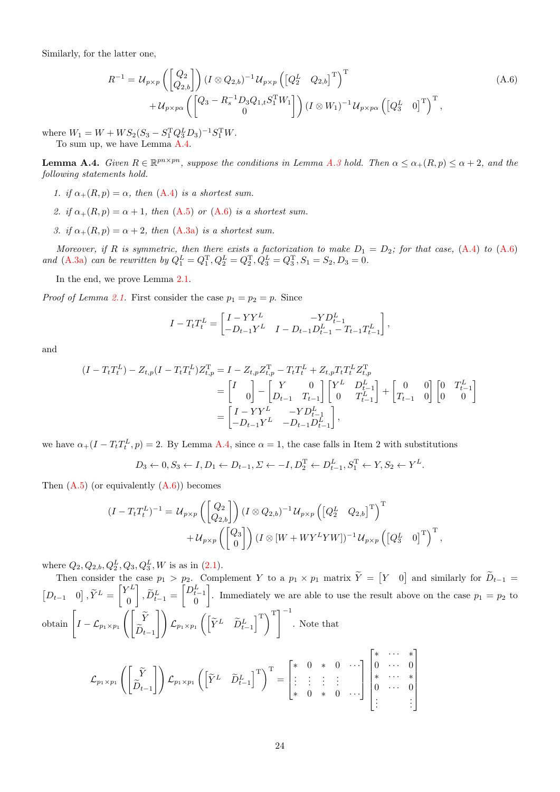Similarly, for the latter one,

<span id="page-23-1"></span>
$$
R^{-1} = \mathcal{U}_{p \times p} \left( \begin{bmatrix} Q_2 \\ Q_{2,b} \end{bmatrix} \right) (I \otimes Q_{2,b})^{-1} \mathcal{U}_{p \times p} \left( \begin{bmatrix} Q_2^L & Q_{2,b} \end{bmatrix}^{\mathrm{T}} \right)^{\mathrm{T}} + \mathcal{U}_{p \times p \alpha} \left( \begin{bmatrix} Q_3 - R_s^{-1} D_3 Q_{1,t} S_1^{\mathrm{T}} W_1 \\ 0 \end{bmatrix} \right) (I \otimes W_1)^{-1} \mathcal{U}_{p \times p \alpha} \left( \begin{bmatrix} Q_3^L & 0 \end{bmatrix}^{\mathrm{T}} \right)^{\mathrm{T}},
$$
\n(A.6)

where  $W_1 = W + WS_2(S_3 - S_1^T Q_3^L D_3)^{-1} S_1^T W$ . To sum up, we have Lemma [A.4.](#page-23-0)

<span id="page-23-0"></span>**Lemma A.4.** Given  $R \in \mathbb{R}^{pn \times pn}$ , suppose the conditions in Lemma [A.3](#page-20-3) hold. Then  $\alpha \leq \alpha_+(R, p) \leq \alpha + 2$ , and the following statements hold.

- 1. if  $\alpha_{+}(R, p) = \alpha$ , then  $(A.4)$  is a shortest sum.
- 2. if  $\alpha_{+}(R, p) = \alpha + 1$ , then  $(A.5)$  or  $(A.6)$  is a shortest sum.
- 3. if  $\alpha_{+}(R, p) = \alpha + 2$ , then  $(A.3a)$  is a shortest sum.

Moreover, if R is symmetric, then there exists a factorization to make  $D_1 = D_2$ ; for that case, [\(A.4\)](#page-22-0) to [\(A.6\)](#page-23-1) and [\(A.3a\)](#page-20-5) can be rewritten by  $Q_1^L = Q_1^T$ ,  $Q_2^L = Q_2^T$ ,  $Q_3^L = Q_3^T$ ,  $S_1 = S_2$ ,  $D_3 = 0$ .

In the end, we prove Lemma [2.1.](#page-2-0)

*Proof of Lemma [2.1.](#page-2-0)* First consider the case  $p_1 = p_2 = p$ . Since

$$
I - T_t T_t^L = \begin{bmatrix} I - Y Y^L & -Y D_{t-1}^L \\ -D_{t-1} Y^L & I - D_{t-1} D_{t-1}^L - T_{t-1} T_{t-1}^L \end{bmatrix},
$$

and

$$
(I - T_t T_t^L) - Z_{t,p}(I - T_t T_t^L) Z_{t,p}^{\mathrm{T}} = I - Z_{t,p} Z_{t,p}^{\mathrm{T}} - T_t T_t^L + Z_{t,p} T_t T_t^L Z_{t,p}^{\mathrm{T}}
$$
  
\n
$$
= \begin{bmatrix} I & 0 \\ 0 & - \begin{bmatrix} Y & 0 \\ D_{t-1} & T_{t-1} \end{bmatrix} \begin{bmatrix} Y^L & D_{t-1}^L \\ 0 & T_{t-1}^L \end{bmatrix} + \begin{bmatrix} 0 & 0 \\ T_{t-1} & 0 \end{bmatrix} \begin{bmatrix} 0 & T_{t-1}^L \\ 0 & 0 \end{bmatrix}
$$
  
\n
$$
= \begin{bmatrix} I - Y Y^L & -Y D_{t-1}^L \\ -D_{t-1} Y^L & -D_{t-1} D_{t-1}^L \end{bmatrix},
$$

we have  $\alpha_+(I - T_t T_t^L, p) = 2$ . By Lemma [A.4,](#page-23-0) since  $\alpha = 1$ , the case falls in Item 2 with substitutions

$$
D_3 \leftarrow 0, S_3 \leftarrow I, D_1 \leftarrow D_{t-1}, \Sigma \leftarrow -I, D_2^T \leftarrow D_{t-1}^L, S_1^T \leftarrow Y, S_2 \leftarrow Y^L.
$$

Then  $(A.5)$  (or equivalently  $(A.6)$ ) becomes

$$
(I - T_t T_t^L)^{-1} = U_{p \times p} \left( \begin{bmatrix} Q_2 \\ Q_{2,b} \end{bmatrix} \right) (I \otimes Q_{2,b})^{-1} U_{p \times p} \left( \begin{bmatrix} Q_2^L & Q_{2,b} \end{bmatrix}^T \right)^T
$$

$$
+ U_{p \times p} \left( \begin{bmatrix} Q_3 \\ 0 \end{bmatrix} \right) (I \otimes [W + W Y^L Y W])^{-1} U_{p \times p} \left( \begin{bmatrix} Q_3^L & 0 \end{bmatrix}^T \right)^T,
$$

where  $Q_2, Q_{2,b}, Q_2^L, Q_3, Q_3^L, W$  is as in  $(2.1)$ .

Then consider the case  $p_1 > p_2$ . Complement Y to a  $p_1 \times p_1$  matrix  $\tilde{Y} = \begin{bmatrix} Y & 0 \end{bmatrix}$  and similarly for  $D_{t-1} =$  $[D_{t-1} \quad 0], \tilde{Y}^L = \begin{bmatrix} Y^L \\ 0 \end{bmatrix}$ 0  $\Bigg], \widetilde{D}_{t-1}^L = \begin{bmatrix} D_{t-1}^L \\ 0 \end{bmatrix}$ . Immediately we are able to use the result above on the case  $p_1 = p_2$  to obtain  $\left[ I - \mathcal{L}_{p_1 \times p_1} \left( \begin{bmatrix} \widetilde{Y} \\ \widetilde{P} \end{bmatrix} \right) \right]$  $D_{t-1}$  $\left[\left(\begin{bmatrix} \widetilde{Y}^L & \widetilde{D}_{t-1}^L \end{bmatrix}^\mathrm{T}\right)^{\mathrm{T}}\right]^{-1}$ . Note that

$$
\mathcal{L}_{p_1 \times p_1} \left( \begin{bmatrix} \widetilde{Y} \\ \widetilde{D}_{t-1} \end{bmatrix} \right) \mathcal{L}_{p_1 \times p_1} \left( \begin{bmatrix} \widetilde{Y}^L & \widetilde{D}_{t-1}^L \end{bmatrix}^T \right)^T = \begin{bmatrix} * & 0 & * & 0 & \cdots \\ \vdots & \vdots & \vdots & \vdots & \vdots \\ * & 0 & * & 0 & \cdots \end{bmatrix} \begin{bmatrix} * & \cdots & * \\ 0 & \cdots & 0 \\ * & \cdots & * \\ \vdots & & \vdots & \vdots \end{bmatrix}
$$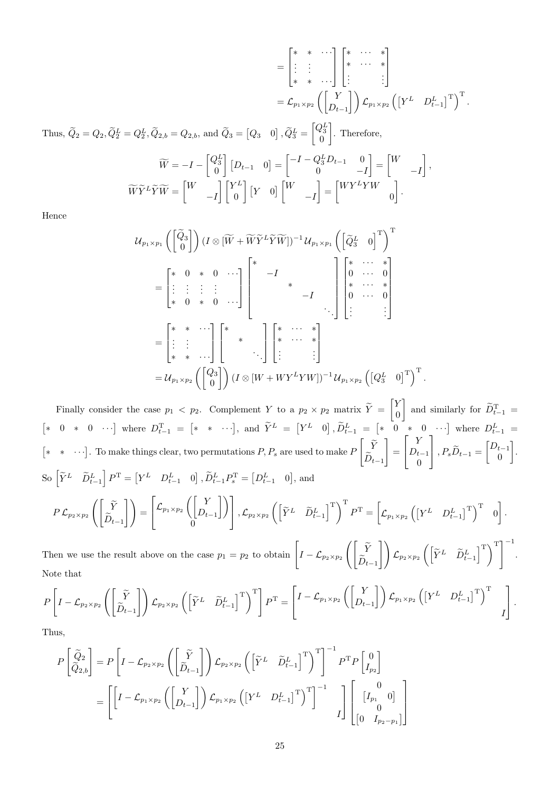$$
= \begin{bmatrix} * & * & \cdots \\ \vdots & \vdots & \vdots \\ * & * & \cdots \end{bmatrix} \begin{bmatrix} * & \cdots & * \\ * & \cdots & * \\ \vdots & \vdots & \vdots \end{bmatrix}
$$
  
\n
$$
= \mathcal{L}_{p_1 \times p_2} \left( \begin{bmatrix} Y \\ D_{t-1} \end{bmatrix} \right) \mathcal{L}_{p_1 \times p_2} \left( \begin{bmatrix} Y^L & D_{t-1}^L \end{bmatrix}^T \right)^T.
$$
  
\nThus,  $\tilde{Q}_2 = Q_2, \tilde{Q}_2^L = Q_2^L, \tilde{Q}_{2,b} = Q_{2,b}$ , and  $\tilde{Q}_3 = [Q_3 \quad 0], \tilde{Q}_3^L = \begin{bmatrix} Q_3^L \\ 0 \end{bmatrix}$ . Therefore,  
\n
$$
\widetilde{W} = -I - \begin{bmatrix} Q_3^L \\ 0 \end{bmatrix} [D_{t-1} \quad 0] = \begin{bmatrix} -I - Q_3^L D_{t-1} & 0 \\ 0 & -I \end{bmatrix} = \begin{bmatrix} W \\ -I \end{bmatrix},
$$
  
\n
$$
\widetilde{W}\widetilde{Y}^L\widetilde{Y}\widetilde{W} = \begin{bmatrix} W \\ -I \end{bmatrix} \begin{bmatrix} Y^L \\ 0 \end{bmatrix} [Y \quad 0] \begin{bmatrix} W \\ -I \end{bmatrix} = \begin{bmatrix} WY^LYW \\ 0 \end{bmatrix}.
$$

Hence

$$
\mathcal{U}_{p_1 \times p_1} \left( \begin{bmatrix} \tilde{Q}_3 \\ 0 \end{bmatrix} \right) (I \otimes [\widetilde{W} + \widetilde{W} \widetilde{Y}^L \widetilde{Y} \widetilde{W}])^{-1} \mathcal{U}_{p_1 \times p_1} \left( \begin{bmatrix} \tilde{Q}_3^L & 0 \end{bmatrix}^T \right)^T
$$
\n
$$
= \begin{bmatrix} * & 0 & * & 0 & \cdots \\ \vdots & \vdots & \vdots & \vdots & \vdots \\ * & 0 & * & 0 & \cdots \end{bmatrix} \begin{bmatrix} * & & & & & \\ & -I & & & & \\ & & & -I & & \\ & & & & \cdots & \vdots \\ \vdots & \vdots & & & \vdots \\ \vdots & & \vdots & \vdots & \vdots \end{bmatrix}
$$
\n
$$
= \begin{bmatrix} * & * & \cdots \\ \vdots & \vdots & \vdots \\ * & * & \cdots \end{bmatrix} \begin{bmatrix} * & \cdots & * \\ * & \cdots & * \\ \vdots & & \vdots \end{bmatrix}
$$
\n
$$
= \mathcal{U}_{p_1 \times p_2} \left( \begin{bmatrix} Q_3 \\ 0 \end{bmatrix} \right) (I \otimes [W + W Y^L Y W])^{-1} \mathcal{U}_{p_1 \times p_2} \left( [Q_3^L & 0]^T \right)^T
$$

.

Finally consider the case  $p_1 < p_2$ . Complement Y to a  $p_2 \times p_2$  matrix  $\widetilde{Y} = \begin{bmatrix} Y \\ Y \end{bmatrix}$ 0 and similarly for  $\widetilde{D}_{t-1}^{\rm T}$  =  $\begin{bmatrix} * & 0 & * & 0 & \cdots \end{bmatrix}$  where  $D_{t-1}^{\mathrm{T}} = \begin{bmatrix} * & * & \cdots \end{bmatrix}$ , and  $\tilde{Y}^L = \begin{bmatrix} Y^L & 0 \end{bmatrix}$ ,  $\tilde{D}_{t-1}^L = \begin{bmatrix} * & 0 & * & 0 & \cdots \end{bmatrix}$  where  $D_{t-1}^L =$  $[* * ⋯}.$  To make things clear, two permutations  $P, P_s$  are used to make  $P$  $\begin{bmatrix} \widetilde{Y} \\ \widetilde{Z} \end{bmatrix}$  $D_{t-1}$ 1 =  $\sqrt{ }$  $\overline{\phantom{a}}$ Y  $D_{t-1}$ 0 1  $\Bigg\}, P_s \widetilde{D}_{t-1} = \begin{bmatrix} D_{t-1} \\ 0 \end{bmatrix}$ 0 . So  $\begin{bmatrix} \widetilde{Y}^L & \widetilde{D}_{t-1}^L \end{bmatrix} P^{\mathrm{T}} = \begin{bmatrix} Y^L & D_{t-1}^L & 0 \end{bmatrix}$ ,  $\widetilde{D}_{t-1}^L P_s^{\mathrm{T}} = \begin{bmatrix} D_{t-1}^L & 0 \end{bmatrix}$ , and  $P$   $\mathcal{L}_{p_2 \times p_2}$   $\Big( \Big[ \frac{\widetilde{Y}}{\widetilde{D}} \Big]$  $D_{t-1}$  $\bigcap = \bigcap$  $\overline{1}$  $\mathcal{L}_{p_1 \times p_2} \bigcap \frac{Y}{D}$  $D_{t-1}$  $\left| \ \right\rangle$  $\overline{0}$ 1  $\left[ \begin{array}{cc} \displaystyle \sqrt{\mathstrut}_{p_2 \times p_2} \left( \begin{bmatrix} \widetilde{Y}^L & \widetilde{D}_{t-1}^L \end{bmatrix}^\text{T} \right)^{\text{T}} P^\text{T} = \begin{bmatrix} \displaystyle \mathstrut \mathstrut \mathstrut \mathcal{L}_{p_1 \times p_2} \left( \begin{bmatrix} Y^L & D_{t-1}^L \end{bmatrix}^\text{T} \end{bmatrix}^\text{T} \right)^{\text{T}} \right]^\text{T}$ . [

Then we use the result above on the case  $p_1 = p_2$  to obtain  $\left[ I - \mathcal{L}_{p_2 \times p_2} \left( \begin{bmatrix} \widetilde{Y} & 0 \\ \widetilde{Y} & 0 \end{bmatrix} \right) \right]$  $D_{t-1}$  $\left[\left(\begin{bmatrix} \widetilde{Y}^L & \widetilde{D}_{t-1}^L \end{bmatrix}^\mathrm{T}\right)^\mathrm{T}\right]^{-1}$ . Note that

$$
P\left[I-\mathcal{L}_{p_2\times p_2}\left(\begin{bmatrix} \widetilde{Y} \\ \widetilde{D}_{t-1} \end{bmatrix}\right)\mathcal{L}_{p_2\times p_2}\left(\begin{bmatrix} \widetilde{Y}^L & \widetilde{D}_{t-1}^L \end{bmatrix}^T\right)^T\right]P^T = \left[I-\mathcal{L}_{p_1\times p_2}\left(\begin{bmatrix} Y \\ D_{t-1} \end{bmatrix}\right)\mathcal{L}_{p_1\times p_2}\left(\begin{bmatrix} Y^L & D_{t-1}^L \end{bmatrix}^T\right)^T \right]
$$

Thus,

$$
P\begin{bmatrix} \widetilde{Q}_2 \\ \widetilde{Q}_{2,b} \end{bmatrix} = P\left[I - \mathcal{L}_{p_2 \times p_2}\left(\begin{bmatrix} \widetilde{Y} \\ \widetilde{D}_{t-1} \end{bmatrix}\right) \mathcal{L}_{p_2 \times p_2}\left(\begin{bmatrix} \widetilde{Y}^L & \widetilde{D}_{t-1}^L \end{bmatrix}^T\right)^T\right]^{-1} P^T P \begin{bmatrix} 0 \\ I_{p_2} \end{bmatrix}
$$
  
= 
$$
\left[\begin{bmatrix} I - \mathcal{L}_{p_1 \times p_2}\left(\begin{bmatrix} Y \\ D_{t-1} \end{bmatrix}\right) \mathcal{L}_{p_1 \times p_2}\left(\begin{bmatrix} Y^L & D_{t-1}^L \end{bmatrix}^T\right)^T\right]^{-1} I \begin{bmatrix} 0 \\ I_{p_1} & 0 \end{bmatrix} \begin{bmatrix} 0 \\ 0 \\ 0 \end{bmatrix} P^T P \begin{bmatrix} 0 \\ I_{p_2} \end{bmatrix} \right]
$$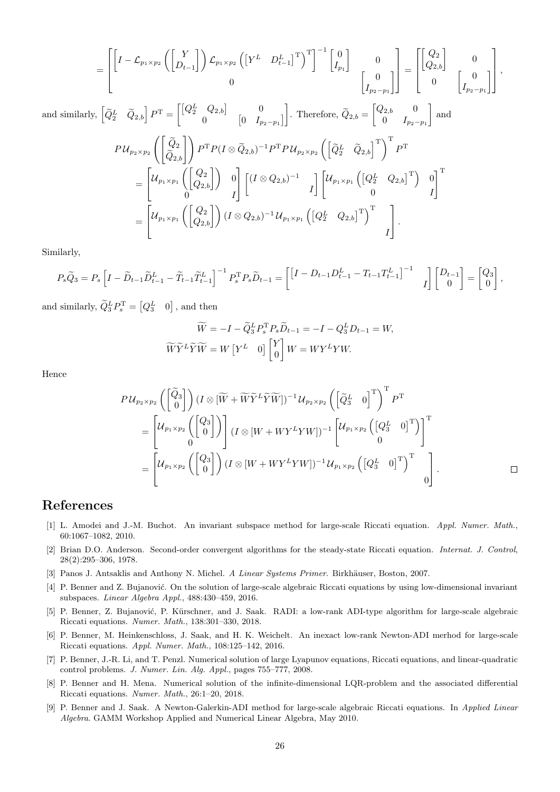$$
= \begin{bmatrix} \begin{bmatrix} I - \mathcal{L}_{p_1 \times p_2} \begin{bmatrix} Y \\ D_{t-1} \end{bmatrix} \end{bmatrix} \mathcal{L}_{p_1 \times p_2} \begin{bmatrix} Y^L & D_{t-1}^L \end{bmatrix}^T \end{bmatrix}^T \begin{bmatrix} 0 \\ I_{p_1} \end{bmatrix} & 0 \\ 0 & \begin{bmatrix} 0 \\ I_{p_2 - p_1} \end{bmatrix} \end{bmatrix} = \begin{bmatrix} \begin{bmatrix} Q_2 \\ Q_{2,b} \end{bmatrix} & 0 \\ 0 & \begin{bmatrix} 0 \\ I_{p_2 - p_1} \end{bmatrix} \end{bmatrix},
$$

and similarly,  $\begin{bmatrix} \widetilde{Q}_2^L & \widetilde{Q}_{2,b} \end{bmatrix} P^{\text{T}} = \begin{bmatrix} \begin{bmatrix} Q_2^L & Q_{2,b} \end{bmatrix} & 0 \\ 0 & I_p \end{bmatrix}$ 0  $\begin{bmatrix} 0 & I_{p_2-p_1} \end{bmatrix}$ Therefore,  $\widetilde{Q}_{2,b} = \begin{bmatrix} Q_{2,b} & 0 \\ 0 & I_{n_2} \end{bmatrix}$ 0  $I_{p_2-p_1}$ | and  $P \,{\mathcal U}_{p_2 \times p_2} \left( \begin{bmatrix} \widetilde{Q}_2 \ \widetilde{Q}_{2,b} \end{bmatrix} \right) P^\text{T} P (I \otimes \widetilde{Q}_{2,b})^{-1} P^\text{T} P \,{\mathcal U}_{p_2 \times p_2} \left( \begin{bmatrix} \widetilde{Q}_2^L & \widetilde{Q}_{2,b} \end{bmatrix}^\text{T} \right)^\text{T} P^\text{T}$ =  $\lceil$  $\overline{\phantom{a}}$  ${\mathcal U}_{p_1\times p_1}\left(\begin{bmatrix} Q_2\ Q_{2,b} \end{bmatrix}\right) \;\;\; 0$  $0$   $I$ 1  $\cdot$  $\left[(I\otimes Q_{2,b})^{-1}\right]$ I  $\left[\begin{matrix}\mathcal{U}_{p_{1}\times p_{1}}\left(\begin{bmatrix}Q_{2}^{L} & Q_{2,b}\end{bmatrix}^{\mathrm{T}}\right) & 0\end{matrix}\right]$  $0$   $I$  $\mathbb{I}^{\mathrm{T}}$  $\lceil$  $\mathcal{U}_{p_1 \times p_1}\left(\begin{bmatrix} Q_2 \ Q_{2,b} \end{bmatrix}\right) (I \otimes Q_{2,b})^{-1} \mathcal{U}_{p_1 \times p_1}\left(\begin{bmatrix} Q_2^L & Q_{2,b} \end{bmatrix}^\mathrm{T}\right)^\mathrm{T}$ 1

Similarly,

$$
P_s \widetilde{Q}_3 = P_s \left[ I - \widetilde{D}_{t-1} \widetilde{D}_{t-1}^L - \widetilde{T}_{t-1} \widetilde{T}_{t-1}^L \right]^{-1} P_s^{\mathrm{T}} P_s \widetilde{D}_{t-1} = \begin{bmatrix} \left[ I - D_{t-1} D_{t-1}^L - T_{t-1} T_{t-1}^L \right]^{-1} & I \end{bmatrix} \begin{bmatrix} D_{t-1} \\ 0 \end{bmatrix} = \begin{bmatrix} Q_3 \\ 0 \end{bmatrix},
$$

and similarly,  $\widetilde{Q}_3^L P_s^{\mathrm{T}} = [Q_3^L \quad 0]$ , and then

=

 $\overline{\phantom{a}}$ 

$$
\widetilde{W} = -I - \widetilde{Q}_3^L P_s^T P_s \widetilde{D}_{t-1} = -I - Q_3^L D_{t-1} = W,
$$
  

$$
\widetilde{W}\widetilde{Y}^L \widetilde{Y} \widetilde{W} = W \begin{bmatrix} Y^L & 0 \end{bmatrix} \begin{bmatrix} Y \\ 0 \end{bmatrix} W = W Y^L Y W.
$$

Hence

$$
P\mathcal{U}_{p_{2}\times p_{2}}\left(\begin{bmatrix} \widetilde{Q}_{3} \\ 0 \end{bmatrix}\right)(I \otimes [\widetilde{W} + \widetilde{W}\widetilde{Y}^{L}\widetilde{Y}\widetilde{W}])^{-1}\mathcal{U}_{p_{2}\times p_{2}}\left(\begin{bmatrix} \widetilde{Q}_{3}^{L} & 0 \end{bmatrix}^{T}\right)^{T}P^{T}
$$
\n
$$
= \begin{bmatrix} \mathcal{U}_{p_{1}\times p_{2}}\left(\begin{bmatrix} Q_{3} \\ 0 \end{bmatrix}\right) \\ 0 \end{bmatrix}(I \otimes [W + WY^{L}YW])^{-1}\begin{bmatrix} \mathcal{U}_{p_{1}\times p_{2}}\left(\begin{bmatrix} Q_{3}^{L} & 0 \end{bmatrix}^{T}\right) \end{bmatrix}^{T}
$$
\n
$$
= \begin{bmatrix} \mathcal{U}_{p_{1}\times p_{2}}\left(\begin{bmatrix} Q_{3} \\ 0 \end{bmatrix}\right)(I \otimes [W + WY^{L}YW])^{-1}\mathcal{U}_{p_{1}\times p_{2}}\left(\begin{bmatrix} Q_{3}^{L} & 0 \end{bmatrix}^{T}\right)^{T} \\ 0 \end{bmatrix}.
$$

I

 $\vert \cdot$ 

# References

- <span id="page-25-5"></span>[1] L. Amodei and J.-M. Buchot. An invariant subspace method for large-scale Riccati equation. Appl. Numer. Math., 60:1067–1082, 2010.
- <span id="page-25-7"></span>[2] Brian D.O. Anderson. Second-order convergent algorithms for the steady-state Riccati equation. Internat. J. Control, 28(2):295–306, 1978.
- <span id="page-25-0"></span>[3] Panos J. Antsaklis and Anthony N. Michel. A Linear Systems Primer. Birkhäuser, Boston, 2007.
- <span id="page-25-6"></span>[4] P. Benner and Z. Bujanović. On the solution of large-scale algebraic Riccati equations by using low-dimensional invariant subspaces. Linear Algebra Appl., 488:430–459, 2016.
- <span id="page-25-2"></span>[5] P. Benner, Z. Bujanović, P. Kürschner, and J. Saak. RADI: a low-rank ADI-type algorithm for large-scale algebraic Riccati equations. Numer. Math., 138:301–330, 2018.
- <span id="page-25-4"></span>[6] P. Benner, M. Heinkenschloss, J. Saak, and H. K. Weichelt. An inexact low-rank Newton-ADI merhod for large-scale Riccati equations. Appl. Numer. Math., 108:125–142, 2016.
- <span id="page-25-8"></span>[7] P. Benner, J.-R. Li, and T. Penzl. Numerical solution of large Lyapunov equations, Riccati equations, and linear-quadratic control problems. J. Numer. Lin. Alg. Appl., pages 755–777, 2008.
- <span id="page-25-1"></span>[8] P. Benner and H. Mena. Numerical solution of the infinite-dimensional LQR-problem and the associated differential Riccati equations. Numer. Math., 26:1–20, 2018.
- <span id="page-25-3"></span>[9] P. Benner and J. Saak. A Newton-Galerkin-ADI method for large-scale algebraic Riccati equations. In Applied Linear Algebra. GAMM Workshop Applied and Numerical Linear Algebra, May 2010.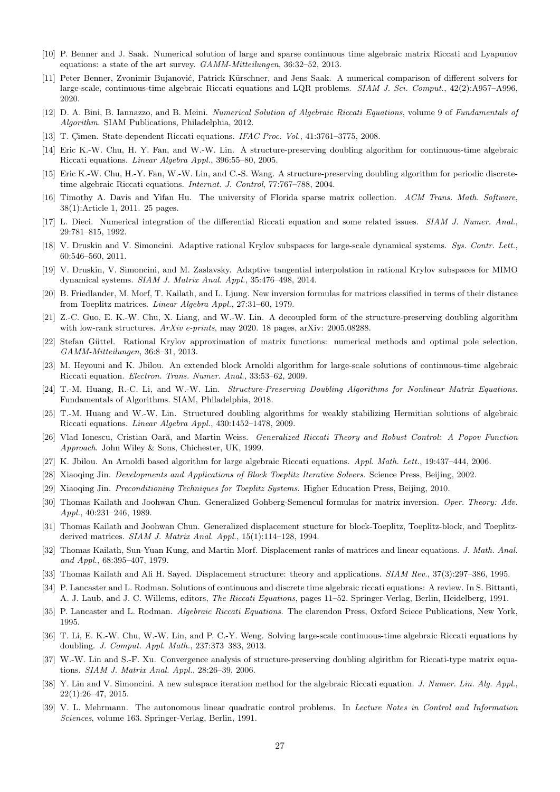- <span id="page-26-28"></span>[10] P. Benner and J. Saak. Numerical solution of large and sparse continuous time algebraic matrix Riccati and Lyapunov equations: a state of the art survey. GAMM-Mitteilungen, 36:32–52, 2013.
- <span id="page-26-11"></span>[11] Peter Benner, Zvonimir Bujanović, Patrick Kürschner, and Jens Saak. A numerical comparison of different solvers for large-scale, continuous-time algebraic Riccati equations and LQR problems. SIAM J. Sci. Comput., 42(2):A957–A996, 2020.
- <span id="page-26-3"></span>[12] D. A. Bini, B. Iannazzo, and B. Meini. Numerical Solution of Algebraic Riccati Equations, volume 9 of Fundamentals of Algorithm. SIAM Publications, Philadelphia, 2012.
- <span id="page-26-1"></span>[13] T. Cimen. State-dependent Riccati equations. IFAC Proc. Vol., 41:3761-3775, 2008.
- <span id="page-26-9"></span>[14] Eric K.-W. Chu, H. Y. Fan, and W.-W. Lin. A structure-preserving doubling algorithm for continuous-time algebraic Riccati equations. Linear Algebra Appl., 396:55–80, 2005.
- <span id="page-26-17"></span>[15] Eric K.-W. Chu, H.-Y. Fan, W.-W. Lin, and C.-S. Wang. A structure-preserving doubling algorithm for periodic discretetime algebraic Riccati equations. Internat. J. Control, 77:767–788, 2004.
- <span id="page-26-29"></span>[16] Timothy A. Davis and Yifan Hu. The university of Florida sparse matrix collection. ACM Trans. Math. Software, 38(1):Article 1, 2011. 25 pages.
- <span id="page-26-2"></span>[17] L. Dieci. Numerical integration of the differential Riccati equation and some related issues. SIAM J. Numer. Anal., 29:781–815, 1992.
- <span id="page-26-5"></span>[18] V. Druskin and V. Simoncini. Adaptive rational Krylov subspaces for large-scale dynamical systems. Sys. Contr. Lett. 60:546–560, 2011.
- <span id="page-26-6"></span>[19] V. Druskin, V. Simoncini, and M. Zaslavsky. Adaptive tangential interpolation in rational Krylov subspaces for MIMO dynamical systems. SIAM J. Matrix Anal. Appl., 35:476–498, 2014.
- <span id="page-26-16"></span>[20] B. Friedlander, M. Morf, T. Kailath, and L. Ljung. New inversion formulas for matrices classified in terms of their distance from Toeplitz matrices. Linear Algebra Appl., 27:31–60, 1979.
- <span id="page-26-22"></span>[21] Z.-C. Guo, E. K.-W. Chu, X. Liang, and W.-W. Lin. A decoupled form of the structure-preserving doubling algorithm with low-rank structures. ArXiv e-prints, may 2020. 18 pages, arXiv: 2005.08288.
- <span id="page-26-27"></span>[22] Stefan Güttel. Rational Krylov approximation of matrix functions: numerical methods and optimal pole selection. GAMM-Mitteilungen, 36:8–31, 2013.
- <span id="page-26-4"></span>[23] M. Heyouni and K. Jbilou. An extended block Arnoldi algorithm for large-scale solutions of continuous-time algebraic Riccati equation. Electron. Trans. Numer. Anal., 33:53–62, 2009.
- <span id="page-26-26"></span>[24] T.-M. Huang, R.-C. Li, and W.-W. Lin. Structure-Preserving Doubling Algorithms for Nonlinear Matrix Equations. Fundamentals of Algorithms. SIAM, Philadelphia, 2018.
- <span id="page-26-21"></span>[25] T.-M. Huang and W.-W. Lin. Structured doubling algorithms for weakly stabilizing Hermitian solutions of algebraic Riccati equations. Linear Algebra Appl., 430:1452–1478, 2009.
- <span id="page-26-20"></span>[26] Vlad Ionescu, Cristian Oară, and Martin Weiss. Generalized Riccati Theory and Robust Control: A Popov Function Approach. John Wiley & Sons, Chichester, UK, 1999.
- <span id="page-26-7"></span>[27] K. Jbilou. An Arnoldi based algorithm for large algebraic Riccati equations. Appl. Math. Lett., 19:437–444, 2006.
- <span id="page-26-23"></span>[28] Xiaoqing Jin. Developments and Applications of Block Toeplitz Iterative Solvers. Science Press, Beijing, 2002.
- <span id="page-26-24"></span>[29] Xiaoqing Jin. Preconditioning Techniques for Toeplitz Systems. Higher Education Press, Beijing, 2010.
- <span id="page-26-13"></span>[30] Thomas Kailath and Joohwan Chun. Generalized Gohberg-Semencul formulas for matrix inversion. Oper. Theory: Adv. Appl., 40:231–246, 1989.
- <span id="page-26-14"></span>[31] Thomas Kailath and Joohwan Chun. Generalized displacement stucture for block-Toeplitz, Toeplitz-block, and Toeplitzderived matrices. SIAM J. Matrix Anal. Appl., 15(1):114–128, 1994.
- <span id="page-26-12"></span>[32] Thomas Kailath, Sun-Yuan Kung, and Martin Morf. Displacement ranks of matrices and linear equations. J. Math. Anal. and Appl., 68:395–407, 1979.
- <span id="page-26-15"></span>[33] Thomas Kailath and Ali H. Sayed. Displacement structure: theory and applications. SIAM Rev., 37(3):297–386, 1995.
- <span id="page-26-18"></span>[34] P. Lancaster and L. Rodman. Solutions of continuous and discrete time algebraic riccati equations: A review. In S. Bittanti, A. J. Laub, and J. C. Willems, editors, The Riccati Equations, pages 11–52. Springer-Verlag, Berlin, Heidelberg, 1991.
- <span id="page-26-0"></span>[35] P. Lancaster and L. Rodman. *Algebraic Riccati Equations*. The clarendon Press, Oxford Sciece Publications, New York. 1995.
- <span id="page-26-10"></span>[36] T. Li, E. K.-W. Chu, W.-W. Lin, and P. C.-Y. Weng. Solving large-scale continuous-time algebraic Riccati equations by doubling. J. Comput. Appl. Math., 237:373–383, 2013.
- <span id="page-26-25"></span>[37] W.-W. Lin and S.-F. Xu. Convergence analysis of structure-preserving doubling algirithm for Riccati-type matrix equations. SIAM J. Matrix Anal. Appl., 28:26–39, 2006.
- <span id="page-26-8"></span>[38] Y. Lin and V. Simoncini. A new subspace iteration method for the algebraic Riccati equation. J. Numer. Lin. Alg. Appl., 22(1):26–47, 2015.
- <span id="page-26-19"></span>[39] V. L. Mehrmann. The autonomous linear quadratic control problems. In Lecture Notes in Control and Information Sciences, volume 163. Springer-Verlag, Berlin, 1991.